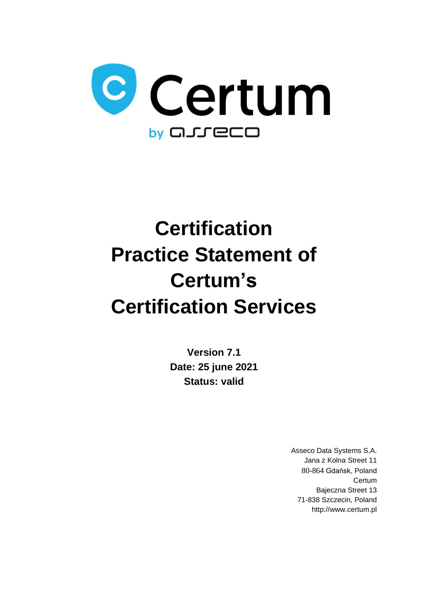

# **Certification Practice Statement of Certum's Certification Services**

**Version 7.1 Date: 25 june 2021 Status: valid**

> Asseco Data Systems S.A. Jana z Kolna Street 11 80-864 Gdańsk, Poland **Certum** Bajeczna Street 13 71-838 Szczecin, Poland http://www.certum.pl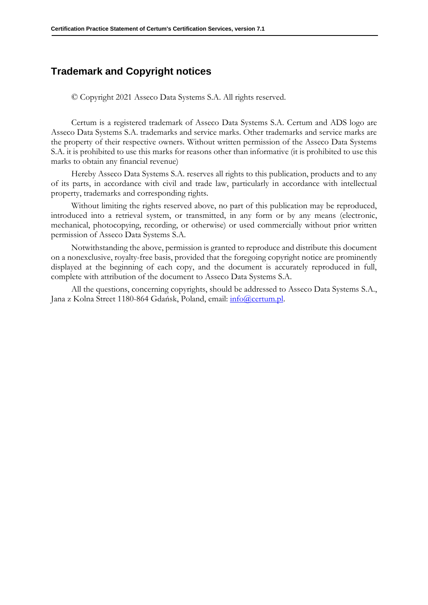### **Trademark and Copyright notices**

© Copyright 2021 Asseco Data Systems S.A. All rights reserved.

Certum is a registered trademark of Asseco Data Systems S.A. Certum and ADS logo are Asseco Data Systems S.A. trademarks and service marks. Other trademarks and service marks are the property of their respective owners. Without written permission of the Asseco Data Systems S.A. it is prohibited to use this marks for reasons other than informative (it is prohibited to use this marks to obtain any financial revenue)

Hereby Asseco Data Systems S.A. reserves all rights to this publication, products and to any of its parts, in accordance with civil and trade law, particularly in accordance with intellectual property, trademarks and corresponding rights.

Without limiting the rights reserved above, no part of this publication may be reproduced, introduced into a retrieval system, or transmitted, in any form or by any means (electronic, mechanical, photocopying, recording, or otherwise) or used commercially without prior written permission of Asseco Data Systems S.A.

Notwithstanding the above, permission is granted to reproduce and distribute this document on a nonexclusive, royalty-free basis, provided that the foregoing copyright notice are prominently displayed at the beginning of each copy, and the document is accurately reproduced in full, complete with attribution of the document to Asseco Data Systems S.A.

All the questions, concerning copyrights, should be addressed to Asseco Data Systems S.A., Jana z Kolna Street 1180-864 Gdańsk, Poland, email: [info@certum.pl.](mailto:info@certum.pl)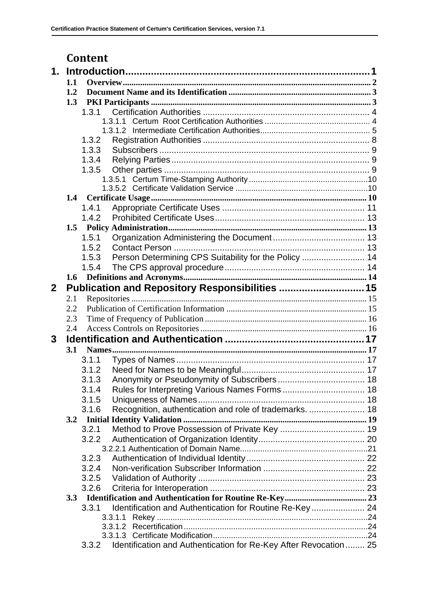## **Content**

| $\mathbf 1$ .  |     |                                                                            |  |  |
|----------------|-----|----------------------------------------------------------------------------|--|--|
|                | 1.1 |                                                                            |  |  |
|                | 1.2 |                                                                            |  |  |
|                | 1.3 |                                                                            |  |  |
|                |     | 1.3.1                                                                      |  |  |
|                |     | 1.3.1.1                                                                    |  |  |
|                |     |                                                                            |  |  |
|                |     | 1.3.2                                                                      |  |  |
|                |     | 1.3.3                                                                      |  |  |
|                |     | 1.3.4                                                                      |  |  |
|                |     | 1.3.5                                                                      |  |  |
|                |     |                                                                            |  |  |
|                |     |                                                                            |  |  |
|                | 1.4 |                                                                            |  |  |
|                |     | 1.4.1                                                                      |  |  |
|                |     | 1.4.2                                                                      |  |  |
|                | 1.5 |                                                                            |  |  |
|                |     | 1.5.1                                                                      |  |  |
|                |     | 1.5.2                                                                      |  |  |
|                |     | Person Determining CPS Suitability for the Policy  14<br>1.5.3             |  |  |
|                |     | 1.5.4                                                                      |  |  |
|                | 1.6 |                                                                            |  |  |
|                |     |                                                                            |  |  |
| $\overline{2}$ |     | Publication and Repository Responsibilities  15                            |  |  |
|                | 2.1 |                                                                            |  |  |
|                | 2.2 |                                                                            |  |  |
|                | 2.3 |                                                                            |  |  |
|                | 2.4 |                                                                            |  |  |
| 3              |     |                                                                            |  |  |
|                | 3.1 |                                                                            |  |  |
|                |     | 3.1.1                                                                      |  |  |
|                |     | 3.1.2                                                                      |  |  |
|                |     | 3.1.3                                                                      |  |  |
|                |     | Rules for Interpreting Various Names Forms  18<br>3.1.4                    |  |  |
|                |     | 3.1.5                                                                      |  |  |
|                |     | Recognition, authentication and role of trademarks.  18<br>3.1.6           |  |  |
|                |     |                                                                            |  |  |
|                |     | 3.2.1                                                                      |  |  |
|                |     | 3.2.2                                                                      |  |  |
|                |     |                                                                            |  |  |
|                |     | 3.2.3                                                                      |  |  |
|                |     | 3.2.4                                                                      |  |  |
|                |     |                                                                            |  |  |
|                |     | 3.2.5                                                                      |  |  |
|                |     | 3.2.6                                                                      |  |  |
|                |     |                                                                            |  |  |
|                |     | Identification and Authentication for Routine Re-Key  24<br>3.3.1          |  |  |
|                |     | 3.3.1.1                                                                    |  |  |
|                |     | 3.3.1.2                                                                    |  |  |
|                |     | 3.3.1.3                                                                    |  |  |
|                |     | Identification and Authentication for Re-Key After Revocation  25<br>3.3.2 |  |  |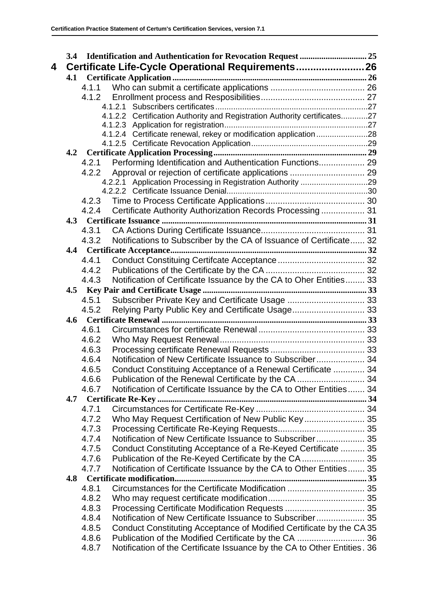|   | 3.4 |                | Identification and Authentication for Revocation Request  25              |  |
|---|-----|----------------|---------------------------------------------------------------------------|--|
| 4 |     |                | Certificate Life-Cycle Operational Requirements 26                        |  |
|   | 4.1 |                |                                                                           |  |
|   |     | 4.1.1          |                                                                           |  |
|   |     |                |                                                                           |  |
|   |     |                |                                                                           |  |
|   |     |                | 4.1.2.2 Certification Authority and Registration Authority certificates27 |  |
|   |     |                |                                                                           |  |
|   |     |                | 4.1.2.4 Certificate renewal, rekey or modification application 28         |  |
|   |     |                |                                                                           |  |
|   |     |                |                                                                           |  |
|   |     | 4.2.1<br>4.2.2 | Performing Identification and Authentication Functions 29                 |  |
|   |     |                | 4.2.2.1 Application Processing in Registration Authority 29               |  |
|   |     |                |                                                                           |  |
|   |     |                |                                                                           |  |
|   |     | 4.2.4          | Certificate Authority Authorization Records Processing 31                 |  |
|   |     |                |                                                                           |  |
|   |     | 4.3.1          |                                                                           |  |
|   |     | 4.3.2          | Notifications to Subscriber by the CA of Issuance of Certificate 32       |  |
|   |     |                |                                                                           |  |
|   |     | 4.4.1          |                                                                           |  |
|   |     | 4.4.2          |                                                                           |  |
|   |     | 4.4.3          | Notification of Certificate Issuance by the CA to Oher Entities 33        |  |
|   |     |                |                                                                           |  |
|   |     | 4.5.1          | Subscriber Private Key and Certificate Usage  33                          |  |
|   |     | 4.5.2          | Relying Party Public Key and Certificate Usage 33                         |  |
|   |     |                |                                                                           |  |
|   |     | 4.6.1          |                                                                           |  |
|   |     | 4.6.2          |                                                                           |  |
|   |     | 4.6.3          |                                                                           |  |
|   |     | 4.6.4          | Notification of New Certificate Issuance to Subscriber 34                 |  |
|   |     | 4.6.5          | Conduct Constituing Acceptance of a Renewal Certificate  34               |  |
|   |     | 4.6.6          | Publication of the Renewal Certificate by the CA  34                      |  |
|   |     | 4.6.7          | Notification of Certificate Issuance by the CA to Other Entities 34       |  |
|   | 4.7 |                |                                                                           |  |
|   |     | 4.7.1          |                                                                           |  |
|   |     | 4.7.2          | Who May Request Certification of New Public Key 35                        |  |
|   |     | 4.7.3          |                                                                           |  |
|   |     | 4.7.4          | Notification of New Certificate Issuance to Subscriber 35                 |  |
|   |     | 4.7.5          | Conduct Constituting Acceptance of a Re-Keyed Certificate  35             |  |
|   |     | 4.7.6          | Publication of the Re-Keyed Certificate by the CA  35                     |  |
|   |     | 4.7.7          | Notification of Certificate Issuance by the CA to Other Entities 35       |  |
|   | 4.8 |                |                                                                           |  |
|   |     | 4.8.1          | Circumstances for the Certificate Modification  35                        |  |
|   |     | 4.8.2          |                                                                           |  |
|   |     | 4.8.3          |                                                                           |  |
|   |     | 4.8.4          | Notification of New Certificate Issuance to Subscriber 35                 |  |
|   |     | 4.8.5          | Conduct Constituting Acceptance of Modified Certificate by the CA 35      |  |
|   |     | 4.8.6          |                                                                           |  |
|   |     | 4.8.7          | Notification of the Certificate Issuance by the CA to Other Entities. 36  |  |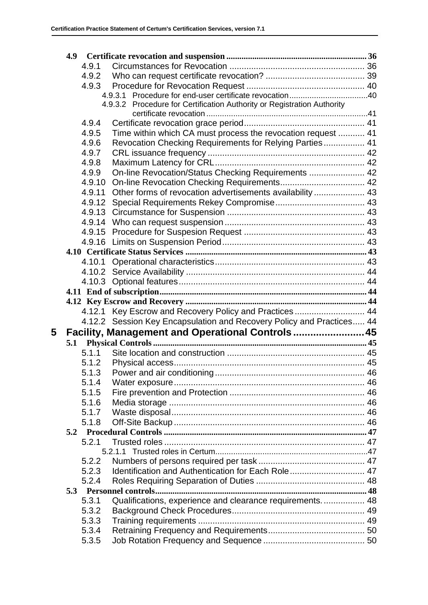|   | 4.9 |                |                                                                         |  |
|---|-----|----------------|-------------------------------------------------------------------------|--|
|   |     | 4.9.1          |                                                                         |  |
|   |     |                |                                                                         |  |
|   |     | 4.9.3          |                                                                         |  |
|   |     |                |                                                                         |  |
|   |     |                | 4.9.3.2 Procedure for Certification Authority or Registration Authority |  |
|   |     |                |                                                                         |  |
|   |     | 4.9.4          |                                                                         |  |
|   |     | 4.9.5          | Time within which CA must process the revocation request  41            |  |
|   |     | 4.9.6          | Revocation Checking Requirements for Relying Parties 41                 |  |
|   |     | 4.9.7          |                                                                         |  |
|   |     | 4.9.8          |                                                                         |  |
|   |     | 4.9.9          | On-line Revocation/Status Checking Requirements  42                     |  |
|   |     | 4.9.10         |                                                                         |  |
|   |     | 4.9.11         | Other forms of revocation advertisements availability  43               |  |
|   |     |                |                                                                         |  |
|   |     | 4.9.13         |                                                                         |  |
|   |     |                |                                                                         |  |
|   |     |                |                                                                         |  |
|   |     |                |                                                                         |  |
|   |     |                |                                                                         |  |
|   |     |                |                                                                         |  |
|   |     |                |                                                                         |  |
|   |     |                |                                                                         |  |
|   |     |                |                                                                         |  |
|   |     |                |                                                                         |  |
|   |     |                | 4.12.1 Key Escrow and Recovery Policy and Practices  44                 |  |
|   |     |                | 4.12.2 Session Key Encapsulation and Recovery Policy and Practices 44   |  |
| 5 |     |                | Facility, Management and Operational Controls  45                       |  |
|   | 5.1 |                |                                                                         |  |
|   |     | 5.1.1          |                                                                         |  |
|   |     | 5.1.2          |                                                                         |  |
|   |     |                |                                                                         |  |
|   |     | 5.1.4          |                                                                         |  |
|   |     | 5.1.5          |                                                                         |  |
|   |     | 5.1.6          |                                                                         |  |
|   |     | 5.1.7          |                                                                         |  |
|   |     | 5.1.8          |                                                                         |  |
|   |     |                |                                                                         |  |
|   |     | 5.2.1          |                                                                         |  |
|   |     |                |                                                                         |  |
|   |     | 5.2.2          |                                                                         |  |
|   |     | 5.2.3          | Identification and Authentication for Each Role 47                      |  |
|   |     | 5.2.4          |                                                                         |  |
|   |     |                |                                                                         |  |
|   |     | 5.3.1          | Qualifications, experience and clearance requirements 48                |  |
|   |     | 5.3.2          |                                                                         |  |
|   |     | 5.3.3          |                                                                         |  |
|   |     |                |                                                                         |  |
|   |     |                |                                                                         |  |
|   |     | 5.3.4<br>5.3.5 |                                                                         |  |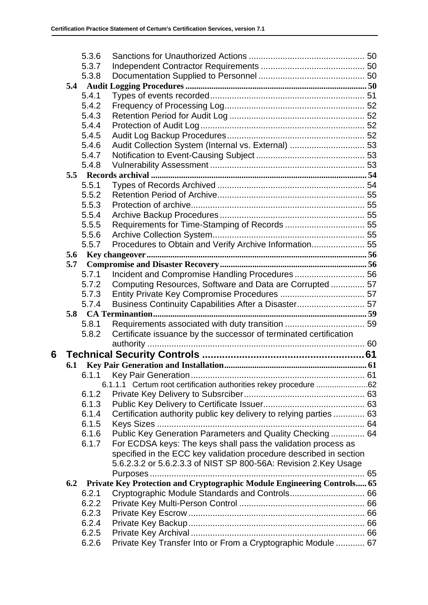|   |     | 5.3.6          |                                                                                                                                     |  |
|---|-----|----------------|-------------------------------------------------------------------------------------------------------------------------------------|--|
|   |     | 5.3.7          |                                                                                                                                     |  |
|   |     | 5.3.8          |                                                                                                                                     |  |
|   |     |                |                                                                                                                                     |  |
|   |     | 5.4.1          |                                                                                                                                     |  |
|   |     | 5.4.2          |                                                                                                                                     |  |
|   |     | 5.4.3          |                                                                                                                                     |  |
|   |     | 5.4.4          |                                                                                                                                     |  |
|   |     | 5.4.5          |                                                                                                                                     |  |
|   |     | 5.4.6          | Audit Collection System (Internal vs. External)  53                                                                                 |  |
|   |     | 5.4.7          |                                                                                                                                     |  |
|   |     | 5.4.8          |                                                                                                                                     |  |
|   |     |                |                                                                                                                                     |  |
|   |     | 5.5.1          |                                                                                                                                     |  |
|   |     | 5.5.2          |                                                                                                                                     |  |
|   |     | 5.5.3          |                                                                                                                                     |  |
|   |     | 5.5.4          |                                                                                                                                     |  |
|   |     | 5.5.5          |                                                                                                                                     |  |
|   |     | 5.5.6          |                                                                                                                                     |  |
|   |     | 5.5.7          | Procedures to Obtain and Verify Archive Information 55                                                                              |  |
|   | 5.6 |                |                                                                                                                                     |  |
|   | 5.7 |                |                                                                                                                                     |  |
|   |     | 5.7.1          | Incident and Compromise Handling Procedures 56                                                                                      |  |
|   |     | 5.7.2          | Computing Resources, Software and Data are Corrupted  57                                                                            |  |
|   |     | 5.7.3          |                                                                                                                                     |  |
|   |     | 5.7.4          | Business Continuity Capabilities After a Disaster 57                                                                                |  |
|   | 5.8 |                |                                                                                                                                     |  |
|   |     | 5.8.1          |                                                                                                                                     |  |
|   |     | 5.8.2          | Certificate issuance by the successor of terminated certification                                                                   |  |
|   |     |                |                                                                                                                                     |  |
| 6 |     |                |                                                                                                                                     |  |
|   | 6.1 |                |                                                                                                                                     |  |
|   |     | 6.1.1          |                                                                                                                                     |  |
|   |     |                | 6.1.1.1 Certum root certification authorities rekey procedure 62                                                                    |  |
|   |     | 6.1.2          |                                                                                                                                     |  |
|   |     | 6.1.3<br>6.1.4 |                                                                                                                                     |  |
|   |     | 6.1.5          | Certification authority public key delivery to relying parties  63                                                                  |  |
|   |     | 6.1.6          | Public Key Generation Parameters and Quality Checking 64                                                                            |  |
|   |     | 6.1.7          |                                                                                                                                     |  |
|   |     |                | For ECDSA keys: The keys shall pass the validation process as<br>specified in the ECC key validation procedure described in section |  |
|   |     |                | 5.6.2.3.2 or 5.6.2.3.3 of NIST SP 800-56A: Revision 2.Key Usage                                                                     |  |
|   |     |                |                                                                                                                                     |  |
|   | 6.2 |                | Private Key Protection and Cryptographic Module Engineering Controls 65                                                             |  |
|   |     | 6.2.1          | Cryptographic Module Standards and Controls 66                                                                                      |  |
|   |     | 6.2.2          |                                                                                                                                     |  |
|   |     | 6.2.3          |                                                                                                                                     |  |
|   |     | 6.2.4          |                                                                                                                                     |  |
|   |     | 6.2.5          |                                                                                                                                     |  |
|   |     | 6.2.6          | Private Key Transfer Into or From a Cryptographic Module  67                                                                        |  |
|   |     |                |                                                                                                                                     |  |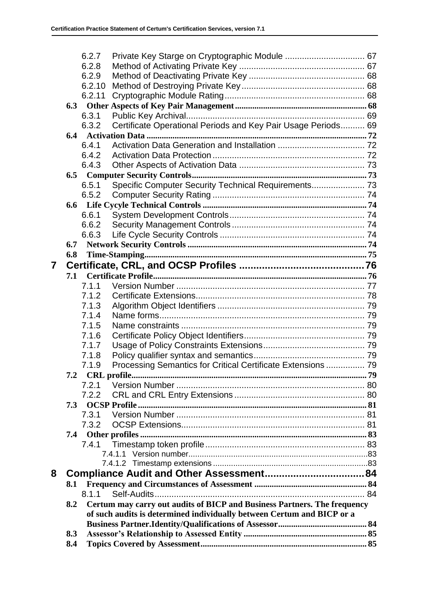|   |     | 6.2.7  |                                                                          |  |
|---|-----|--------|--------------------------------------------------------------------------|--|
|   |     | 6.2.8  |                                                                          |  |
|   |     | 6.2.9  |                                                                          |  |
|   |     | 6.2.10 |                                                                          |  |
|   |     | 6.2.11 |                                                                          |  |
|   |     |        |                                                                          |  |
|   |     | 6.3.1  |                                                                          |  |
|   |     | 6.3.2  | Certificate Operational Periods and Key Pair Usage Periods 69            |  |
|   |     |        |                                                                          |  |
|   |     | 6.4.1  |                                                                          |  |
|   |     | 6.4.2  |                                                                          |  |
|   |     | 6.4.3  |                                                                          |  |
|   | 6.5 |        |                                                                          |  |
|   |     | 6.5.1  | Specific Computer Security Technical Requirements 73                     |  |
|   |     | 6.5.2  |                                                                          |  |
|   |     |        |                                                                          |  |
|   |     | 6.6.1  |                                                                          |  |
|   |     | 6.6.2  |                                                                          |  |
|   |     | 6.6.3  |                                                                          |  |
|   | 6.7 |        |                                                                          |  |
|   | 6.8 |        |                                                                          |  |
| 7 |     |        |                                                                          |  |
|   | 7.1 |        |                                                                          |  |
|   |     | 7.1.1  |                                                                          |  |
|   |     | 7.1.2  |                                                                          |  |
|   |     | 7.1.3  |                                                                          |  |
|   |     | 7.1.4  |                                                                          |  |
|   |     | 7.1.5  |                                                                          |  |
|   |     | 7.1.6  |                                                                          |  |
|   |     | 7.1.7  |                                                                          |  |
|   |     | 7.1.8  |                                                                          |  |
|   |     | 7.1.9  | Processing Semantics for Critical Certificate Extensions  79             |  |
|   |     |        |                                                                          |  |
|   |     | 7.2.1  |                                                                          |  |
|   |     | 7.2.2  |                                                                          |  |
|   | 7.3 |        |                                                                          |  |
|   |     | 7.3.1  |                                                                          |  |
|   |     | 7.3.2  |                                                                          |  |
|   | 7.4 |        |                                                                          |  |
|   |     | 7.4.1  |                                                                          |  |
|   |     |        |                                                                          |  |
|   |     |        |                                                                          |  |
| 8 |     |        |                                                                          |  |
|   | 8.1 |        |                                                                          |  |
|   |     | 8.1.1  |                                                                          |  |
|   | 8.2 |        | Certum may carry out audits of BICP and Business Partners. The frequency |  |
|   |     |        | of such audits is determined individually between Certum and BICP or a   |  |
|   |     |        |                                                                          |  |
|   | 8.3 |        |                                                                          |  |
|   | 8.4 |        |                                                                          |  |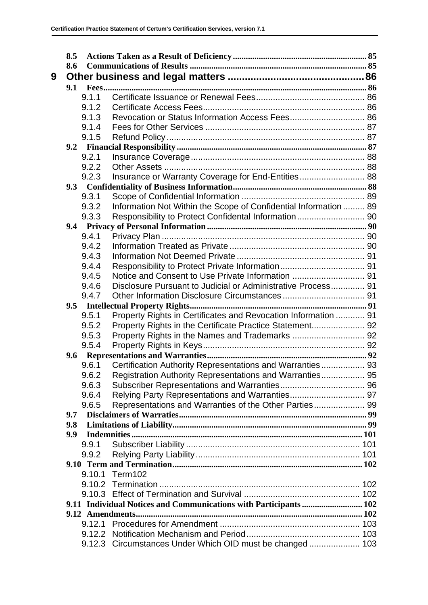| 8.5 |       |                                                                   |  |  |
|-----|-------|-------------------------------------------------------------------|--|--|
| 8.6 |       |                                                                   |  |  |
|     |       |                                                                   |  |  |
| 9.1 |       |                                                                   |  |  |
|     | 9.1.1 |                                                                   |  |  |
|     | 9.1.2 |                                                                   |  |  |
|     | 9.1.3 |                                                                   |  |  |
|     | 9.1.4 |                                                                   |  |  |
|     | 9.1.5 |                                                                   |  |  |
|     |       |                                                                   |  |  |
|     | 9.2.1 |                                                                   |  |  |
|     | 9.2.2 |                                                                   |  |  |
|     | 9.2.3 | Insurance or Warranty Coverage for End-Entities 88                |  |  |
| 9.3 |       |                                                                   |  |  |
|     | 9.3.1 |                                                                   |  |  |
|     | 9.3.2 | Information Not Within the Scope of Confidential Information  89  |  |  |
|     | 9.3.3 |                                                                   |  |  |
|     |       |                                                                   |  |  |
|     | 9.4.1 |                                                                   |  |  |
|     | 9.4.2 |                                                                   |  |  |
|     | 9.4.3 |                                                                   |  |  |
|     | 9.4.4 |                                                                   |  |  |
|     | 9.4.5 |                                                                   |  |  |
|     | 9.4.6 | Disclosure Pursuant to Judicial or Administrative Process 91      |  |  |
|     | 9.4.7 |                                                                   |  |  |
| 9.5 |       |                                                                   |  |  |
|     | 9.5.1 | Property Rights in Certificates and Revocation Information  91    |  |  |
|     | 9.5.2 | Property Rights in the Certificate Practice Statement 92          |  |  |
|     | 9.5.3 |                                                                   |  |  |
|     | 9.5.4 |                                                                   |  |  |
|     |       |                                                                   |  |  |
|     | 9.6.1 | Certification Authority Representations and Warranties 93         |  |  |
|     | 9.6.2 | Registration Authority Representations and Warranties 95          |  |  |
|     | 9.6.3 |                                                                   |  |  |
|     | 9.6.4 |                                                                   |  |  |
|     |       |                                                                   |  |  |
| 9.7 | 9.6.5 | Representations and Warranties of the Other Parties 99            |  |  |
|     |       |                                                                   |  |  |
| 9.8 |       |                                                                   |  |  |
| 9.9 |       |                                                                   |  |  |
|     | 9.9.1 |                                                                   |  |  |
|     | 9.9.2 |                                                                   |  |  |
|     |       |                                                                   |  |  |
|     |       | 9.10.1 Term102                                                    |  |  |
|     |       |                                                                   |  |  |
|     |       |                                                                   |  |  |
|     |       | 9.11 Individual Notices and Communications with Participants  102 |  |  |
|     |       |                                                                   |  |  |
|     |       |                                                                   |  |  |
|     |       |                                                                   |  |  |
|     |       | 9.12.3 Circumstances Under Which OID must be changed 103          |  |  |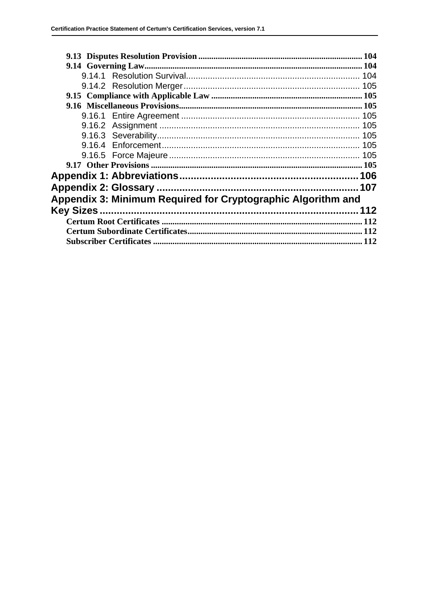|                                                              |  | 105 |  |  |  |
|--------------------------------------------------------------|--|-----|--|--|--|
|                                                              |  | 105 |  |  |  |
|                                                              |  | 105 |  |  |  |
|                                                              |  |     |  |  |  |
|                                                              |  |     |  |  |  |
|                                                              |  |     |  |  |  |
|                                                              |  |     |  |  |  |
| Appendix 3: Minimum Required for Cryptographic Algorithm and |  |     |  |  |  |
|                                                              |  |     |  |  |  |
|                                                              |  | 112 |  |  |  |
|                                                              |  |     |  |  |  |
|                                                              |  |     |  |  |  |
| 112                                                          |  |     |  |  |  |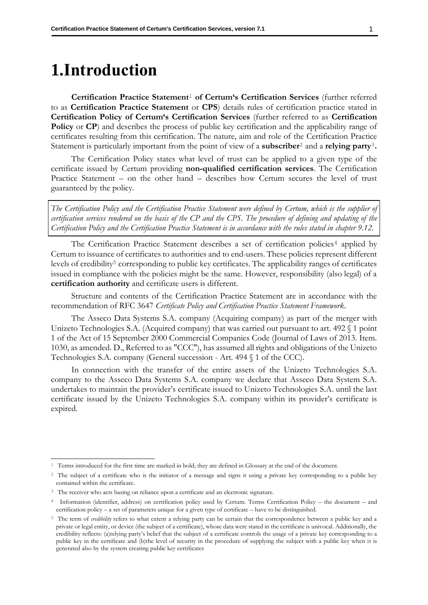## <span id="page-9-0"></span>**1.Introduction**

**Certification Practice Statement**<sup>1</sup> **of Certum's Certification Services** (further referred to as **Certification Practice Statement** or **CPS**) details rules of certification practice stated in **Certification Policy of Certum's Certification Services** (further referred to as **Certification Policy** or **CP**) and describes the process of public key certification and the applicability range of certificates resulting from this certification. The nature, aim and role of the Certification Practice Statement is particularly important from the point of view of a **subscriber**<sup>2</sup> and a **relying party**<sup>3</sup>**.**

The Certification Policy states what level of trust can be applied to a given type of the certificate issued by Certum providing **non-qualified certification services**. The Certification Practice Statement – on the other hand – describes how Certum secures the level of trust guaranteed by the policy.

*The Certification Policy and the Certification Practice Statement were defined by Certum, which is the supplier of certification services rendered on the basis of the CP and the CPS. The procedure of defining and updating of the Certification Policy and the Certification Practice Statement is in accordance with the rules stated in chapter [9.12.](#page-110-5)*

The Certification Practice Statement describes a set of certification policies<sup>4</sup> applied by Certum to issuance of certificates to authorities and to end-users. These policies represent different levels of credibility<sup>5</sup> corresponding to public key certificates. The applicability ranges of certificates issued in compliance with the policies might be the same. However, responsibility (also legal) of a **certification authority** and certificate users is different.

Structure and contents of the Certification Practice Statement are in accordance with the recommendation of RFC 3647 *Certificate Policy and Certification Practice Statement Framework*.

The Asseco Data Systems S.A. company (Acquiring company) as part of the merger with Unizeto Technologies S.A. (Acquired company) that was carried out pursuant to art. 492  $\{$  1 point 1 of the Act of 15 September 2000 Commercial Companies Code (Journal of Laws of 2013. Item. 1030, as amended. D., Referred to as "CCC"), has assumed all rights and obligations of the Unizeto Technologies S.A. company (General succession - Art. 494 § 1 of the CCC).

In connection with the transfer of the entire assets of the Unizeto Technologies S.A. company to the Asseco Data Systems S.A. company we declare that Asseco Data System S.A. undertakes to maintain the provider's certificate issued to Unizeto Technologies S.A. until the last certificate issued by the Unizeto Technologies S.A. company within its provider's certificate is expired.

<sup>&</sup>lt;sup>1</sup> Terms introduced for the first time are marked in bold; they are defined in Glossary at the end of the document.

<sup>&</sup>lt;sup>2</sup> The subject of a certificate who is the initiator of a message and signs it using a private key corresponding to a public key contained within the certificate.

<sup>&</sup>lt;sup>3</sup> The receiver who acts basing on reliance upon a certificate and an electronic signature.

<sup>4</sup> Information (identifier, address) on certification policy used by Certum. Terms Certification Policy – the document – and certification policy – a set of parameters unique for a given type of certificate – have to be distinguished.

<sup>5</sup> The term of *credibility* refers to what extent a relying party can be certain that the correspondence between a public key and a private or legal entity, or device (the subject of a certificate), whose data were stated in the certificate is univocal. Additionally, the credibility reflects: (a)relying party's belief that the subject of a certificate controls the usage of a private key corresponding to a public key in the certificate and (b)the level of security in the procedure of supplying the subject with a public key when it is generated also by the system creating public key certificates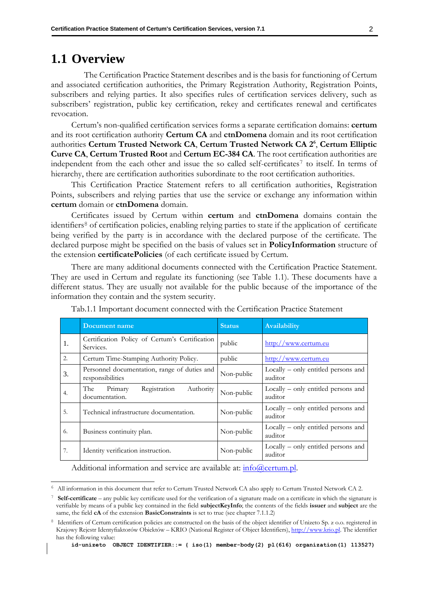#### <span id="page-10-0"></span>**1.1 Overview**

The Certification Practice Statement describes and is the basis for functioning of Certum and associated certification authorities, the Primary Registration Authority, Registration Points, subscribers and relying parties. It also specifies rules of certification services delivery, such as subscribers' registration, public key certification, rekey and certificates renewal and certificates revocation.

Certum's non-qualified certification services forms a separate certification domains: **certum** and its root certification authority **Certum CA** and **ctnDomena** domain and its root certification authorities **Certum Trusted Network CA**, **Certum Trusted Network CA 2<sup>6</sup>** , **Certum Elliptic Curve CA**, **Certum Trusted Root** and **Certum EC-384 CA**. The root certification authorities are independent from the each other and issue the so called self-certificates<sup>7</sup> to itself. In terms of hierarchy, there are certification authorities subordinate to the root certification authorities.

This Certification Practice Statement refers to all certification authorities, Registration Points, subscribers and relying parties that use the service or exchange any information within **certum** domain or **ctnDomena** domain.

Certificates issued by Certum within **certum** and **ctnDomena** domains contain the identifiers<sup>8</sup> of certification policies, enabling relying parties to state if the application of certificate being verified by the party is in accordance with the declared purpose of the certificate. The declared purpose might be specified on the basis of values set in **PolicyInformation** structure of the extension **certificatePolicies** (of each certificate issued by Certum.

There are many additional documents connected with the Certification Practice Statement. They are used in Certum and regulate its functioning (see Table 1.1). These documents have a different status. They are usually not available for the public because of the importance of the information they contain and the system security.

|    | Document name                                                    | <b>Status</b> | Availability                                     |
|----|------------------------------------------------------------------|---------------|--------------------------------------------------|
| 1. | Certification Policy of Certum's Certification<br>Services.      | public        | http://www.certum.eu                             |
| 2. | Certum Time-Stamping Authority Policy.                           | public        | http://www.certum.eu                             |
| 3. | Personnel documentation, range of duties and<br>responsibilities | Non-public    | Locally – only entitled persons and<br>auditor   |
| 4. | The Primary<br>Registration<br>Authority<br>documentation.       | Non-public    | $Locally - only entitled persons and$<br>auditor |
| 5. | Technical infrastructure documentation.                          | Non-public    | $Locally - only entitled persons and$<br>auditor |
| 6. | Business continuity plan.                                        | Non-public    | $Locally - only entitled persons and$<br>auditor |
| 7. | Identity verification instruction.                               | Non-public    | Locally – only entitled persons and<br>auditor   |

Tab.1.1 Important document connected with the Certification Practice Statement

Additional information and service are available at: [info@certum.pl.](mailto:info@certum.pl)

<sup>6</sup> All information in this document that refer to Certum Trusted Network CA also apply to Certum Trusted Network CA 2.

<sup>7</sup> **Self-certificate** – any public key certificate used for the verification of a signature made on a certificate in which the signature is verifiable by means of a public key contained in the field **subjectKeyInfo**; the contents of the fields **issuer** and **subject** are the same, the field **cA** of the extension **BasicConstraints** is set to true (see chapter 7.1.1.2)

<sup>&</sup>lt;sup>8</sup> Identifiers of Certum certification policies are constructed on the basis of the object identifier of Unizeto Sp. z o.o. registered in Krajowy Rejestr Identyfiaktorów Obiektów – KRIO (National Register of Object Identifiers), http://www.krio.pl. The identifier has the following value: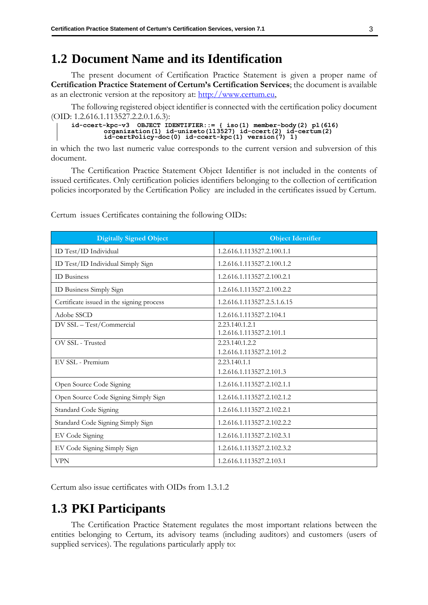## <span id="page-11-0"></span>**1.2 Document Name and its Identification**

The present document of Certification Practice Statement is given a proper name of **Certification Practice Statement of Certum's Certification Services**; the document is available as an electronic version at the repository at: [http://www.certum.eu,](http://www.certum.eu/)

The following registered object identifier is connected with the certification policy document (OID: 1.2.616.1.113527.2.2.0.1.6.3):

```
id-ccert-kpc-v3 OBJECT IDENTIFIER::= { iso(1) member-body(2) pl(616) 
organization(1) id-unizeto(113527) id-ccert(2) id-certum(2)
          id-certPolicy-doc(0) id-ccert-kpc(1) version(7) 1}
```
in which the two last numeric value corresponds to the current version and subversion of this document.

The Certification Practice Statement Object Identifier is not included in the contents of issued certificates. Only certification policies identifiers belonging to the collection of certification policies incorporated by the Certification Policy are included in the certificates issued by Certum.

| <b>Digitally Signed Object</b>            | <b>Object Identifier</b>                   |
|-------------------------------------------|--------------------------------------------|
| ID Test/ID Individual                     | 1.2.616.1.113527.2.100.1.1                 |
| ID Test/ID Individual Simply Sign         | 1.2.616.1.113527.2.100.1.2                 |
| <b>ID</b> Business                        | 1.2.616.1.113527.2.100.2.1                 |
| ID Business Simply Sign                   | 1.2.616.1.113527.2.100.2.2                 |
| Certificate issued in the signing process | 1.2.616.1.113527.2.5.1.6.15                |
| Adobe SSCD                                | 1.2.616.1.113527.2.104.1                   |
| DV SSL - Test/Commercial                  | 2.23.140.1.2.1<br>1.2.616.1.113527.2.101.1 |
| OV SSL - Trusted                          | 2.23.140.1.2.2                             |
|                                           | 1.2.616.1.113527.2.101.2                   |
| EV SSL - Premium                          | 2.23.140.1.1                               |
|                                           | 1.2.616.1.113527.2.101.3                   |
| Open Source Code Signing                  | 1.2.616.1.113527.2.102.1.1                 |
| Open Source Code Signing Simply Sign      | 1.2.616.1.113527.2.102.1.2                 |
| Standard Code Signing                     | 1.2.616.1.113527.2.102.2.1                 |
| Standard Code Signing Simply Sign         | 1.2.616.1.113527.2.102.2.2                 |
| EV Code Signing                           | 1.2.616.1.113527.2.102.3.1                 |
| EV Code Signing Simply Sign               | 1.2.616.1.113527.2.102.3.2                 |
| <b>VPN</b>                                | 1.2.616.1.113527.2.103.1                   |

Certum issues Certificates containing the following OIDs:

Certum also issue certificates with OIDs from 1.3.1.2

## <span id="page-11-1"></span>**1.3 PKI Participants**

The Certification Practice Statement regulates the most important relations between the entities belonging to Certum, its advisory teams (including auditors) and customers (users of supplied services). The regulations particularly apply to: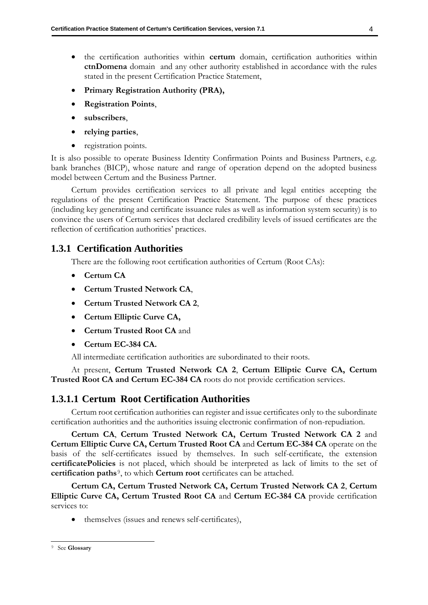- the certification authorities within **certum** domain, certification authorities within **ctnDomena** domain and any other authority established in accordance with the rules stated in the present Certification Practice Statement,
- **Primary Registration Authority (PRA),**
- **Registration Points**,
- **subscribers**,
- **relying parties**,
- registration points.

It is also possible to operate Business Identity Confirmation Points and Business Partners, e.g. bank branches (BICP), whose nature and range of operation depend on the adopted business model between Certum and the Business Partner.

Certum provides certification services to all private and legal entities accepting the regulations of the present Certification Practice Statement. The purpose of these practices (including key generating and certificate issuance rules as well as information system security) is to convince the users of Certum services that declared credibility levels of issued certificates are the reflection of certification authorities' practices.

#### <span id="page-12-0"></span>**1.3.1 Certification Authorities**

There are the following root certification authorities of Certum (Root CAs):

- **Certum CA**
- **Certum Trusted Network CA**,
- **Certum Trusted Network CA 2**,
- **Certum Elliptic Curve CA,**
- **Certum Trusted Root CA** and
- **Certum EC-384 CA.**

All intermediate certification authorities are subordinated to their roots.

At present, **Certum Trusted Network CA 2**, **Certum Elliptic Curve CA, Certum Trusted Root CA and Certum EC-384 CA** roots do not provide certification services.

#### <span id="page-12-1"></span>**1.3.1.1 Certum Root Certification Authorities**

Certum root certification authorities can register and issue certificates only to the subordinate certification authorities and the authorities issuing electronic confirmation of non-repudiation.

**Certum CA**, **Certum Trusted Network CA, Certum Trusted Network CA 2** and **Certum Elliptic Curve CA, Certum Trusted Root CA** and **Certum EC-384 CA** operate on the basis of the self-certificates issued by themselves. In such self-certificate, the extension **certificatePolicies** is not placed, which should be interpreted as lack of limits to the set of **certification paths**<sup>9</sup>, to which **Certum root** certificates can be attached.

**Certum CA, Certum Trusted Network CA, Certum Trusted Network CA 2**, **Certum Elliptic Curve CA, Certum Trusted Root CA** and **Certum EC-384 CA** provide certification services to:

• themselves (issues and renews self-certificates),

<sup>9</sup> See **Glossary**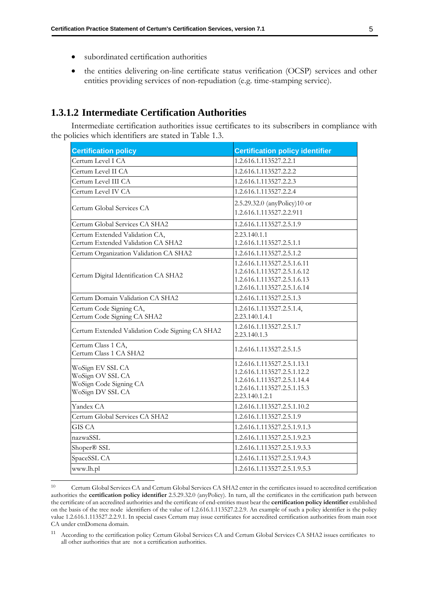- subordinated certification authorities
- the entities delivering on-line certificate status verification (OCSP) services and other entities providing services of non-repudiation (e.g. time-stamping service).

#### <span id="page-13-0"></span>**1.3.1.2 Intermediate Certification Authorities**

Intermediate certification authorities issue certificates to its subscribers in compliance with the policies which identifiers are stated in Table 1.3.

| <b>Certification policy</b>                                                        | <b>Certification policy identifier</b>                                                                                                     |
|------------------------------------------------------------------------------------|--------------------------------------------------------------------------------------------------------------------------------------------|
| Certum Level I CA                                                                  | 1.2.616.1.113527.2.2.1                                                                                                                     |
| Certum Level II CA                                                                 | 1.2.616.1.113527.2.2.2                                                                                                                     |
| Certum Level III CA                                                                | 1.2.616.1.113527.2.2.3                                                                                                                     |
| Certum Level IV CA                                                                 | 1.2.616.1.113527.2.2.4                                                                                                                     |
| Certum Global Services CA                                                          | 2.5.29.32.0 (anyPolicy)10 or<br>1.2.616.1.113527.2.2.911                                                                                   |
| Certum Global Services CA SHA2                                                     | 1.2.616.1.113527.2.5.1.9                                                                                                                   |
| Certum Extended Validation CA,<br>Certum Extended Validation CA SHA2               | 2.23.140.1.1<br>1.2.616.1.113527.2.5.1.1                                                                                                   |
| Certum Organization Validation CA SHA2                                             | 1.2.616.1.113527.2.5.1.2                                                                                                                   |
| Certum Digital Identification CA SHA2                                              | 1.2.616.1.113527.2.5.1.6.11<br>1.2.616.1.113527.2.5.1.6.12<br>1.2.616.1.113527.2.5.1.6.13<br>1.2.616.1.113527.2.5.1.6.14                   |
| Certum Domain Validation CA SHA2                                                   | 1.2.616.1.113527.2.5.1.3                                                                                                                   |
| Certum Code Signing CA,<br>Certum Code Signing CA SHA2                             | 1.2.616.1.113527.2.5.1.4,<br>2.23.140.1.4.1                                                                                                |
| Certum Extended Validation Code Signing CA SHA2                                    | 1.2.616.1.113527.2.5.1.7<br>2.23.140.1.3                                                                                                   |
| Certum Class 1 CA,<br>Certum Class 1 CA SHA2                                       | 1.2.616.1.113527.2.5.1.5                                                                                                                   |
| WoSign EV SSL CA<br>WoSign OV SSL CA<br>WoSign Code Signing CA<br>WoSign DV SSL CA | 1.2.616.1.113527.2.5.1.13.1<br>1.2.616.1.113527.2.5.1.12.2<br>1.2.616.1.113527.2.5.1.14.4<br>1.2.616.1.113527.2.5.1.15.3<br>2.23.140.1.2.1 |
| Yandex CA                                                                          | 1.2.616.1.113527.2.5.1.10.2                                                                                                                |
| Certum Global Services CA SHA2                                                     | 1.2.616.1.113527.2.5.1.9                                                                                                                   |
| <b>GIS CA</b>                                                                      | 1.2.616.1.113527.2.5.1.9.1.3                                                                                                               |
| nazwaSSL                                                                           | 1.2.616.1.113527.2.5.1.9.2.3                                                                                                               |
| Shoper® SSL                                                                        | 1.2.616.1.113527.2.5.1.9.3.3                                                                                                               |
| SpaceSSL CA                                                                        | 1.2.616.1.113527.2.5.1.9.4.3                                                                                                               |
| www.lh.pl                                                                          | 1.2.616.1.113527.2.5.1.9.5.3                                                                                                               |

<sup>10</sup> Certum Global Services CA and Certum Global Services CA SHA2 enter in the certificates issued to accredited certification authorities the **certification policy identifier** 2.5.29.32.0 (anyPolicy). In turn, all the certificates in the certification path between the certificate of an accredited authorities and the certificate of end-entities must bear the **certification policy identifier** established on the basis of the tree node identifiers of the value of 1.2.616.1.113527.2.2.9. An example of such a policy identifier is the policy value 1.2.616.1.113527.2.2.9.1. In special cases Certum may issue certificates for accredited certification authorities from main root CA under ctnDomena domain.

<sup>11</sup> According to the certification policy Certum Global Services CA and Certum Global Services CA SHA2 issues certificates to all other authorities that are not a certification authorities.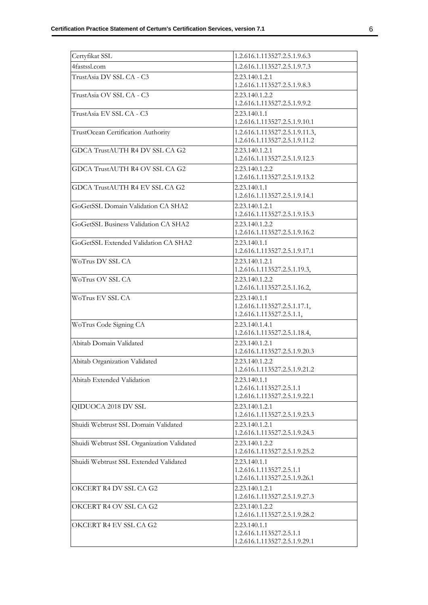| Certyfikat SSL                             | 1.2.616.1.113527.2.5.1.9.6.3                                              |
|--------------------------------------------|---------------------------------------------------------------------------|
| 4fastssl.com                               | 1.2.616.1.113527.2.5.1.9.7.3                                              |
| TrustAsia DV SSL CA - C3                   | 2.23.140.1.2.1<br>1.2.616.1.113527.2.5.1.9.8.3                            |
| TrustAsia OV SSL CA - C3                   | 2.23.140.1.2.2<br>1.2.616.1.113527.2.5.1.9.9.2                            |
| TrustAsia EV SSL CA - C3                   | 2.23.140.1.1<br>1.2.616.1.113527.2.5.1.9.10.1                             |
| TrustOcean Certification Authority         | 1.2.616.1.113527.2.5.1.9.11.3,<br>1.2.616.1.113527.2.5.1.9.11.2           |
| GDCA TrustAUTH R4 DV SSL CA G2             | 2.23.140.1.2.1<br>1.2.616.1.113527.2.5.1.9.12.3                           |
| GDCA TrustAUTH R4 OV SSL CA G2             | 2.23.140.1.2.2<br>1.2.616.1.113527.2.5.1.9.13.2                           |
| GDCA TrustAUTH R4 EV SSL CA G2             | 2.23.140.1.1<br>1.2.616.1.113527.2.5.1.9.14.1                             |
| GoGetSSL Domain Validation CA SHA2         | 2.23.140.1.2.1<br>1.2.616.1.113527.2.5.1.9.15.3                           |
| GoGetSSL Business Validation CA SHA2       | 2.23.140.1.2.2<br>1.2.616.1.113527.2.5.1.9.16.2                           |
| GoGetSSL Extended Validation CA SHA2       | 2.23.140.1.1<br>1.2.616.1.113527.2.5.1.9.17.1                             |
| WoTrus DV SSL CA                           | 2.23.140.1.2.1<br>1.2.616.1.113527.2.5.1.19.3,                            |
| WoTrus OV SSL CA                           | 2.23.140.1.2.2<br>1.2.616.1.113527.2.5.1.16.2,                            |
| WoTrus EV SSL CA                           | 2.23.140.1.1<br>1.2.616.1.113527.2.5.1.17.1,<br>1.2.616.1.113527.2.5.1.1, |
| WoTrus Code Signing CA                     | 2.23.140.1.4.1<br>1.2.616.1.113527.2.5.1.18.4,                            |
| Abitab Domain Validated                    | 2.23.140.1.2.1<br>1.2.616.1.113527.2.5.1.9.20.3                           |
| Abitab Organization Validated              | 2.23.140.1.2.2<br>1.2.616.1.113527.2.5.1.9.21.2                           |
| Abitab Extended Validation                 | 2.23.140.1.1<br>1.2.616.1.113527.2.5.1.1<br>1.2.616.1.113527.2.5.1.9.22.1 |
| QIDUOCA 2018 DV SSL                        | 2.23.140.1.2.1<br>1.2.616.1.113527.2.5.1.9.23.3                           |
| Shuidi Webtrust SSL Domain Validated       | 2.23.140.1.2.1<br>1.2.616.1.113527.2.5.1.9.24.3                           |
| Shuidi Webtrust SSL Organization Validated | 2.23.140.1.2.2<br>1.2.616.1.113527.2.5.1.9.25.2                           |
| Shuidi Webtrust SSL Extended Validated     | 2.23.140.1.1<br>1.2.616.1.113527.2.5.1.1<br>1.2.616.1.113527.2.5.1.9.26.1 |
| OKCERT R4 DV SSL CA G2                     | 2.23.140.1.2.1<br>1.2.616.1.113527.2.5.1.9.27.3                           |
| OKCERT R4 OV SSL CA G2                     | 2.23.140.1.2.2<br>1.2.616.1.113527.2.5.1.9.28.2                           |
| OKCERT R4 EV SSL CA G2                     | 2.23.140.1.1<br>1.2.616.1.113527.2.5.1.1<br>1.2.616.1.113527.2.5.1.9.29.1 |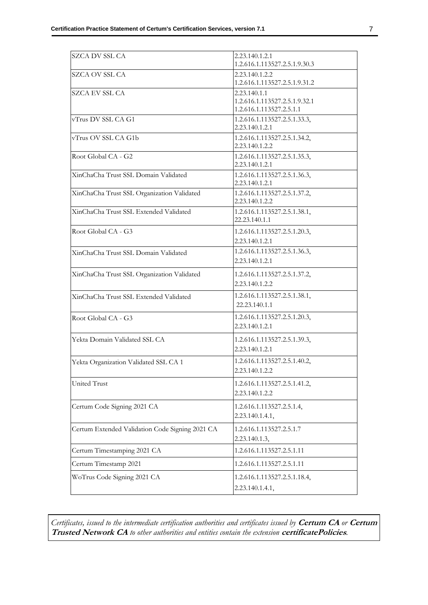| SZCA DV SSL CA                                  | 2.23.140.1.2.1<br>1.2.616.1.113527.2.5.1.9.30.3                           |
|-------------------------------------------------|---------------------------------------------------------------------------|
| <b>SZCA OV SSL CA</b>                           | 2.23.140.1.2.2<br>1.2.616.1.113527.2.5.1.9.31.2                           |
| SZCA EV SSL CA                                  | 2.23.140.1.1<br>1.2.616.1.113527.2.5.1.9.32.1<br>1.2.616.1.113527.2.5.1.1 |
| vTrus DV SSL CA G1                              | 1.2.616.1.113527.2.5.1.33.3,<br>2.23.140.1.2.1                            |
| vTrus OV SSL CA G1b                             | 1.2.616.1.113527.2.5.1.34.2,<br>2.23.140.1.2.2                            |
| Root Global CA - G2                             | 1.2.616.1.113527.2.5.1.35.3,<br>2.23.140.1.2.1                            |
| XinChaCha Trust SSL Domain Validated            | 1.2.616.1.113527.2.5.1.36.3,<br>2.23.140.1.2.1                            |
| XinChaCha Trust SSL Organization Validated      | 1.2.616.1.113527.2.5.1.37.2,<br>2.23.140.1.2.2                            |
| XinChaCha Trust SSL Extended Validated          | 1.2.616.1.113527.2.5.1.38.1,<br>22.23.140.1.1                             |
| Root Global CA - G3                             | 1.2.616.1.113527.2.5.1.20.3,<br>2.23.140.1.2.1                            |
| XinChaCha Trust SSL Domain Validated            | 1.2.616.1.113527.2.5.1.36.3,<br>2.23.140.1.2.1                            |
| XinChaCha Trust SSL Organization Validated      | 1.2.616.1.113527.2.5.1.37.2,<br>2.23.140.1.2.2                            |
| XinChaCha Trust SSL Extended Validated          | 1.2.616.1.113527.2.5.1.38.1,<br>22.23.140.1.1                             |
| Root Global CA - G3                             | 1.2.616.1.113527.2.5.1.20.3,<br>2.23.140.1.2.1                            |
| Yekta Domain Validated SSL CA                   | 1.2.616.1.113527.2.5.1.39.3,<br>2.23.140.1.2.1                            |
| Yekta Organization Validated SSL CA 1           | 1.2.616.1.113527.2.5.1.40.2,<br>2.23.140.1.2.2                            |
| United Trust                                    | 1.2.616.1.113527.2.5.1.41.2,<br>2.23.140.1.2.2                            |
| Certum Code Signing 2021 CA                     | 1.2.616.1.113527.2.5.1.4,<br>2.23.140.1.4.1,                              |
| Certum Extended Validation Code Signing 2021 CA | 1.2.616.1.113527.2.5.1.7<br>2.23.140.1.3,                                 |
| Certum Timestamping 2021 CA                     | 1.2.616.1.113527.2.5.1.11                                                 |
| Certum Timestamp 2021                           | 1.2.616.1.113527.2.5.1.11                                                 |
| WoTrus Code Signing 2021 CA                     | 1.2.616.1.113527.2.5.1.18.4,                                              |
|                                                 | 2.23.140.1.4.1,                                                           |

*Certificates, issued to the intermediate certification authorities and certificates issued by* **Certum CA** *or* **Certum Trusted Network CA** *to other authorities and entities contain the extension* **certificatePolicies***.*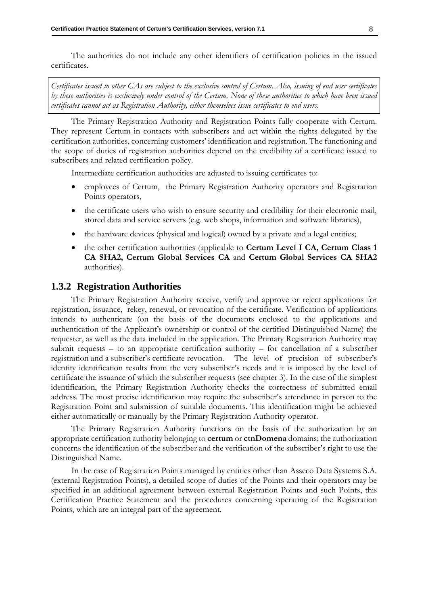The authorities do not include any other identifiers of certification policies in the issued certificates.

*Certificates issued to other CAs are subject to the exclusive control of Certum. Also, issuing of end user certificates by these authorities is exclusively under control of the Certum. None of these authorities to which have been issued certificates cannot act as Registration Authority, either themselves issue certificates to end users.*

The Primary Registration Authority and Registration Points fully cooperate with Certum. They represent Certum in contacts with subscribers and act within the rights delegated by the certification authorities, concerning customers' identification and registration. The functioning and the scope of duties of registration authorities depend on the credibility of a certificate issued to subscribers and related certification policy.

Intermediate certification authorities are adjusted to issuing certificates to:

- employees of Certum, the Primary Registration Authority operators and Registration Points operators,
- the certificate users who wish to ensure security and credibility for their electronic mail, stored data and service servers (e.g. web shops, information and software libraries),
- the hardware devices (physical and logical) owned by a private and a legal entities;
- the other certification authorities (applicable to **Certum Level I CA, Certum Class 1 CA SHA2, Certum Global Services CA** and **Certum Global Services CA SHA2** authorities).

#### <span id="page-16-0"></span>**1.3.2 Registration Authorities**

The Primary Registration Authority receive, verify and approve or reject applications for registration, issuance, rekey, renewal, or revocation of the certificate. Verification of applications intends to authenticate (on the basis of the documents enclosed to the applications and authentication of the Applicant's ownership or control of the certified Distinguished Name) the requester, as well as the data included in the application. The Primary Registration Authority may submit requests – to an appropriate certification authority – for cancellation of a subscriber registration and a subscriber's certificate revocation. The level of precision of subscriber's identity identification results from the very subscriber's needs and it is imposed by the level of certificate the issuance of which the subscriber requests (see chapter [3\)](#page-25-0). In the case of the simplest identification, the Primary Registration Authority checks the correctness of submitted email address. The most precise identification may require the subscriber's attendance in person to the Registration Point and submission of suitable documents. This identification might be achieved either automatically or manually by the Primary Registration Authority operator.

The Primary Registration Authority functions on the basis of the authorization by an appropriate certification authority belonging to **certum** or **ctnDomena** domains; the authorization concerns the identification of the subscriber and the verification of the subscriber's right to use the Distinguished Name.

In the case of Registration Points managed by entities other than Asseco Data Systems S.A. (external Registration Points), a detailed scope of duties of the Points and their operators may be specified in an additional agreement between external Registration Points and such Points, this Certification Practice Statement and the procedures concerning operating of the Registration Points, which are an integral part of the agreement.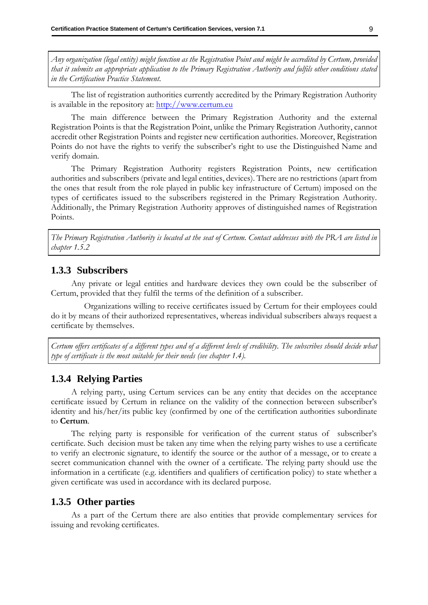*Any organization (legal entity) might function as the Registration Point and might be accredited by Certum, provided that it submits an appropriate application to the Primary Registration Authority and fulfils other conditions stated in the Certification Practice Statement.*

The list of registration authorities currently accredited by the Primary Registration Authority is available in the repository at: [http://www.certum.eu](http://www.certum.eu/)

The main difference between the Primary Registration Authority and the external Registration Points is that the Registration Point, unlike the Primary Registration Authority, cannot accredit other Registration Points and register new certification authorities. Moreover, Registration Points do not have the rights to verify the subscriber's right to use the Distinguished Name and verify domain.

The Primary Registration Authority registers Registration Points, new certification authorities and subscribers (private and legal entities, devices). There are no restrictions (apart from the ones that result from the role played in public key infrastructure of Certum) imposed on the types of certificates issued to the subscribers registered in the Primary Registration Authority. Additionally, the Primary Registration Authority approves of distinguished names of Registration Points.

*The Primary Registration Authority is located at the seat of Certum. Contact addresses with the PRA are listed in chapter [1.5.2](#page-21-3)*

#### <span id="page-17-0"></span>**1.3.3 Subscribers**

Any private or legal entities and hardware devices they own could be the subscriber of Certum, provided that they fulfil the terms of the definition of a subscriber.

Organizations willing to receive certificates issued by Certum for their employees could do it by means of their authorized representatives, whereas individual subscribers always request a certificate by themselves.

*Certum offers certificates of a different types and of a different levels of credibility. The subscribes should decide what type of certificate is the most suitable for their needs (see chapter [1.4\)](#page-18-2).*

#### <span id="page-17-1"></span>**1.3.4 Relying Parties**

A relying party, using Certum services can be any entity that decides on the acceptance certificate issued by Certum in reliance on the validity of the connection between subscriber's identity and his/her/its public key (confirmed by one of the certification authorities subordinate to **Certum**.

The relying party is responsible for verification of the current status of subscriber's certificate. Such decision must be taken any time when the relying party wishes to use a certificate to verify an electronic signature, to identify the source or the author of a message, or to create a secret communication channel with the owner of a certificate. The relying party should use the information in a certificate (e.g. identifiers and qualifiers of certification policy) to state whether a given certificate was used in accordance with its declared purpose.

#### <span id="page-17-2"></span>**1.3.5 Other parties**

As a part of the Certum there are also entities that provide complementary services for issuing and revoking certificates.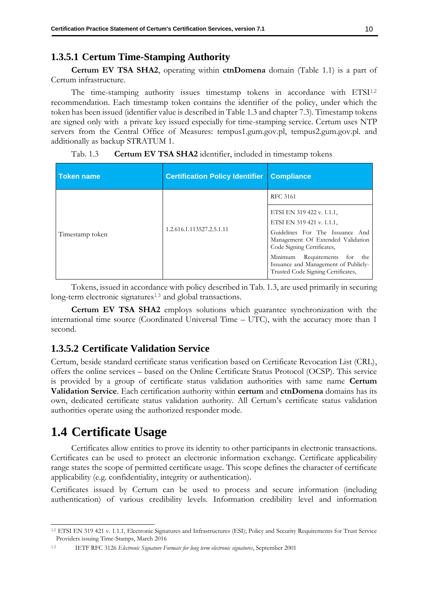#### <span id="page-18-0"></span>**1.3.5.1 Certum Time-Stamping Authority**

**Certum EV TSA SHA2**, operating within **ctnDomena** domain (Table 1.1) is a part of Certum infrastructure.

The time-stamping authority issues timestamp tokens in accordance with ETSI<sup>12</sup> recommendation. Each timestamp token contains the identifier of the policy, under which the token has been issued (identifier value is described in Table 1.3 and chapter [7.3\)](#page-89-0). Timestamp tokens are signed only with a private key issued especially for time-stamping service. Certum uses NTP servers from the Central Office of Measures: tempus1.gum.gov.pl, tempus2.gum.gov.pl. and additionally as backup STRATUM 1.

| <b>Token name</b> | <b>Certification Policy Identifier</b> | <b>Compliance</b>                                                                                                                                                                                                                                                             |
|-------------------|----------------------------------------|-------------------------------------------------------------------------------------------------------------------------------------------------------------------------------------------------------------------------------------------------------------------------------|
|                   |                                        | <b>RFC 3161</b>                                                                                                                                                                                                                                                               |
| Timestamp token   | 1.2.616.1.113527.2.5.1.11              | ETSI EN 319 422 v. 1.1.1,<br>ETSI EN 319 421 v. 1.1.1,<br>Guidelines For The Issuance And<br>Management Of Extended Validation<br>Code Signing Certificates,<br>Minimum<br>Requirements for the<br>Issuance and Management of Publicly-<br>Trusted Code Signing Certificates, |

Tab. 1.3 **Certum EV TSA SHA2** identifier, included in timestamp tokens

Tokens, issued in accordance with policy described in Tab. 1.3, are used primarily in securing long-term electronic signatures<sup>13</sup> and global transactions.

**Certum EV TSA SHA2** employs solutions which guarantee synchronization with the international time source (Coordinated Universal Time – UTC), with the accuracy more than 1 second.

#### <span id="page-18-1"></span>**1.3.5.2 Certificate Validation Service**

Certum, beside standard certificate status verification based on Certificate Revocation List (CRL), offers the online services – based on the Online Certificate Status Protocol (OCSP). This service is provided by a group of certificate status validation authorities with same name **Certum Validation Service**. Each certification authority within **certum** and **ctnDomena** domains has its own, dedicated certificate status validation authority. All Certum's certificate status validation authorities operate using the authorized responder mode.

## <span id="page-18-2"></span>**1.4 Certificate Usage**

Certificates allow entities to prove its identity to other participants in electronic transactions. Certificates can be used to protect an electronic information exchange. Certificate applicability range states the scope of permitted certificate usage. This scope defines the character of certificate applicability (e.g. confidentiality, integrity or authentication).

Certificates issued by Certum can be used to process and secure information (including authentication) of various credibility levels. Information credibility level and information

<sup>12</sup> ETSI EN 319 421 v. 1.1.1, Electronic Signatures and Infrastructures (ESI); Policy and Security Requirements for Trust Service Providers issuing Time-Stamps, March 2016

<sup>13</sup> IETF RFC 3126 *Electronic Signature Formats for long term electronic signatures*, September 2001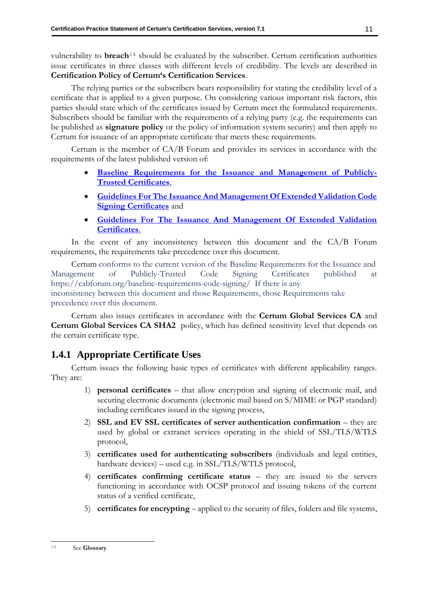vulnerability to **breach**<sup>14</sup> should be evaluated by the subscriber. Certum certification authorities issue certificates in three classes with different levels of credibility. The levels are described in **Certification Policy of Certum's Certification Services**.

The relying parties or the subscribers bears responsibility for stating the credibility level of a certificate that is applied to a given purpose. On considering various important risk factors, this parties should state which of the certificates issued by Certum meet the formulated requirements. Subscribers should be familiar with the requirements of a relying party (e.g. the requirements can be published as **signature policy** or the policy of information system security) and then apply to Certum for issuance of an appropriate certificate that meets these requirements.

Certum is the member of CA/B Forum and provides its services in accordance with the requirements of the latest published version of:

- **Baseline [Requirements](https://cabforum.org/baseline-requirements-documents/) for the Issuance and Management of Publicly-Trusted [Certificates](https://cabforum.org/baseline-requirements-documents/)**,
- **[Guidelines For The Issuance And Management Of Extended Validation Code](https://cabforum.org/ev-code-signing-certificate-guidelines/)  [Signing Certificates](https://cabforum.org/ev-code-signing-certificate-guidelines/)** and
- **[Guidelines For The Issuance And Management Of Extended Validation](https://cabforum.org/extended-validation/)  [Certificates](https://cabforum.org/extended-validation/)**.

In the event of any inconsistency between this document and the CA/B Forum requirements, the requirements take precedence over this document.

Certum conforms to the current version of the Baseline Requirements for the Issuance and Management of Publicly-Trusted Code Signing Certificates published at https://cabforum.org/baseline-requirements-code-signing/ If there is any inconsistency between this document and those Requirements, those Requirements take precedence over this document.

Certum also issues certificates in accordance with the **Certum Global Services CA** and **Certum Global Services CA SHA2** policy, which has defined sensitivity level that depends on the certain certificate type.

#### <span id="page-19-0"></span>**1.4.1 Appropriate Certificate Uses**

Certum issues the following basic types of certificates with different applicability ranges. They are:

- 1) **personal certificates** that allow encryption and signing of electronic mail, and securing electronic documents (electronic mail based on S/MIME or PGP standard) including certificates issued in the signing process,
- 2) **SSL and EV SSL certificates of server authentication confirmation** they are used by global or extranet services operating in the shield of SSL/TLS/WTLS protocol,
- 3) **certificates used for authenticating subscribers** (individuals and legal entities, hardware devices) – used e.g. in SSL/TLS/WTLS protocol,
- 4) **certificates confirming certificate status** they are issued to the servers functioning in accordance with OCSP protocol and issuing tokens of the current status of a verified certificate,
- 5) **certificates for encrypting** applied to the security of files, folders and file systems,

<sup>14</sup> See **Glossary**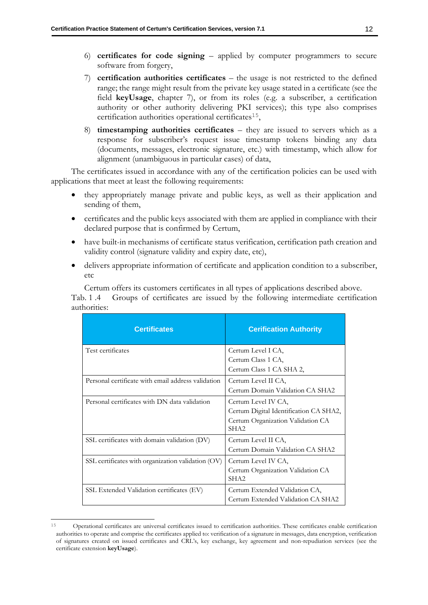- 6) **certificates for code signing** applied by computer programmers to secure software from forgery,
- 7) **certification authorities certificates** the usage is not restricted to the defined range; the range might result from the private key usage stated in a certificate (see the field **keyUsage**, chapter [7\)](#page-84-0), or from its roles (e.g. a subscriber, a certification authority or other authority delivering PKI services); this type also comprises certification authorities operational certificates<sup>15</sup>,
- 8) **timestamping authorities certificates** they are issued to servers which as a response for subscriber's request issue timestamp tokens binding any data (documents, messages, electronic signature, etc.) with timestamp, which allow for alignment (unambiguous in particular cases) of data,

The certificates issued in accordance with any of the certification policies can be used with applications that meet at least the following requirements:

- they appropriately manage private and public keys, as well as their application and sending of them,
- certificates and the public keys associated with them are applied in compliance with their declared purpose that is confirmed by Certum,
- have built-in mechanisms of certificate status verification, certification path creation and validity control (signature validity and expiry date, etc),
- delivers appropriate information of certificate and application condition to a subscriber, etc

Certum offers its customers certificates in all types of applications described above.

Tab. 1 .4 Groups of certificates are issued by the following intermediate certification authorities:

| <b>Certificates</b>                                | <b>Cerification Authority</b>                                                                                          |
|----------------------------------------------------|------------------------------------------------------------------------------------------------------------------------|
| Test certificates                                  | Certum Level I CA,<br>Certum Class 1 CA,                                                                               |
|                                                    | Certum Class 1 CA SHA 2,                                                                                               |
| Personal certificate with email address validation | Certum Level II CA,<br>Certum Domain Validation CA SHA2                                                                |
| Personal certificates with DN data validation      | Certum Level IV CA,<br>Certum Digital Identification CA SHA2,<br>Certum Organization Validation CA<br>SHA <sub>2</sub> |
| SSL certificates with domain validation (DV)       | Certum Level II CA,<br>Certum Domain Validation CA SHA2                                                                |
| SSL certificates with organization validation (OV) | Certum Level IV CA,<br>Certum Organization Validation CA<br>SHA <sub>2</sub>                                           |
| SSL Extended Validation certificates (EV)          | Certum Extended Validation CA,<br>Certum Extended Validation CA SHA2                                                   |

<sup>15</sup> Operational certificates are universal certificates issued to certification authorities. These certificates enable certification authorities to operate and comprise the certificates applied to: verification of a signature in messages, data encryption, verification of signatures created on issued certificates and CRL's, key exchange, key agreement and non-repudiation services (see the certificate extension **keyUsage**).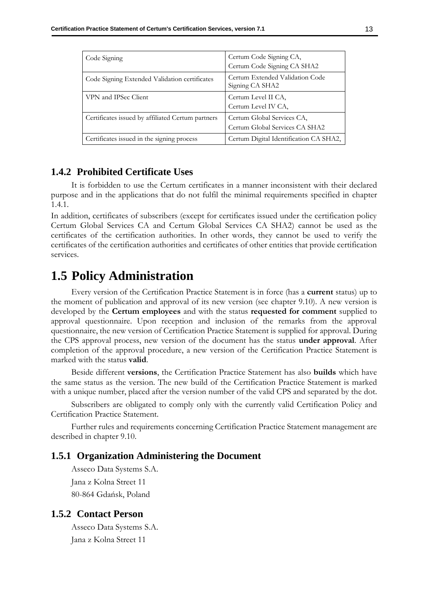| Code Signing                                      | Certum Code Signing CA,<br>Certum Code Signing CA SHA2       |
|---------------------------------------------------|--------------------------------------------------------------|
| Code Signing Extended Validation certificates     | Certum Extended Validation Code<br>Signing CA SHA2           |
| VPN and IPSec Client                              | Certum Level II CA,<br>Certum Level IV CA,                   |
| Certificates issued by affiliated Certum partners | Certum Global Services CA,<br>Certum Global Services CA SHA2 |
| Certificates issued in the signing process        | Certum Digital Identification CA SHA2,                       |

#### <span id="page-21-0"></span>**1.4.2 Prohibited Certificate Uses**

It is forbidden to use the Certum certificates in a manner inconsistent with their declared purpose and in the applications that do not fulfil the minimal requirements specified in chapter 1.4.1.

In addition, certificates of subscribers (except for certificates issued under the certification policy Certum Global Services CA and Certum Global Services CA SHA2) cannot be used as the certificates of the certification authorities. In other words, they cannot be used to verify the certificates of the certification authorities and certificates of other entities that provide certification services.

## <span id="page-21-1"></span>**1.5 Policy Administration**

Every version of the Certification Practice Statement is in force (has a **current** status) up to the moment of publication and approval of its new version (see chapter [9.10\)](#page-110-0). A new version is developed by the **Certum employees** and with the status **requested for comment** supplied to approval questionnaire. Upon reception and inclusion of the remarks from the approval questionnaire, the new version of Certification Practice Statement is supplied for approval. During the CPS approval process, new version of the document has the status **under approval**. After completion of the approval procedure, a new version of the Certification Practice Statement is marked with the status **valid**.

Beside different **versions**, the Certification Practice Statement has also **builds** which have the same status as the version. The new build of the Certification Practice Statement is marked with a unique number, placed after the version number of the valid CPS and separated by the dot.

Subscribers are obligated to comply only with the currently valid Certification Policy and Certification Practice Statement.

Further rules and requirements concerning Certification Practice Statement management are described in chapter 9.10.

#### <span id="page-21-2"></span>**1.5.1 Organization Administering the Document**

Asseco Data Systems S.A. Jana z Kolna Street 11 80-864 Gdańsk, Poland

#### <span id="page-21-3"></span>**1.5.2 Contact Person**

Asseco Data Systems S.A. Jana z Kolna Street 11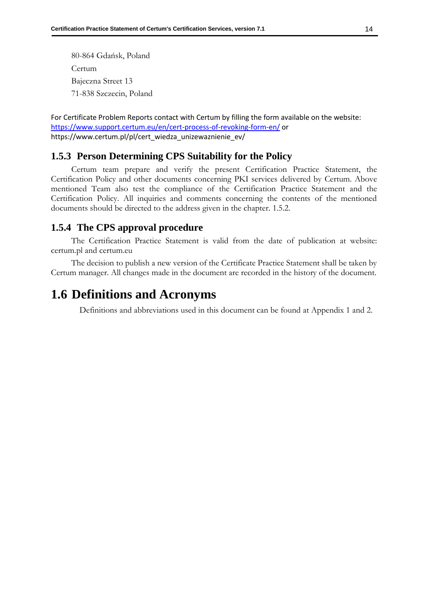80-864 Gdańsk, Poland Certum Bajeczna Street 13 71-838 Szczecin, Poland

For Certificate Problem Reports contact with Certum by filling the form available on the website: <https://www.support.certum.eu/en/cert-process-of-revoking-form-en/> or https://www.certum.pl/pl/cert\_wiedza\_unizewaznienie\_ev/

#### <span id="page-22-0"></span>**1.5.3 Person Determining CPS Suitability for the Policy**

Certum team prepare and verify the present Certification Practice Statement, the Certification Policy and other documents concerning PKI services delivered by Certum. Above mentioned Team also test the compliance of the Certification Practice Statement and the Certification Policy. All inquiries and comments concerning the contents of the mentioned documents should be directed to the address given in the chapter. 1.5.2.

#### <span id="page-22-1"></span>**1.5.4 The CPS approval procedure**

The Certification Practice Statement is valid from the date of publication at website: certum.pl and certum.eu

The decision to publish a new version of the Certificate Practice Statement shall be taken by Certum manager. All changes made in the document are recorded in the history of the document.

## <span id="page-22-2"></span>**1.6 Definitions and Acronyms**

Definitions and abbreviations used in this document can be found at Appendix 1 and 2.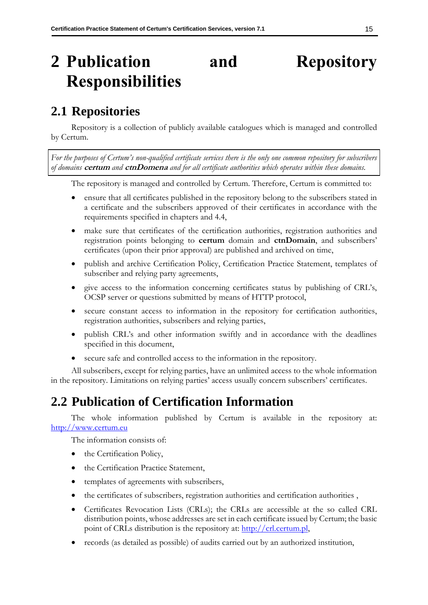# <span id="page-23-0"></span>**2 Publication and Repository Responsibilities**

## <span id="page-23-1"></span>**2.1 Repositories**

Repository is a collection of publicly available catalogues which is managed and controlled by Certum.

*For the purposes of Certum's non-qualified certificate services there is the only one common repository for subscribers of domains* **certum** *and* **ctnDomena** *and for all certificate authorities which operates within these domains.* 

The repository is managed and controlled by Certum. Therefore, Certum is committed to:

- ensure that all certificates published in the repository belong to the subscribers stated in a certificate and the subscribers approved of their certificates in accordance with the requirements specified in chapters and [4.4,](#page-40-1)
- make sure that certificates of the certification authorities, registration authorities and registration points belonging to **certum** domain and **ctnDomain**, and subscribers' certificates (upon their prior approval) are published and archived on time,
- publish and archive Certification Policy, Certification Practice Statement, templates of subscriber and relying party agreements,
- give access to the information concerning certificates status by publishing of CRL's, OCSP server or questions submitted by means of HTTP protocol,
- secure constant access to information in the repository for certification authorities, registration authorities, subscribers and relying parties,
- publish CRL's and other information swiftly and in accordance with the deadlines specified in this document,
- secure safe and controlled access to the information in the repository.

All subscribers, except for relying parties, have an unlimited access to the whole information in the repository. Limitations on relying parties' access usually concern subscribers' certificates.

## <span id="page-23-2"></span>**2.2 Publication of Certification Information**

The whole information published by Certum is available in the repository at: [http://www.certum.eu](http://www.certum.eu/)

The information consists of:

- the Certification Policy,
- the Certification Practice Statement,
- templates of agreements with subscribers,
- the certificates of subscribers, registration authorities and certification authorities ,
- Certificates Revocation Lists (CRLs); the CRLs are accessible at the so called CRL distribution points, whose addresses are set in each certificate issued by Certum; the basic point of CRLs distribution is the repository at: [http://crl.certum.pl,](http://crl.certum.pl/)
- records (as detailed as possible) of audits carried out by an authorized institution,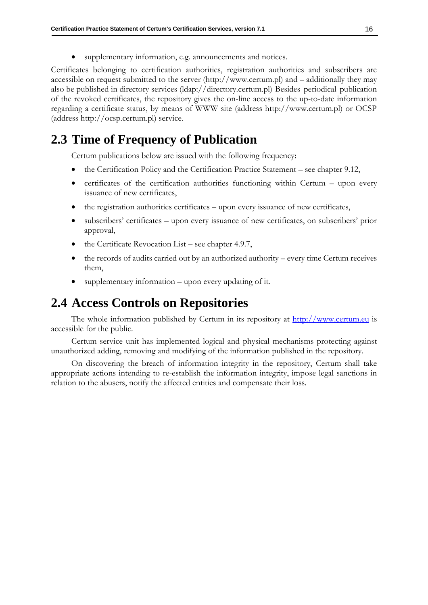supplementary information, e.g. announcements and notices.

Certificates belonging to certification authorities, registration authorities and subscribers are accessible on request submitted to the server [\(http://www.certum.pl\)](http://www.certum.pl/) and – additionally they may also be published in directory services (ldap://directory.certum.pl) Besides periodical publication of the revoked certificates, the repository gives the on-line access to the up-to-date information regarding a certificate status, by means of WWW site (address http://www.certum.pl) or OCSP (address http://ocsp.certum.pl) service.

## <span id="page-24-0"></span>**2.3 Time of Frequency of Publication**

Certum publications below are issued with the following frequency:

- the Certification Policy and the Certification Practice Statement see chapter [9.12,](#page-110-5)
- certificates of the certification authorities functioning within Certum upon every issuance of new certificates,
- the registration authorities certificates upon every issuance of new certificates,
- subscribers' certificates upon every issuance of new certificates, on subscribers' prior approval,
- the Certificate Revocation List see chapter [4.9.7,](#page-50-0)
- the records of audits carried out by an authorized authority every time Certum receives them,
- supplementary information upon every updating of it.

### <span id="page-24-1"></span>**2.4 Access Controls on Repositories**

The whole information published by Certum in its repository at [http://www.certum.eu](http://www.certum.eu/) is accessible for the public.

Certum service unit has implemented logical and physical mechanisms protecting against unauthorized adding, removing and modifying of the information published in the repository.

On discovering the breach of information integrity in the repository, Certum shall take appropriate actions intending to re-establish the information integrity, impose legal sanctions in relation to the abusers, notify the affected entities and compensate their loss.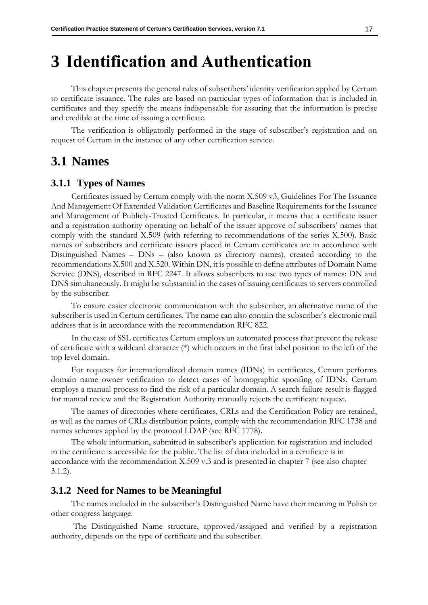## <span id="page-25-0"></span>**3 Identification and Authentication**

This chapter presents the general rules of subscribers' identity verification applied by Certum to certificate issuance. The rules are based on particular types of information that is included in certificates and they specify the means indispensable for assuring that the information is precise and credible at the time of issuing a certificate.

The verification is obligatorily performed in the stage of subscriber's registration and on request of Certum in the instance of any other certification service.

## <span id="page-25-1"></span>**3.1 Names**

#### <span id="page-25-2"></span>**3.1.1 Types of Names**

Certificates issued by Certum comply with the norm X.509 v3, Guidelines For The Issuance And Management Of Extended Validation Certificates and Baseline Requirements for the Issuance and Management of Publicly-Trusted Certificates. In particular, it means that a certificate issuer and a registration authority operating on behalf of the issuer approve of subscribers' names that comply with the standard X.509 (with referring to recommendations of the series X.500). Basic names of subscribers and certificate issuers placed in Certum certificates are in accordance with Distinguished Names – DNs – (also known as directory names), created according to the recommendations X.500 and X.520. Within DN, it is possible to define attributes of Domain Name Service (DNS), described in RFC 2247. It allows subscribers to use two types of names: DN and DNS simultaneously. It might be substantial in the cases of issuing certificates to servers controlled by the subscriber.

To ensure easier electronic communication with the subscriber, an alternative name of the subscriber is used in Certum certificates. The name can also contain the subscriber's electronic mail address that is in accordance with the recommendation RFC 822.

In the case of SSL certificates Certum employs an automated process that prevent the release of certificate with a wildcard character (\*) which occurs in the first label position to the left of the top level domain.

For requests for internationalized domain names (IDNs) in certificates, Certum performs domain name owner verification to detect cases of homographic spoofing of IDNs. Certum employs a manual process to find the risk of a particular domain. A search failure result is flagged for manual review and the Registration Authority manually rejects the certificate request.

The names of directories where certificates, CRLs and the Certification Policy are retained, as well as the names of CRLs distribution points, comply with the recommendation RFC 1738 and names schemes applied by the protocol LDAP (see RFC 1778).

The whole information, submitted in subscriber's application for registration and included in the certificate is accessible for the public. The list of data included in a certificate is in accordance with the recommendation X.509 v.3 and is presented in chapter [7](#page-84-0) (see also chapter [3.1.2\)](#page-25-3).

#### <span id="page-25-3"></span>**3.1.2 Need for Names to be Meaningful**

The names included in the subscriber's Distinguished Name have their meaning in Polish or other congress language.

The Distinguished Name structure, approved/assigned and verified by a registration authority, depends on the type of certificate and the subscriber.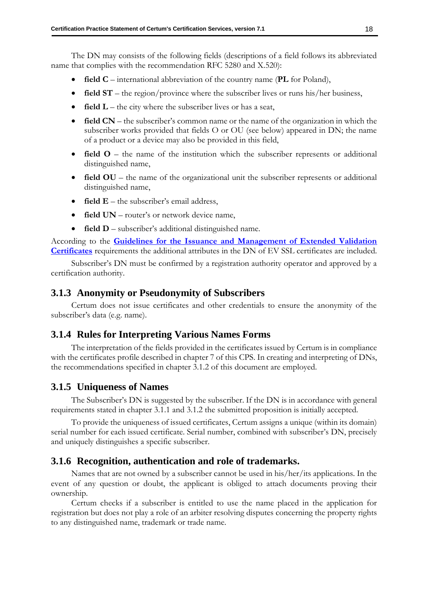The DN may consists of the following fields (descriptions of a field follows its abbreviated name that complies with the recommendation RFC 5280 and X.520):

- **field C** international abbreviation of the country name (**PL** for Poland),
- **field ST** the region/province where the subscriber lives or runs his/her business,
- **field L** the city where the subscriber lives or has a seat,
- **field CN** the subscriber's common name or the name of the organization in which the subscriber works provided that fields O or OU (see below) appeared in DN; the name of a product or a device may also be provided in this field,
- **field O** the name of the institution which the subscriber represents or additional distinguished name,
- **field OU** the name of the organizational unit the subscriber represents or additional distinguished name,
- **field E** the subscriber's email address,
- **field UN** router's or network device name,
- **field D** subscriber's additional distinguished name.

According to the **[Guidelines for the Issuance and Management of Extended Validation](https://cabforum.org/extended-validation/)  [Certificates](https://cabforum.org/extended-validation/)** requirements the additional attributes in the DN of EV SSL certificates are included.

Subscriber's DN must be confirmed by a registration authority operator and approved by a certification authority.

#### <span id="page-26-0"></span>**3.1.3 Anonymity or Pseudonymity of Subscribers**

Certum does not issue certificates and other credentials to ensure the anonymity of the subscriber's data (e.g. name).

#### <span id="page-26-1"></span>**3.1.4 Rules for Interpreting Various Names Forms**

The interpretation of the fields provided in the certificates issued by Certum is in compliance with the certificates profile described in chapter 7 of this CPS. In creating and interpreting of DNs, the recommendations specified in chapter [3.1.2](#page-25-3) of this document are employed.

#### <span id="page-26-2"></span>**3.1.5 Uniqueness of Names**

The Subscriber's DN is suggested by the subscriber. If the DN is in accordance with general requirements stated in chapter [3.1.1](#page-25-2) and [3.1.2](#page-25-3) the submitted proposition is initially accepted.

To provide the uniqueness of issued certificates, Certum assigns a unique (within its domain) serial number for each issued certificate. Serial number, combined with subscriber's DN, precisely and uniquely distinguishes a specific subscriber.

#### <span id="page-26-3"></span>**3.1.6 Recognition, authentication and role of trademarks.**

Names that are not owned by a subscriber cannot be used in his/her/its applications. In the event of any question or doubt, the applicant is obliged to attach documents proving their ownership.

Certum checks if a subscriber is entitled to use the name placed in the application for registration but does not play a role of an arbiter resolving disputes concerning the property rights to any distinguished name, trademark or trade name.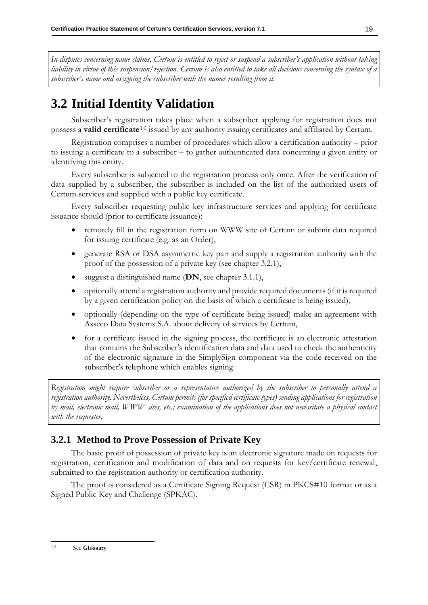*In disputes concerning name claims, Certum is entitled to reject or suspend a subscriber's application without taking liability in virtue of this suspension/rejection. Certum is also entitled to take all decisions concerning the syntax of a subscriber's name and assigning the subscriber with the names resulting from it.*

## <span id="page-27-0"></span>**3.2 Initial Identity Validation**

Subscriber's registration takes place when a subscriber applying for registration does not possess a **valid certificate**<sup>16</sup> issued by any authority issuing certificates and affiliated by Certum.

Registration comprises a number of procedures which allow a certification authority – prior to issuing a certificate to a subscriber – to gather authenticated data concerning a given entity or identifying this entity.

Every subscriber is subjected to the registration process only once. After the verification of data supplied by a subscriber, the subscriber is included on the list of the authorized users of Certum services and supplied with a public key certificate.

Every subscriber requesting public key infrastructure services and applying for certificate issuance should (prior to certificate issuance):

- remotely fill in the registration form on WWW site of Certum or submit data required for issuing certificate (e.g. as an Order),
- generate RSA or DSA asymmetric key pair and supply a registration authority with the proof of the possession of a private key (see chapter [3.2.1\)](#page-27-1),
- suggest a distinguished name (**DN**, see chapter [3.1.1\)](#page-25-2),
- optionally attend a registration authority and provide required documents (if it is required by a given certification policy on the basis of which a certificate is being issued),
- optionally (depending on the type of certificate being issued) make an agreement with Asseco Data Systems S.A. about delivery of services by Certum,
- for a certificate issued in the signing process, the certificate is an electronic attestation that contains the Subscriber's identification data and data used to check the authenticity of the electronic signature in the SimplySign component via the code received on the subscriber's telephone which enables signing.

*Registration might require subscriber or a representative authorized by the subscriber to personally attend a registration authority. Nevertheless, Certum permits (for specified certificate types) sending applications for registration by mail, electronic mail, WWW sites, etc.; examination of the applications does not necessitate a physical contact with the requester.*

#### <span id="page-27-1"></span>**3.2.1 Method to Prove Possession of Private Key**

The basic proof of possession of private key is an electronic signature made on requests for registration, certification and modification of data and on requests for key/certificate renewal, submitted to the registration authority or certification authority.

The proof is considered as a Certificate Signing Request (CSR) in PKCS#10 format or as a Signed Public Key and Challenge (SPKAC).

<sup>16</sup> See **Glossary**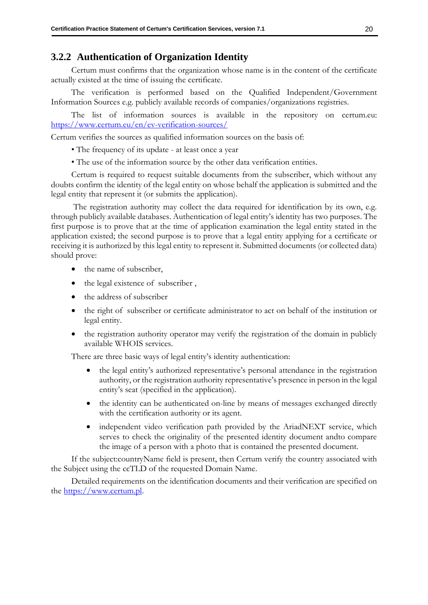#### <span id="page-28-0"></span>**3.2.2 Authentication of Organization Identity**

Certum must confirms that the organization whose name is in the content of the certificate actually existed at the time of issuing the certificate.

The verification is performed based on the Qualified Independent/Government Information Sources e.g. publicly available records of companies/organizations registries.

The list of information sources is available in the repository on certum.eu: <https://www.certum.eu/en/ev-verification-sources/>

Certum verifies the sources as qualified information sources on the basis of:

• The frequency of its update - at least once a year

• The use of the information source by the other data verification entities.

Certum is required to request suitable documents from the subscriber, which without any doubts confirm the identity of the legal entity on whose behalf the application is submitted and the legal entity that represent it (or submits the application).

The registration authority may collect the data required for identification by its own, e.g. through publicly available databases. Authentication of legal entity's identity has two purposes. The first purpose is to prove that at the time of application examination the legal entity stated in the application existed; the second purpose is to prove that a legal entity applying for a certificate or receiving it is authorized by this legal entity to represent it. Submitted documents (or collected data) should prove:

- the name of subscriber,
- the legal existence of subscriber ,
- the address of subscriber
- the right of subscriber or certificate administrator to act on behalf of the institution or legal entity.
- the registration authority operator may verify the registration of the domain in publicly available WHOIS services.

There are three basic ways of legal entity's identity authentication:

- the legal entity's authorized representative's personal attendance in the registration authority, or the registration authority representative's presence in person in the legal entity's seat (specified in the application).
- the identity can be authenticated on-line by means of messages exchanged directly with the certification authority or its agent.
- independent video verification path provided by the AriadNEXT service, which serves to check the originality of the presented identity document andto compare the image of a person with a photo that is contained the presented document.

If the subject:countryName field is present, then Certum verify the country associated with the Subject using the ccTLD of the requested Domain Name.

Detailed requirements on the identification documents and their verification are specified on the [https://www.certum.pl.](https://www.certum.pl/)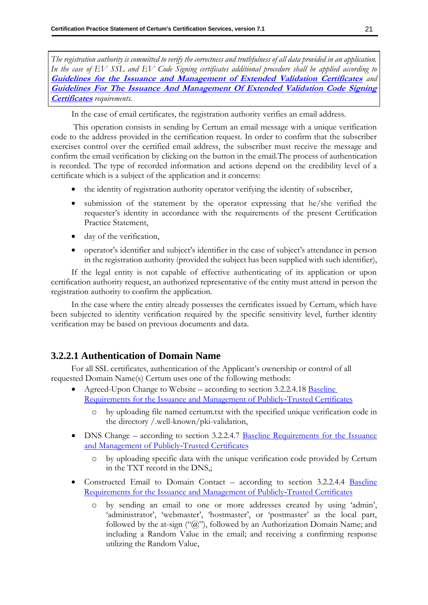*The registration authority is committed to verify the correctness and truthfulness of all data provided in an application. In the case of EV SSL and EV Code Signing certificates additional procedure shall be applied according to*  **[Guidelines for the Issuance and Management of Extended Validation Certificates](https://cabforum.org/extended-validation/)** *and*  **[Guidelines For The Issuance And Management Of Extended Validation Code Signing](https://cabforum.org/ev-code-signing-certificate-guidelines/)  [Certificates](https://cabforum.org/ev-code-signing-certificate-guidelines/)** *requirements.*

In the case of email certificates, the registration authority verifies an email address.

This operation consists in sending by Certum an email message with a unique verification code to the address provided in the certification request. In order to confirm that the subscriber exercises control over the certified email address, the subscriber must receive the message and confirm the email verification by clicking on the button in the email.The process of authentication is recorded. The type of recorded information and actions depend on the credibility level of a certificate which is a subject of the application and it concerns:

- the identity of registration authority operator verifying the identity of subscriber,
- submission of the statement by the operator expressing that he/she verified the requester's identity in accordance with the requirements of the present Certification Practice Statement,
- day of the verification,
- operator's identifier and subject's identifier in the case of subject's attendance in person in the registration authority (provided the subject has been supplied with such identifier),

If the legal entity is not capable of effective authenticating of its application or upon certification authority request, an authorized representative of the entity must attend in person the registration authority to confirm the application.

In the case where the entity already possesses the certificates issued by Certum, which have been subjected to identity verification required by the specific sensitivity level, further identity verification may be based on previous documents and data.

#### <span id="page-29-0"></span>**3.2.2.1 Authentication of Domain Name**

For all SSL certificates, authentication of the Applicant's ownership or control of all requested Domain Name(s) Certum uses one of the following methods:

- Agreed-Upon Change to Website according to section 3.2.2.4.18 Baseline [Requirements for the Issuance and Management of Publicly](https://cabforum.org/baseline-requirements-documents/)‐Trusted Certificates
	- by uploading file named certum.txt with the specified unique verification code in the directory /.well-known/pki-validation,
- DNS Change according to section 3.2.2.4.7 [Baseline Requirements for the Issuance](https://cabforum.org/baseline-requirements-documents/) [and Management of Publicly](https://cabforum.org/baseline-requirements-documents/)‐Trusted Certificates
	- o by uploading specific data with the unique verification code provided by Certum in the TXT record in the DNS,;
- Constructed Email to Domain Contact according to section 3.2.2.4.4 Baseline [Requirements for the Issuance](https://cabforum.org/baseline-requirements-documents/) and Management of Publicly‐Trusted Certificates
	- by sending an email to one or more addresses created by using 'admin', 'administrator', 'webmaster', 'hostmaster', or 'postmaster' as the local part, followed by the at-sign ("@"), followed by an Authorization Domain Name; and including a Random Value in the email; and receiving a confirming response utilizing the Random Value,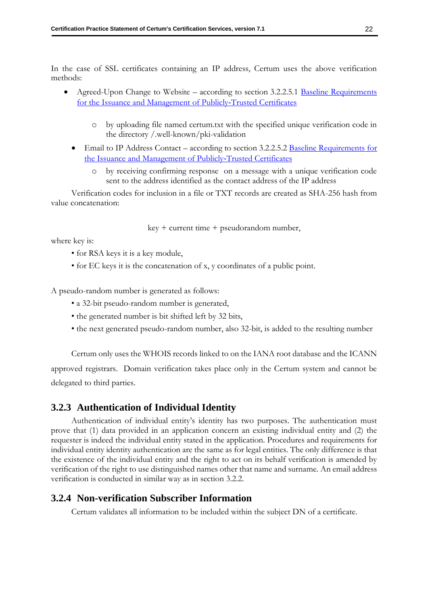In the case of SSL certificates containing an IP address, Certum uses the above verification methods:

- Agreed-Upon Change to Website according to section 3.2.2.5.1 Baseline Requirements for the Issuance [and Management of Publicly](https://cabforum.org/baseline-requirements-documents/)‐Trusted Certificates
	- o by uploading file named certum.txt with the specified unique verification code in the directory /.well-known/pki-validation
	- Email to IP Address Contact according to section 3.2.2.5.2 Baseline Requirements for the Issuance [and Management of Publicly](https://cabforum.org/baseline-requirements-documents/)‐Trusted Certificates
		- by receiving confirming response on a message with a unique verification code sent to the address identified as the contact address of the IP address

Verification codes for inclusion in a file or TXT records are created as SHA-256 hash from value concatenation:

 $key + current time + pseudorandom number,$ 

where key is:

- for RSA keys it is a key module,
- for EC keys it is the concatenation of x, y coordinates of a public point.

A pseudo-random number is generated as follows:

- a 32-bit pseudo-random number is generated,
- the generated number is bit shifted left by 32 bits,
- the next generated pseudo-random number, also 32-bit, is added to the resulting number

Certum only uses the WHOIS records linked to on the IANA root database and the ICANN approved registrars. Domain verification takes place only in the Certum system and cannot be delegated to third parties.

#### <span id="page-30-0"></span>**3.2.3 Authentication of Individual Identity**

Authentication of individual entity's identity has two purposes. The authentication must prove that (1) data provided in an application concern an existing individual entity and (2) the requester is indeed the individual entity stated in the application. Procedures and requirements for individual entity identity authentication are the same as for legal entities. The only difference is that the existence of the individual entity and the right to act on its behalf verification is amended by verification of the right to use distinguished names other that name and surname. An email address verification is conducted in similar way as in section [3.2.2.](#page-28-0)

#### <span id="page-30-1"></span>**3.2.4 Non-verification Subscriber Information**

Certum validates all information to be included within the subject DN of a certificate.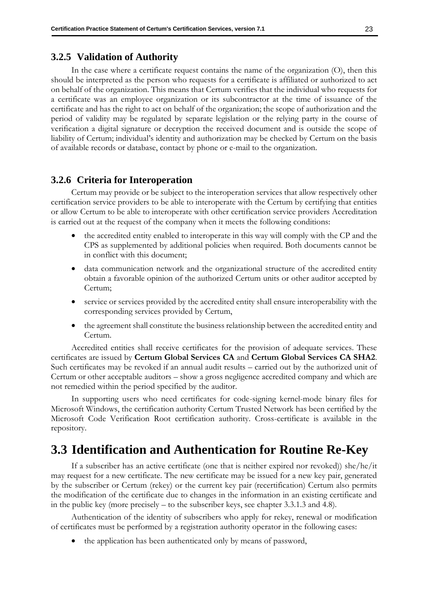#### <span id="page-31-0"></span>**3.2.5 Validation of Authority**

In the case where a certificate request contains the name of the organization (O), then this should be interpreted as the person who requests for a certificate is affiliated or authorized to act on behalf of the organization. This means that Certum verifies that the individual who requests for a certificate was an employee organization or its subcontractor at the time of issuance of the certificate and has the right to act on behalf of the organization; the scope of authorization and the period of validity may be regulated by separate legislation or the relying party in the course of verification a digital signature or decryption the received document and is outside the scope of liability of Certum; individual's identity and authorization may be checked by Certum on the basis of available records or database, contact by phone or e-mail to the organization.

#### <span id="page-31-1"></span>**3.2.6 Criteria for Interoperation**

Certum may provide or be subject to the interoperation services that allow respectively other certification service providers to be able to interoperate with the Certum by certifying that entities or allow Certum to be able to interoperate with other certification service providers Accreditation is carried out at the request of the company when it meets the following conditions:

- the accredited entity enabled to interoperate in this way will comply with the CP and the CPS as supplemented by additional policies when required. Both documents cannot be in conflict with this document;
- data communication network and the organizational structure of the accredited entity obtain a favorable opinion of the authorized Certum units or other auditor accepted by Certum;
- service or services provided by the accredited entity shall ensure interoperability with the corresponding services provided by Certum,
- the agreement shall constitute the business relationship between the accredited entity and Certum.

Accredited entities shall receive certificates for the provision of adequate services. These certificates are issued by **Certum Global Services CA** and **Certum Global Services CA SHA2**. Such certificates may be revoked if an annual audit results – carried out by the authorized unit of Certum or other acceptable auditors – show a gross negligence accredited company and which are not remedied within the period specified by the auditor.

In supporting users who need certificates for code-signing kernel-mode binary files for Microsoft Windows, the certification authority Certum Trusted Network has been certified by the Microsoft Code Verification Root certification authority. Cross-certificate is available in the repository.

## <span id="page-31-2"></span>**3.3 Identification and Authentication for Routine Re-Key**

If a subscriber has an active certificate (one that is neither expired nor revoked)) she/he/it may request for a new certificate. The new certificate may be issued for a new key pair, generated by the subscriber or Certum (rekey) or the current key pair (recertification) Certum also permits the modification of the certificate due to changes in the information in an existing certificate and in the public key (more precisely – to the subscriber keys, see chapter [3.3.1.3](#page-32-3) and [4.8\)](#page-43-6).

Authentication of the identity of subscribers who apply for rekey, renewal or modification of certificates must be performed by a registration authority operator in the following cases:

• the application has been authenticated only by means of password,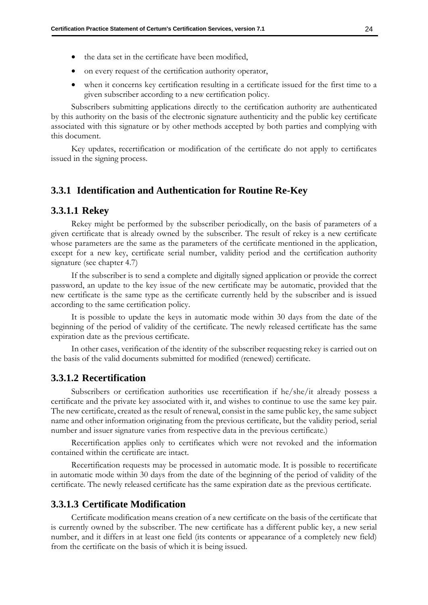- on every request of the certification authority operator,
- when it concerns key certification resulting in a certificate issued for the first time to a given subscriber according to a new certification policy.

Subscribers submitting applications directly to the certification authority are authenticated by this authority on the basis of the electronic signature authenticity and the public key certificate associated with this signature or by other methods accepted by both parties and complying with this document.

Key updates, recertification or modification of the certificate do not apply to certificates issued in the signing process.

#### <span id="page-32-0"></span>**3.3.1 Identification and Authentication for Routine Re-Key**

#### <span id="page-32-1"></span>**3.3.1.1 Rekey**

Rekey might be performed by the subscriber periodically, on the basis of parameters of a given certificate that is already owned by the subscriber. The result of rekey is a new certificate whose parameters are the same as the parameters of the certificate mentioned in the application, except for a new key, certificate serial number, validity period and the certification authority signature (see chapter 4.7)

If the subscriber is to send a complete and digitally signed application or provide the correct password, an update to the key issue of the new certificate may be automatic, provided that the new certificate is the same type as the certificate currently held by the subscriber and is issued according to the same certification policy.

It is possible to update the keys in automatic mode within 30 days from the date of the beginning of the period of validity of the certificate. The newly released certificate has the same expiration date as the previous certificate.

In other cases, verification of the identity of the subscriber requesting rekey is carried out on the basis of the valid documents submitted for modified (renewed) certificate.

#### <span id="page-32-2"></span>**3.3.1.2 Recertification**

Subscribers or certification authorities use recertification if he/she/it already possess a certificate and the private key associated with it, and wishes to continue to use the same key pair. The new certificate, created as the result of renewal, consist in the same public key, the same subject name and other information originating from the previous certificate, but the validity period, serial number and issuer signature varies from respective data in the previous certificate.)

Recertification applies only to certificates which were not revoked and the information contained within the certificate are intact.

Recertification requests may be processed in automatic mode. It is possible to recertificate in automatic mode within 30 days from the date of the beginning of the period of validity of the certificate. The newly released certificate has the same expiration date as the previous certificate.

#### <span id="page-32-3"></span>**3.3.1.3 Certificate Modification**

Certificate modification means creation of a new certificate on the basis of the certificate that is currently owned by the subscriber. The new certificate has a different public key, a new serial number, and it differs in at least one field (its contents or appearance of a completely new field) from the certificate on the basis of which it is being issued.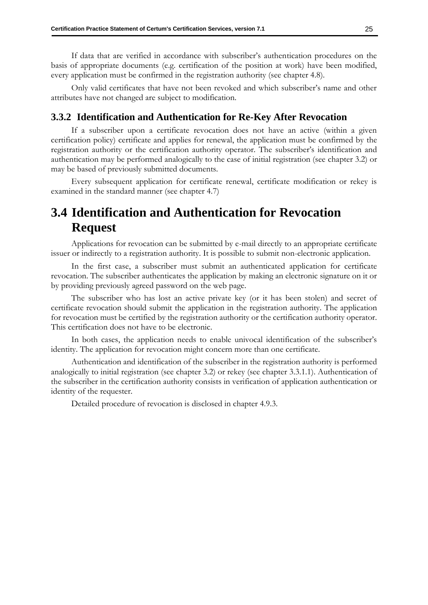If data that are verified in accordance with subscriber's authentication procedures on the basis of appropriate documents (e.g. certification of the position at work) have been modified, every application must be confirmed in the registration authority (see chapter [4.8\)](#page-43-6).

Only valid certificates that have not been revoked and which subscriber's name and other attributes have not changed are subject to modification.

#### <span id="page-33-0"></span>**3.3.2 Identification and Authentication for Re-Key After Revocation**

If a subscriber upon a certificate revocation does not have an active (within a given certification policy) certificate and applies for renewal, the application must be confirmed by the registration authority or the certification authority operator. The subscriber's identification and authentication may be performed analogically to the case of initial registration (see chapter [3.2\)](#page-27-0) or may be based of previously submitted documents.

Every subsequent application for certificate renewal, certificate modification or rekey is examined in the standard manner (see chapter 4.7)

## <span id="page-33-1"></span>**3.4 Identification and Authentication for Revocation Request**

Applications for revocation can be submitted by e-mail directly to an appropriate certificate issuer or indirectly to a registration authority. It is possible to submit non-electronic application.

In the first case, a subscriber must submit an authenticated application for certificate revocation. The subscriber authenticates the application by making an electronic signature on it or by providing previously agreed password on the web page.

The subscriber who has lost an active private key (or it has been stolen) and secret of certificate revocation should submit the application in the registration authority. The application for revocation must be certified by the registration authority or the certification authority operator. This certification does not have to be electronic.

In both cases, the application needs to enable univocal identification of the subscriber's identity. The application for revocation might concern more than one certificate.

Authentication and identification of the subscriber in the registration authority is performed analogically to initial registration (see chapter [3.2\)](#page-27-0) or rekey (see chapter [3.3.1.1\)](#page-32-1). Authentication of the subscriber in the certification authority consists in verification of application authentication or identity of the requester.

Detailed procedure of revocation is disclosed in chapter [4.9.3.](#page-48-0)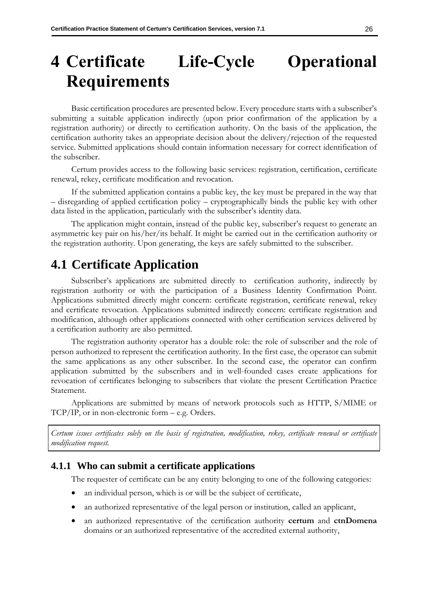# <span id="page-34-0"></span>**4 Certificate Life-Cycle Operational Requirements**

Basic certification procedures are presented below. Every procedure starts with a subscriber's submitting a suitable application indirectly (upon prior confirmation of the application by a registration authority) or directly to certification authority. On the basis of the application, the certification authority takes an appropriate decision about the delivery/rejection of the requested service. Submitted applications should contain information necessary for correct identification of the subscriber.

Certum provides access to the following basic services: registration, certification, certificate renewal, rekey, certificate modification and revocation.

If the submitted application contains a public key, the key must be prepared in the way that – disregarding of applied certification policy – cryptographically binds the public key with other data listed in the application, particularly with the subscriber's identity data.

The application might contain, instead of the public key, subscriber's request to generate an asymmetric key pair on his/her/its behalf. It might be carried out in the certification authority or the registration authority. Upon generating, the keys are safely submitted to the subscriber.

## <span id="page-34-1"></span>**4.1 Certificate Application**

Subscriber's applications are submitted directly to certification authority, indirectly by registration authority or with the participation of a Business Identity Confirmation Point. Applications submitted directly might concern: certificate registration, certificate renewal, rekey and certificate revocation. Applications submitted indirectly concern: certificate registration and modification, although other applications connected with other certification services delivered by a certification authority are also permitted.

The registration authority operator has a double role: the role of subscriber and the role of person authorized to represent the certification authority. In the first case, the operator can submit the same applications as any other subscriber. In the second case, the operator can confirm application submitted by the subscribers and in well-founded cases create applications for revocation of certificates belonging to subscribers that violate the present Certification Practice Statement.

Applications are submitted by means of network protocols such as HTTP, S/MIME or TCP/IP, or in non-electronic form – e.g. Orders.

*Certum issues certificates solely on the basis of registration, modification, rekey, certificate renewal or certificate modification request.*

#### <span id="page-34-2"></span>**4.1.1 Who can submit a certificate applications**

The requester of certificate can be any entity belonging to one of the following categories:

- an individual person, which is or will be the subject of certificate,
- an authorized representative of the legal person or institution, called an applicant,
- an authorized representative of the certification authority **certum** and **ctnDomena** domains or an authorized representative of the accredited external authority,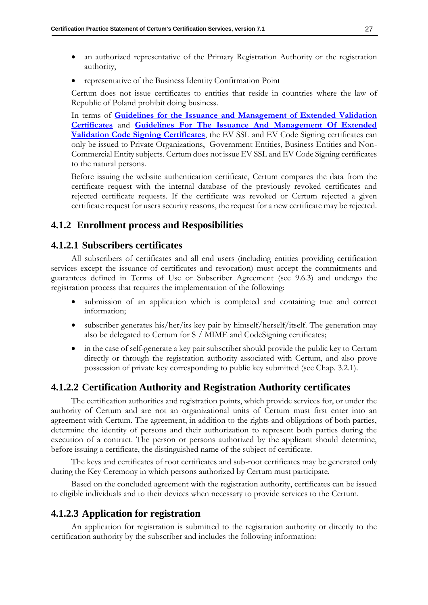- an authorized representative of the Primary Registration Authority or the registration authority,
- representative of the Business Identity Confirmation Point

Certum does not issue certificates to entities that reside in countries where the law of Republic of Poland prohibit doing business.

In terms of **[Guidelines for the Issuance and Management of Extended Validation](https://cabforum.org/extended-validation/)  [Certificates](https://cabforum.org/extended-validation/)** and **[Guidelines For The Issuance And Management Of Extended](https://cabforum.org/ev-code-signing-certificate-guidelines/)  [Validation Code Signing Certificates](https://cabforum.org/ev-code-signing-certificate-guidelines/)**, the EV SSL and EV Code Signing certificates can only be issued to Private Organizations, Government Entities, Business Entities and Non-Commercial Entity subjects. Certum does not issue EV SSL and EV Code Signing certificates to the natural persons.

Before issuing the website authentication certificate, Certum compares the data from the certificate request with the internal database of the previously revoked certificates and rejected certificate requests. If the certificate was revoked or Certum rejected a given certificate request for users security reasons, the request for a new certificate may be rejected.

#### <span id="page-35-0"></span>**4.1.2 Enrollment process and Resposibilities**

#### <span id="page-35-1"></span>**4.1.2.1 Subscribers certificates**

All subscribers of certificates and all end users (including entities providing certification services except the issuance of certificates and revocation) must accept the commitments and guarantees defined in Terms of Use or Subscriber Agreement (see [9.6.3\)](#page-104-0) and undergo the registration process that requires the implementation of the following:

- submission of an application which is completed and containing true and correct information;
- subscriber generates his/her/its key pair by himself/herself/itself. The generation may also be delegated to Certum for S / MIME and CodeSigning certificates;
- in the case of self-generate a key pair subscriber should provide the public key to Certum directly or through the registration authority associated with Certum, and also prove possession of private key corresponding to public key submitted (see Chap. 3.2.1).

#### <span id="page-35-2"></span>**4.1.2.2 Certification Authority and Registration Authority certificates**

The certification authorities and registration points, which provide services for, or under the authority of Certum and are not an organizational units of Certum must first enter into an agreement with Certum. The agreement, in addition to the rights and obligations of both parties, determine the identity of persons and their authorization to represent both parties during the execution of a contract. The person or persons authorized by the applicant should determine, before issuing a certificate, the distinguished name of the subject of certificate.

The keys and certificates of root certificates and sub-root certificates may be generated only during the Key Ceremony in which persons authorized by Certum must participate.

Based on the concluded agreement with the registration authority, certificates can be issued to eligible individuals and to their devices when necessary to provide services to the Certum.

#### <span id="page-35-3"></span>**4.1.2.3 Application for registration**

An application for registration is submitted to the registration authority or directly to the certification authority by the subscriber and includes the following information: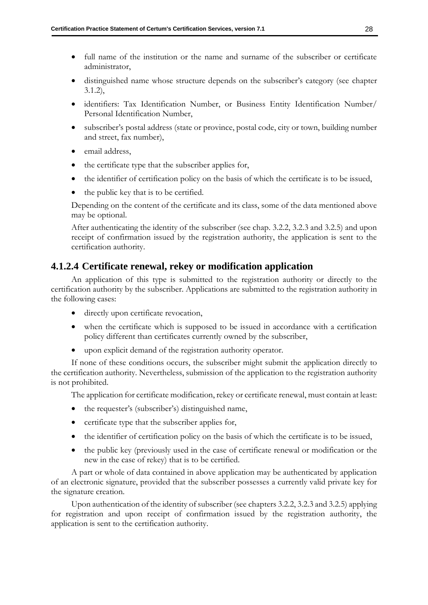- full name of the institution or the name and surname of the subscriber or certificate administrator,
- distinguished name whose structure depends on the subscriber's category (see chapter [3.1.2\)](#page-25-0),
- identifiers: Tax Identification Number, or Business Entity Identification Number/ Personal Identification Number,
- subscriber's postal address (state or province, postal code, city or town, building number and street, fax number),
- email address.
- the certificate type that the subscriber applies for,
- the identifier of certification policy on the basis of which the certificate is to be issued,
- the public key that is to be certified.

Depending on the content of the certificate and its class, some of the data mentioned above may be optional.

After authenticating the identity of the subscriber (see chap. 3.2.2, 3.2.3 and 3.2.5) and upon receipt of confirmation issued by the registration authority, the application is sent to the certification authority.

## **4.1.2.4 Certificate renewal, rekey or modification application**

An application of this type is submitted to the registration authority or directly to the certification authority by the subscriber. Applications are submitted to the registration authority in the following cases:

- directly upon certificate revocation,
- when the certificate which is supposed to be issued in accordance with a certification policy different than certificates currently owned by the subscriber,
- upon explicit demand of the registration authority operator.

If none of these conditions occurs, the subscriber might submit the application directly to the certification authority. Nevertheless, submission of the application to the registration authority is not prohibited.

The application for certificate modification, rekey or certificate renewal, must contain at least:

- the requester's (subscriber's) distinguished name,
- certificate type that the subscriber applies for,
- the identifier of certification policy on the basis of which the certificate is to be issued,
- the public key (previously used in the case of certificate renewal or modification or the new in the case of rekey) that is to be certified.

A part or whole of data contained in above application may be authenticated by application of an electronic signature, provided that the subscriber possesses a currently valid private key for the signature creation.

Upon authentication of the identity of subscriber (see chapter[s 3.2.2,](#page-28-0) [3.2.3](#page-30-0) an[d 3.2.5\)](#page-31-0) applying for registration and upon receipt of confirmation issued by the registration authority, the application is sent to the certification authority.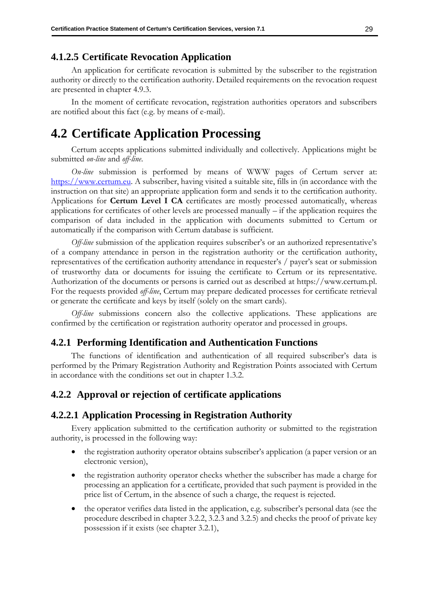## **4.1.2.5 Certificate Revocation Application**

An application for certificate revocation is submitted by the subscriber to the registration authority or directly to the certification authority. Detailed requirements on the revocation request are presented in chapter [4.9.3.](#page-48-0)

In the moment of certificate revocation, registration authorities operators and subscribers are notified about this fact (e.g. by means of e-mail).

# **4.2 Certificate Application Processing**

Certum accepts applications submitted individually and collectively. Applications might be submitted *on-line* and *off-line*.

*On-line* submission is performed by means of WWW pages of Certum server at: [https://www.certum.eu.](https://www.certum.eu/) A subscriber, having visited a suitable site, fills in (in accordance with the instruction on that site) an appropriate application form and sends it to the certification authority. Applications for **Certum Level I CA** certificates are mostly processed automatically, whereas applications for certificates of other levels are processed manually – if the application requires the comparison of data included in the application with documents submitted to Certum or automatically if the comparison with Certum database is sufficient.

*Off-line* submission of the application requires subscriber's or an authorized representative's of a company attendance in person in the registration authority or the certification authority, representatives of the certification authority attendance in requester's / payer's seat or submission of trustworthy data or documents for issuing the certificate to Certum or its representative. Authorization of the documents or persons is carried out as described at https://www.certum.pl. For the requests provided *off-line*, Certum may prepare dedicated processes for certificate retrieval or generate the certificate and keys by itself (solely on the smart cards).

*Off-line* submissions concern also the collective applications. These applications are confirmed by the certification or registration authority operator and processed in groups.

### **4.2.1 Performing Identification and Authentication Functions**

The functions of identification and authentication of all required subscriber's data is performed by the Primary Registration Authority and Registration Points associated with Certum in accordance with the conditions set out in chapter [1.3.2.](#page-16-0)

### **4.2.2 Approval or rejection of certificate applications**

### **4.2.2.1 Application Processing in Registration Authority**

Every application submitted to the certification authority or submitted to the registration authority, is processed in the following way:

- the registration authority operator obtains subscriber's application (a paper version or an electronic version),
- the registration authority operator checks whether the subscriber has made a charge for processing an application for a certificate, provided that such payment is provided in the price list of Certum, in the absence of such a charge, the request is rejected.
- the operator verifies data listed in the application, e.g. subscriber's personal data (see the procedure described in chapter [3.2.2,](#page-28-0) [3.2.3](#page-30-0) and [3.2.5\)](#page-31-0) and checks the proof of private key possession if it exists (see chapter [3.2.1\)](#page-27-0),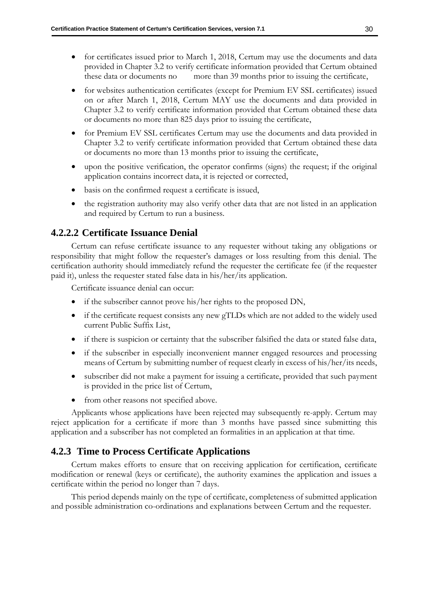- for certificates issued prior to March 1, 2018, Certum may use the documents and data provided in Chapter 3.2 to verify certificate information provided that Certum obtained these data or documents no more than 39 months prior to issuing the certificate,
- for websites authentication certificates (except for Premium EV SSL certificates) issued on or after March 1, 2018, Certum MAY use the documents and data provided in Chapter 3.2 to verify certificate information provided that Certum obtained these data or documents no more than 825 days prior to issuing the certificate,
- for Premium EV SSL certificates Certum may use the documents and data provided in Chapter 3.2 to verify certificate information provided that Certum obtained these data or documents no more than 13 months prior to issuing the certificate,
- upon the positive verification, the operator confirms (signs) the request; if the original application contains incorrect data, it is rejected or corrected,
- basis on the confirmed request a certificate is issued,
- the registration authority may also verify other data that are not listed in an application and required by Certum to run a business.

## **4.2.2.2 Certificate Issuance Denial**

Certum can refuse certificate issuance to any requester without taking any obligations or responsibility that might follow the requester's damages or loss resulting from this denial. The certification authority should immediately refund the requester the certificate fee (if the requester paid it), unless the requester stated false data in his/her/its application.

Certificate issuance denial can occur:

- if the subscriber cannot prove his/her rights to the proposed DN,
- if the certificate request consists any new gTLDs which are not added to the widely used current Public Suffix List,
- if there is suspicion or certainty that the subscriber falsified the data or stated false data,
- if the subscriber in especially inconvenient manner engaged resources and processing means of Certum by submitting number of request clearly in excess of his/her/its needs,
- subscriber did not make a payment for issuing a certificate, provided that such payment is provided in the price list of Certum,
- from other reasons not specified above.

Applicants whose applications have been rejected may subsequently re-apply. Certum may reject application for a certificate if more than 3 months have passed since submitting this application and a subscriber has not completed an formalities in an application at that time.

### **4.2.3 Time to Process Certificate Applications**

Certum makes efforts to ensure that on receiving application for certification, certificate modification or renewal (keys or certificate), the authority examines the application and issues a certificate within the period no longer than 7 days.

This period depends mainly on the type of certificate, completeness of submitted application and possible administration co-ordinations and explanations between Certum and the requester.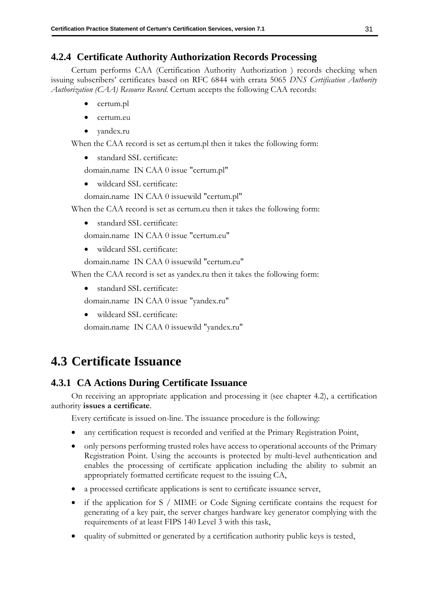# **4.2.4 Certificate Authority Authorization Records Processing**

Certum performs CAA (Certification Authority Authorization ) records checking when issuing subscribers' certificates based on RFC 6844 with errata 5065 *DNS Certification Authority Authorization (CAA) Resource Record*. Certum accepts the following CAA records:

- certum.pl
- certum.eu
- yandex.ru

When the CAA record is set as certum.pl then it takes the following form:

standard SSL certificate:

domain.name IN CAA 0 issue "certum.pl"

• wildcard SSL certificate:

domain.name IN CAA 0 issuewild "certum.pl"

When the CAA record is set as certum.eu then it takes the following form:

• standard SSL certificate:

domain.name IN CAA 0 issue "certum.eu"

• wildcard SSL certificate:

domain.name IN CAA 0 issuewild "certum.eu"

When the CAA record is set as yandex.ru then it takes the following form:

• standard SSL certificate:

domain.name IN CAA 0 issue "yandex.ru"

• wildcard SSL certificate:

domain.name IN CAA 0 issuewild "yandex.ru"

# **4.3 Certificate Issuance**

# **4.3.1 CA Actions During Certificate Issuance**

On receiving an appropriate application and processing it (see chapter 4.2), a certification authority **issues a certificate**.

Every certificate is issued on-line. The issuance procedure is the following:

- any certification request is recorded and verified at the Primary Registration Point,
- only persons performing trusted roles have access to operational accounts of the Primary Registration Point. Using the accounts is protected by multi-level authentication and enables the processing of certificate application including the ability to submit an appropriately formatted certificate request to the issuing CA,
- a processed certificate applications is sent to certificate issuance server,
- if the application for S / MIME or Code Signing certificate contains the request for generating of a key pair, the server charges hardware key generator complying with the requirements of at least FIPS 140 Level 3 with this task,
- quality of submitted or generated by a certification authority public keys is tested,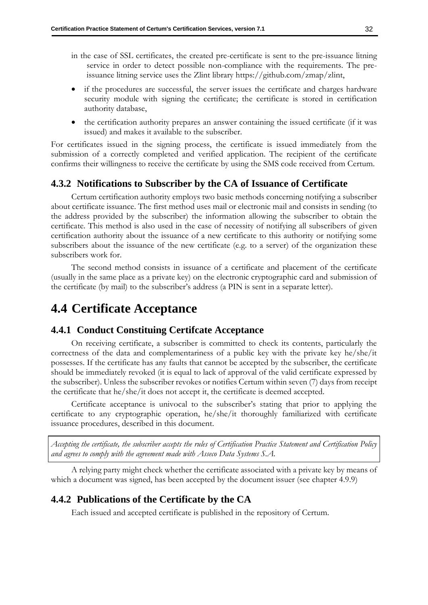- in the case of SSL certificates, the created pre-certificate is sent to the pre-issuance litning service in order to detect possible non-compliance with the requirements. The preissuance litning service uses the Zlint library https://github.com/zmap/zlint,
- if the procedures are successful, the server issues the certificate and charges hardware security module with signing the certificate; the certificate is stored in certification authority database,
- the certification authority prepares an answer containing the issued certificate (if it was issued) and makes it available to the subscriber.

For certificates issued in the signing process, the certificate is issued immediately from the submission of a correctly completed and verified application. The recipient of the certificate confirms their willingness to receive the certificate by using the SMS code received from Certum.

### **4.3.2 Notifications to Subscriber by the CA of Issuance of Certificate**

Certum certification authority employs two basic methods concerning notifying a subscriber about certificate issuance. The first method uses mail or electronic mail and consists in sending (to the address provided by the subscriber) the information allowing the subscriber to obtain the certificate. This method is also used in the case of necessity of notifying all subscribers of given certification authority about the issuance of a new certificate to this authority or notifying some subscribers about the issuance of the new certificate (e.g. to a server) of the organization these subscribers work for.

The second method consists in issuance of a certificate and placement of the certificate (usually in the same place as a private key) on the electronic cryptographic card and submission of the certificate (by mail) to the subscriber's address (a PIN is sent in a separate letter).

# **4.4 Certificate Acceptance**

### **4.4.1 Conduct Constituing Certifcate Acceptance**

On receiving certificate, a subscriber is committed to check its contents, particularly the correctness of the data and complementariness of a public key with the private key he/she/it possesses. If the certificate has any faults that cannot be accepted by the subscriber, the certificate should be immediately revoked (it is equal to lack of approval of the valid certificate expressed by the subscriber). Unless the subscriber revokes or notifies Certum within seven (7) days from receipt the certificate that he/she/it does not accept it, the certificate is deemed accepted.

Certificate acceptance is univocal to the subscriber's stating that prior to applying the certificate to any cryptographic operation, he/she/it thoroughly familiarized with certificate issuance procedures, described in this document.

*Accepting the certificate, the subscriber accepts the rules of Certification Practice Statement and Certification Policy and agrees to comply with the agreement made with Asseco Data Systems S.A.*

A relying party might check whether the certificate associated with a private key by means of which a document was signed, has been accepted by the document issuer (see chapter [4.9.9\)](#page-50-0)

### <span id="page-40-0"></span>**4.4.2 Publications of the Certificate by the CA**

Each issued and accepted certificate is published in the repository of Certum.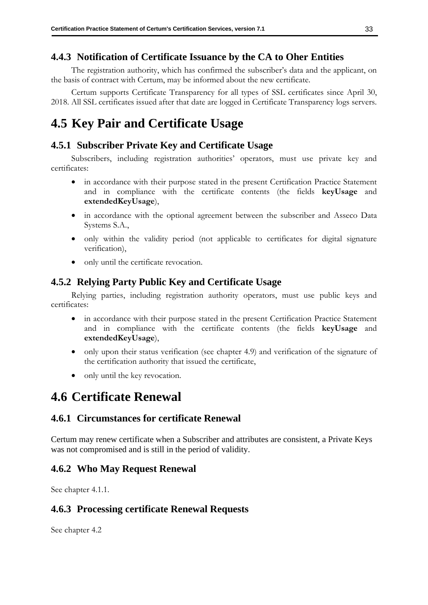# **4.4.3 Notification of Certificate Issuance by the CA to Oher Entities**

The registration authority, which has confirmed the subscriber's data and the applicant, on the basis of contract with Certum, may be informed about the new certificate.

Certum supports Certificate Transparency for all types of SSL certificates since April 30, 2018. All SSL certificates issued after that date are logged in Certificate Transparency logs servers.

# **4.5 Key Pair and Certificate Usage**

# **4.5.1 Subscriber Private Key and Certificate Usage**

Subscribers, including registration authorities' operators, must use private key and certificates:

- in accordance with their purpose stated in the present Certification Practice Statement and in compliance with the certificate contents (the fields **keyUsage** and **extendedKeyUsage**),
- in accordance with the optional agreement between the subscriber and Asseco Data Systems S.A.,
- only within the validity period (not applicable to certificates for digital signature verification),
- only until the certificate revocation.

# **4.5.2 Relying Party Public Key and Certificate Usage**

Relying parties, including registration authority operators, must use public keys and certificates:

- in accordance with their purpose stated in the present Certification Practice Statement and in compliance with the certificate contents (the fields **keyUsage** and **extendedKeyUsage**),
- only upon their status verification (see chapter [4.9\)](#page-44-0) and verification of the signature of the certification authority that issued the certificate,
- only until the key revocation.

# **4.6 Certificate Renewal**

# **4.6.1 Circumstances for certificate Renewal**

Certum may renew certificate when a Subscriber and attributes are consistent, a Private Keys was not compromised and is still in the period of validity.

# **4.6.2 Who May Request Renewal**

See chapter 4.1.1.

# **4.6.3 Processing certificate Renewal Requests**

See chapter 4.2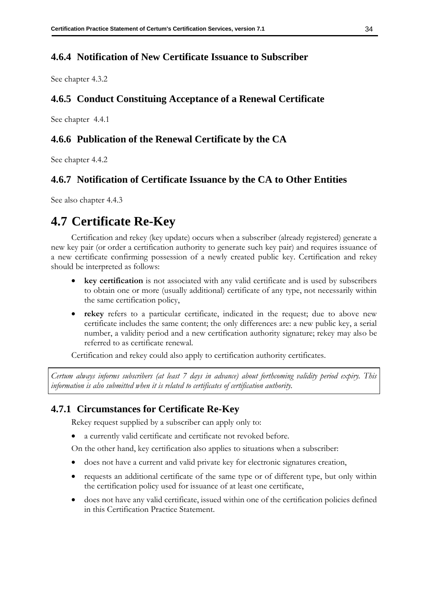# **4.6.4 Notification of New Certificate Issuance to Subscriber**

See chapter 4.3.2

# **4.6.5 Conduct Constituing Acceptance of a Renewal Certificate**

See chapter 4.4.1

# **4.6.6 Publication of the Renewal Certificate by the CA**

See chapter 4.4.2

# **4.6.7 Notification of Certificate Issuance by the CA to Other Entities**

See also chapter 4.4.3

# **4.7 Certificate Re-Key**

Certification and rekey (key update) occurs when a subscriber (already registered) generate a new key pair (or order a certification authority to generate such key pair) and requires issuance of a new certificate confirming possession of a newly created public key. Certification and rekey should be interpreted as follows:

- **key certification** is not associated with any valid certificate and is used by subscribers to obtain one or more (usually additional) certificate of any type, not necessarily within the same certification policy,
- **rekey** refers to a particular certificate, indicated in the request; due to above new certificate includes the same content; the only differences are: a new public key, a serial number, a validity period and a new certification authority signature; rekey may also be referred to as certificate renewal.

Certification and rekey could also apply to certification authority certificates.

*Certum always informs subscribers (at least 7 days in advance) about forthcoming validity period expiry. This information is also submitted when it is related to certificates of certification authority.*

## **4.7.1 Circumstances for Certificate Re-Key**

Rekey request supplied by a subscriber can apply only to:

a currently valid certificate and certificate not revoked before.

On the other hand, key certification also applies to situations when a subscriber:

- does not have a current and valid private key for electronic signatures creation,
- requests an additional certificate of the same type or of different type, but only within the certification policy used for issuance of at least one certificate,
- does not have any valid certificate, issued within one of the certification policies defined in this Certification Practice Statement.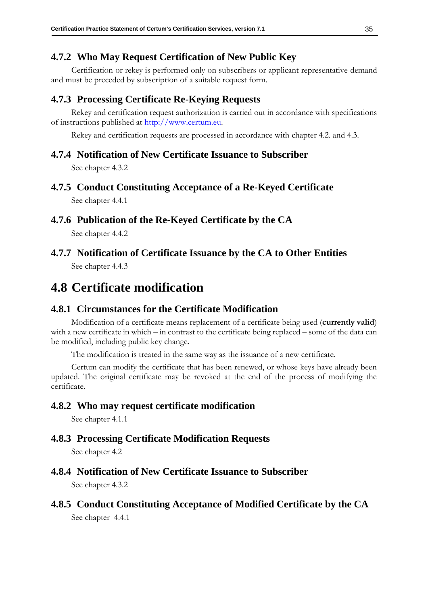# **4.7.2 Who May Request Certification of New Public Key**

Certification or rekey is performed only on subscribers or applicant representative demand and must be preceded by subscription of a suitable request form.

## **4.7.3 Processing Certificate Re-Keying Requests**

Rekey and certification request authorization is carried out in accordance with specifications of instructions published at [http://www.certum.eu.](http://www.certum.eu/)

Rekey and certification requests are processed in accordance with chapter 4.2. and 4.3.

### **4.7.4 Notification of New Certificate Issuance to Subscriber**

See chapter 4.3.2

- **4.7.5 Conduct Constituting Acceptance of a Re-Keyed Certificate** See chapter 4.4.1
- **4.7.6 Publication of the Re-Keyed Certificate by the CA**

See chapter [4.4.2](#page-40-0)

**4.7.7 Notification of Certificate Issuance by the CA to Other Entities** See chapter 4.4.3

# **4.8 Certificate modification**

### **4.8.1 Circumstances for the Certificate Modification**

Modification of a certificate means replacement of a certificate being used (**currently valid**) with a new certificate in which – in contrast to the certificate being replaced – some of the data can be modified, including public key change.

The modification is treated in the same way as the issuance of a new certificate.

Certum can modify the certificate that has been renewed, or whose keys have already been updated. The original certificate may be revoked at the end of the process of modifying the certificate.

### **4.8.2 Who may request certificate modification**

See chapter [4.1.1](#page-34-0)

### **4.8.3 Processing Certificate Modification Requests**

See chapter 4.2

# **4.8.4 Notification of New Certificate Issuance to Subscriber**

See chapter 4.3.2

### **4.8.5 Conduct Constituting Acceptance of Modified Certificate by the CA**

See chapter 4.4.1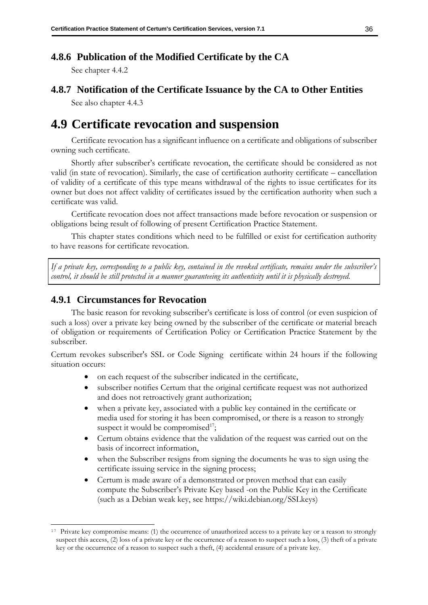# **4.8.6 Publication of the Modified Certificate by the CA**

See chapter [4.4.2](#page-40-0)

# **4.8.7 Notification of the Certificate Issuance by the CA to Other Entities**

See also chapter 4.4.3

# <span id="page-44-0"></span>**4.9 Certificate revocation and suspension**

Certificate revocation has a significant influence on a certificate and obligations of subscriber owning such certificate.

Shortly after subscriber's certificate revocation, the certificate should be considered as not valid (in state of revocation). Similarly, the case of certification authority certificate – cancellation of validity of a certificate of this type means withdrawal of the rights to issue certificates for its owner but does not affect validity of certificates issued by the certification authority when such a certificate was valid.

Certificate revocation does not affect transactions made before revocation or suspension or obligations being result of following of present Certification Practice Statement.

This chapter states conditions which need to be fulfilled or exist for certification authority to have reasons for certificate revocation.

*If a private key, corresponding to a public key, contained in the revoked certificate, remains under the subscriber's control, it should be still protected in a manner guaranteeing its authenticity until it is physically destroyed.*

## <span id="page-44-1"></span>**4.9.1 Circumstances for Revocation**

The basic reason for revoking subscriber's certificate is loss of control (or even suspicion of such a loss) over a private key being owned by the subscriber of the certificate or material breach of obligation or requirements of Certification Policy or Certification Practice Statement by the subscriber.

Certum revokes subscriber's SSL or Code Signing certificate within 24 hours if the following situation occurs:

- on each request of the subscriber indicated in the certificate,
- subscriber notifies Certum that the original certificate request was not authorized and does not retroactively grant authorization;
- when a private key, associated with a public key contained in the certificate or media used for storing it has been compromised, or there is a reason to strongly suspect it would be compromised<sup>17</sup>;
- Certum obtains evidence that the validation of the request was carried out on the basis of incorrect information,
- when the Subscriber resigns from signing the documents he was to sign using the certificate issuing service in the signing process;
- Certum is made aware of a demonstrated or proven method that can easily compute the Subscriber's Private Key based -on the Public Key in the Certificate (such as a Debian weak key, see https://wiki.debian.org/SSLkeys)

<sup>&</sup>lt;sup>17</sup> Private key compromise means: (1) the occurrence of unauthorized access to a private key or a reason to strongly suspect this access, (2) loss of a private key or the occurrence of a reason to suspect such a loss, (3) theft of a private key or the occurrence of a reason to suspect such a theft, (4) accidental erasure of a private key.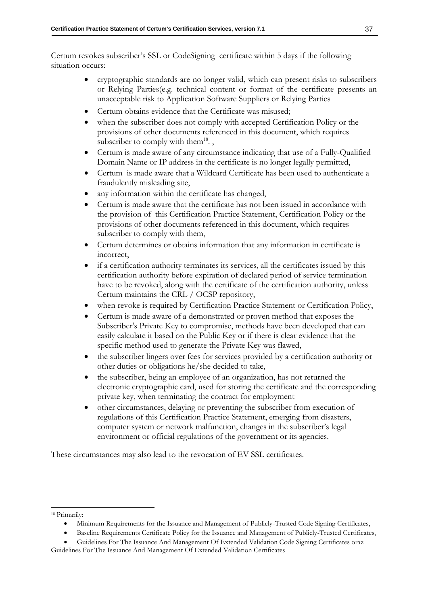Certum revokes subscriber's SSL or CodeSigning certificate within 5 days if the following situation occurs:

- cryptographic standards are no longer valid, which can present risks to subscribers or Relying Parties(e.g. technical content or format of the certificate presents an unacceptable risk to Application Software Suppliers or Relying Parties
- Certum obtains evidence that the Certificate was misused;
- when the subscriber does not comply with accepted Certification Policy or the provisions of other documents referenced in this document, which requires subscriber to comply with them $^{18}$ .,
- Certum is made aware of any circumstance indicating that use of a Fully-Qualified Domain Name or IP address in the certificate is no longer legally permitted,
- Certum is made aware that a Wildcard Certificate has been used to authenticate a fraudulently misleading site,
- any information within the certificate has changed,
- Certum is made aware that the certificate has not been issued in accordance with the provision of this Certification Practice Statement, Certification Policy or the provisions of other documents referenced in this document, which requires subscriber to comply with them,
- Certum determines or obtains information that any information in certificate is incorrect,
- if a certification authority terminates its services, all the certificates issued by this certification authority before expiration of declared period of service termination have to be revoked, along with the certificate of the certification authority, unless Certum maintains the CRL / OCSP repository,
- when revoke is required by Certification Practice Statement or Certification Policy,
- Certum is made aware of a demonstrated or proven method that exposes the Subscriber's Private Key to compromise, methods have been developed that can easily calculate it based on the Public Key or if there is clear evidence that the specific method used to generate the Private Key was flawed,
- the subscriber lingers over fees for services provided by a certification authority or other duties or obligations he/she decided to take,
- the subscriber, being an employee of an organization, has not returned the electronic cryptographic card, used for storing the certificate and the corresponding private key, when terminating the contract for employment
- other circumstances, delaying or preventing the subscriber from execution of regulations of this Certification Practice Statement, emerging from disasters, computer system or network malfunction, changes in the subscriber's legal environment or official regulations of the government or its agencies.

These circumstances may also lead to the revocation of EV SSL certificates.

• Guidelines For The Issuance And Management Of Extended Validation Code Signing Certificates oraz Guidelines For The Issuance And Management Of Extended Validation Certificates

<sup>18</sup> Primarily:

<sup>•</sup> Minimum Requirements for the Issuance and Management of Publicly-Trusted Code Signing Certificates,

<sup>•</sup> Baseline Requirements Certificate Policy for the Issuance and Management of Publicly-Trusted Certificates,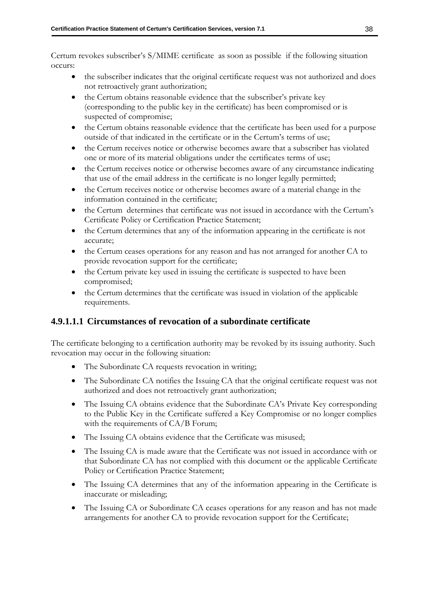Certum revokes subscriber's S/MIME certificate as soon as possible if the following situation occurs:

- the subscriber indicates that the original certificate request was not authorized and does not retroactively grant authorization;
- the Certum obtains reasonable evidence that the subscriber's private key (corresponding to the public key in the certificate) has been compromised or is suspected of compromise;
- the Certum obtains reasonable evidence that the certificate has been used for a purpose outside of that indicated in the certificate or in the Certum's terms of use;
- the Certum receives notice or otherwise becomes aware that a subscriber has violated one or more of its material obligations under the certificates terms of use;
- the Certum receives notice or otherwise becomes aware of any circumstance indicating that use of the email address in the certificate is no longer legally permitted;
- the Certum receives notice or otherwise becomes aware of a material change in the information contained in the certificate;
- the Certum determines that certificate was not issued in accordance with the Certum's Certificate Policy or Certification Practice Statement;
- the Certum determines that any of the information appearing in the certificate is not accurate;
- the Certum ceases operations for any reason and has not arranged for another CA to provide revocation support for the certificate;
- the Certum private key used in issuing the certificate is suspected to have been compromised;
- the Certum determines that the certificate was issued in violation of the applicable requirements.

# **4.9.1.1.1 Circumstances of revocation of a subordinate certificate**

The certificate belonging to a certification authority may be revoked by its issuing authority. Such revocation may occur in the following situation:

- The Subordinate CA requests revocation in writing;
- The Subordinate CA notifies the Issuing CA that the original certificate request was not authorized and does not retroactively grant authorization;
- The Issuing CA obtains evidence that the Subordinate CA's Private Key corresponding to the Public Key in the Certificate suffered a Key Compromise or no longer complies with the requirements of CA/B Forum;
- The Issuing CA obtains evidence that the Certificate was misused;
- The Issuing CA is made aware that the Certificate was not issued in accordance with or that Subordinate CA has not complied with this document or the applicable Certificate Policy or Certification Practice Statement;
- The Issuing CA determines that any of the information appearing in the Certificate is inaccurate or misleading;
- The Issuing CA or Subordinate CA ceases operations for any reason and has not made arrangements for another CA to provide revocation support for the Certificate;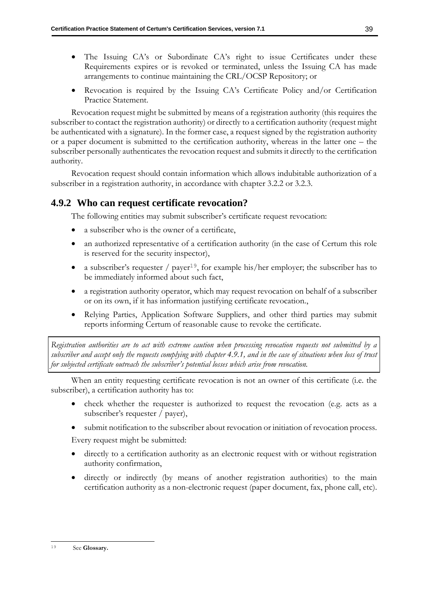- The Issuing CA's or Subordinate CA's right to issue Certificates under these Requirements expires or is revoked or terminated, unless the Issuing CA has made arrangements to continue maintaining the CRL/OCSP Repository; or
- Revocation is required by the Issuing CA's Certificate Policy and/or Certification Practice Statement.

Revocation request might be submitted by means of a registration authority (this requires the subscriber to contact the registration authority) or directly to a certification authority (request might be authenticated with a signature). In the former case, a request signed by the registration authority or a paper document is submitted to the certification authority, whereas in the latter one – the subscriber personally authenticates the revocation request and submits it directly to the certification authority.

Revocation request should contain information which allows indubitable authorization of a subscriber in a registration authority, in accordance with chapter [3.2.2](#page-28-0) or [3.2.3.](#page-30-0)

## <span id="page-47-0"></span>**4.9.2 Who can request certificate revocation?**

The following entities may submit subscriber's certificate request revocation:

- a subscriber who is the owner of a certificate,
- an authorized representative of a certification authority (in the case of Certum this role is reserved for the security inspector),
- a subscriber's requester / payer<sup>19</sup>, for example his/her employer; the subscriber has to be immediately informed about such fact,
- a registration authority operator, which may request revocation on behalf of a subscriber or on its own, if it has information justifying certificate revocation.,
- Relying Parties, Application Software Suppliers, and other third parties may submit reports informing Certum of reasonable cause to revoke the certificate.

*Registration authorities are to act with extreme caution when processing revocation requests not submitted by a subscriber and accept only the requests complying with chapter [4.9.1,](#page-44-1) and in the case of situations when loss of trust for subjected certificate outreach the subscriber's potential losses which arise from revocation.*

When an entity requesting certificate revocation is not an owner of this certificate (i.e. the subscriber), a certification authority has to:

- check whether the requester is authorized to request the revocation (e.g. acts as a subscriber's requester / payer),
- submit notification to the subscriber about revocation or initiation of revocation process.

Every request might be submitted:

- directly to a certification authority as an electronic request with or without registration authority confirmation,
- directly or indirectly (by means of another registration authorities) to the main certification authority as a non-electronic request (paper document, fax, phone call, etc).

<sup>19</sup> See **Glossary.**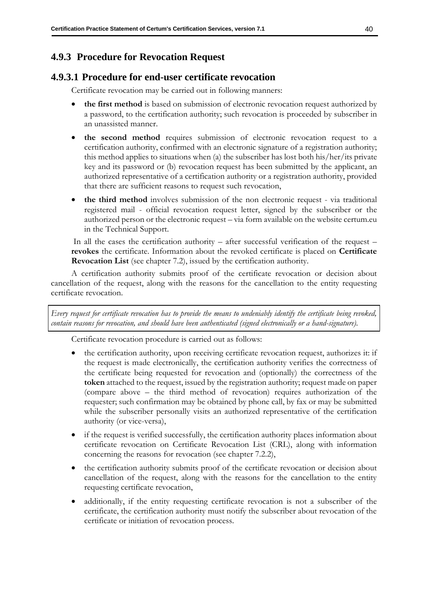# <span id="page-48-0"></span>**4.9.3 Procedure for Revocation Request**

# **4.9.3.1 Procedure for end-user certificate revocation**

Certificate revocation may be carried out in following manners:

- **the first method** is based on submission of electronic revocation request authorized by a password, to the certification authority; such revocation is proceeded by subscriber in an unassisted manner.
- **the second method** requires submission of electronic revocation request to a certification authority, confirmed with an electronic signature of a registration authority; this method applies to situations when (a) the subscriber has lost both his/her/its private key and its password or (b) revocation request has been submitted by the applicant, an authorized representative of a certification authority or a registration authority, provided that there are sufficient reasons to request such revocation,
- **the third method** involves submission of the non electronic request via traditional registered mail - official revocation request letter, signed by the subscriber or the authorized person or the electronic request – via form available on the website certum.eu in the Technical Support.

In all the cases the certification authority – after successful verification of the request – **revokes** the certificate. Information about the revoked certificate is placed on **Certificate Revocation List** (see chapter [7.2\)](#page-87-0), issued by the certification authority.

A certification authority submits proof of the certificate revocation or decision about cancellation of the request, along with the reasons for the cancellation to the entity requesting certificate revocation.

*Every request for certificate revocation has to provide the means to undeniably identify the certificate being revoked,*  contain reasons for revocation, and should have been authenticated (signed electronically or a hand-signature).

Certificate revocation procedure is carried out as follows:

- the certification authority, upon receiving certificate revocation request, authorizes it: if the request is made electronically, the certification authority verifies the correctness of the certificate being requested for revocation and (optionally) the correctness of the **token** attached to the request, issued by the registration authority; request made on paper (compare above – the third method of revocation) requires authorization of the requester; such confirmation may be obtained by phone call, by fax or may be submitted while the subscriber personally visits an authorized representative of the certification authority (or vice-versa),
- if the request is verified successfully, the certification authority places information about certificate revocation on Certificate Revocation List (CRL), along with information concerning the reasons for revocation (see chapter 7.2.2),
- the certification authority submits proof of the certificate revocation or decision about cancellation of the request, along with the reasons for the cancellation to the entity requesting certificate revocation,
- additionally, if the entity requesting certificate revocation is not a subscriber of the certificate, the certification authority must notify the subscriber about revocation of the certificate or initiation of revocation process.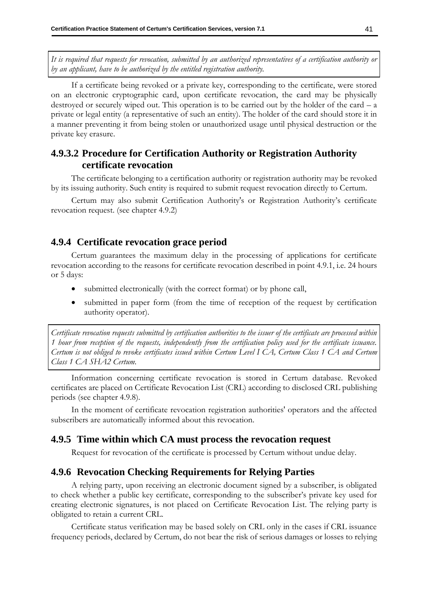*It is required that requests for revocation, submitted by an authorized representatives of a certification authority or by an applicant, have to be authorized by the entitled registration authority.*

If a certificate being revoked or a private key, corresponding to the certificate, were stored on an electronic cryptographic card, upon certificate revocation, the card may be physically destroyed or securely wiped out. This operation is to be carried out by the holder of the card  $- a$ private or legal entity (a representative of such an entity). The holder of the card should store it in a manner preventing it from being stolen or unauthorized usage until physical destruction or the private key erasure.

# **4.9.3.2 Procedure for Certification Authority or Registration Authority certificate revocation**

The certificate belonging to a certification authority or registration authority may be revoked by its issuing authority. Such entity is required to submit request revocation directly to Certum.

Certum may also submit Certification Authority's or Registration Authority's certificate revocation request. (see chapter [4.9.2\)](#page-47-0)

### **4.9.4 Certificate revocation grace period**

Certum guarantees the maximum delay in the processing of applications for certificate revocation according to the reasons for certificate revocation described in point 4.9.1, i.e. 24 hours or 5 days:

- submitted electronically (with the correct format) or by phone call,
- submitted in paper form (from the time of reception of the request by certification authority operator).

*Certificate revocation requests submitted by certification authorities to the issuer of the certificate are processed within 1 hour from reception of the requests, independently from the certification policy used for the certificate issuance. Certum is not obliged to revoke certificates issued within Certum Level I CA, Certum Class 1 CA and Certum Class 1 CA SHA2 Certum.*

Information concerning certificate revocation is stored in Certum database. Revoked certificates are placed on Certificate Revocation List (CRL) according to disclosed CRL publishing periods (see chapter 4.9.8).

In the moment of certificate revocation registration authorities' operators and the affected subscribers are automatically informed about this revocation.

### **4.9.5 Time within which CA must process the revocation request**

Request for revocation of the certificate is processed by Certum without undue delay.

### **4.9.6 Revocation Checking Requirements for Relying Parties**

A relying party, upon receiving an electronic document signed by a subscriber, is obligated to check whether a public key certificate, corresponding to the subscriber's private key used for creating electronic signatures, is not placed on Certificate Revocation List. The relying party is obligated to retain a current CRL.

Certificate status verification may be based solely on CRL only in the cases if CRL issuance frequency periods, declared by Certum, do not bear the risk of serious damages or losses to relying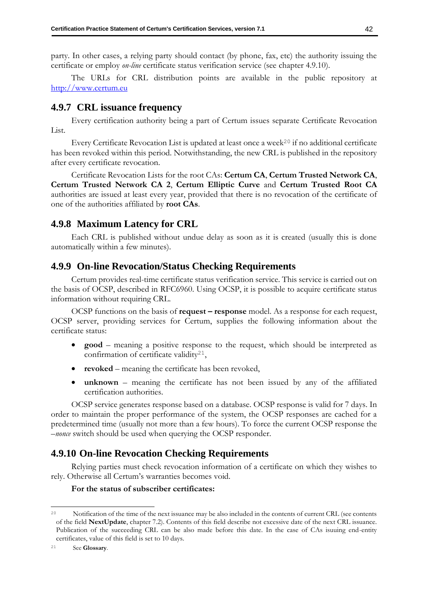party. In other cases, a relying party should contact (by phone, fax, etc) the authority issuing the certificate or employ *on-line* certificate status verification service (see chapter 4.9.10).

The URLs for CRL distribution points are available in the public repository at [http://www.certum.eu](http://www.certum.eu/)

### **4.9.7 CRL issuance frequency**

Every certification authority being a part of Certum issues separate Certificate Revocation List.

Every Certificate Revocation List is updated at least once a week<sup>20</sup> if no additional certificate has been revoked within this period. Notwithstanding, the new CRL is published in the repository after every certificate revocation.

Certificate Revocation Lists for the root CAs: **Certum CA**, **Certum Trusted Network CA**, **Certum Trusted Network CA 2**, **Certum Elliptic Curve** and **Certum Trusted Root CA**  authorities are issued at least every year, provided that there is no revocation of the certificate of one of the authorities affiliated by **root CAs**.

### **4.9.8 Maximum Latency for CRL**

Each CRL is published without undue delay as soon as it is created (usually this is done automatically within a few minutes).

### <span id="page-50-0"></span>**4.9.9 On-line Revocation/Status Checking Requirements**

Certum provides real-time certificate status verification service. This service is carried out on the basis of OCSP, described in RFC6960. Using OCSP, it is possible to acquire certificate status information without requiring CRL.

OCSP functions on the basis of **request – response** model. As a response for each request, OCSP server, providing services for Certum, supplies the following information about the certificate status:

- **good** meaning a positive response to the request, which should be interpreted as confirmation of certificate validity<sup>21</sup>,
- **revoked** meaning the certificate has been revoked,
- **unknown** meaning the certificate has not been issued by any of the affiliated certification authorities.

OCSP service generates response based on a database. OCSP response is valid for 7 days. In order to maintain the proper performance of the system, the OCSP responses are cached for a predetermined time (usually not more than a few hours). To force the current OCSP response the *–nonce* switch should be used when querying the OCSP responder.

### **4.9.10 On-line Revocation Checking Requirements**

Relying parties must check revocation information of a certificate on which they wishes to rely. Otherwise all Certum's warranties becomes void.

#### **For the status of subscriber certificates:**

<sup>&</sup>lt;sup>20</sup> Notification of the time of the next issuance may be also included in the contents of current CRL (see contents of the field **NextUpdate**, chapter 7.2). Contents of this field describe not excessive date of the next CRL issuance. Publication of the succeeding CRL can be also made before this date. In the case of CAs isuuing end-entity certificates, value of this field is set to 10 days.

<sup>21</sup> See **Glossary**.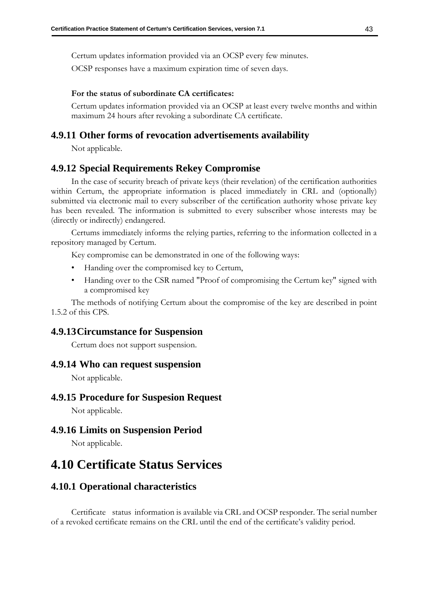Certum updates information provided via an OCSP every few minutes.

OCSP responses have a maximum expiration time of seven days.

#### **For the status of subordinate CA certificates:**

Certum updates information provided via an OCSP at least every twelve months and within maximum 24 hours after revoking a subordinate CA certificate.

## **4.9.11 Other forms of revocation advertisements availability**

Not applicable.

### **4.9.12 Special Requirements Rekey Compromise**

In the case of security breach of private keys (their revelation) of the certification authorities within Certum, the appropriate information is placed immediately in CRL and (optionally) submitted via electronic mail to every subscriber of the certification authority whose private key has been revealed. The information is submitted to every subscriber whose interests may be (directly or indirectly) endangered.

Certums immediately informs the relying parties, referring to the information collected in a repository managed by Certum.

Key compromise can be demonstrated in one of the following ways:

- Handing over the compromised key to Certum,
- Handing over to the CSR named "Proof of compromising the Certum key" signed with a compromised key

The methods of notifying Certum about the compromise of the key are described in point 1.5.2 of this CPS.

### **4.9.13Circumstance for Suspension**

Certum does not support suspension.

### **4.9.14 Who can request suspension**

Not applicable.

### **4.9.15 Procedure for Suspesion Request**

Not applicable.

### **4.9.16 Limits on Suspension Period**

Not applicable.

# **4.10 Certificate Status Services**

### **4.10.1 Operational characteristics**

Certificate status information is available via CRL and OCSP responder. The serial number of a revoked certificate remains on the CRL until the end of the certificate's validity period.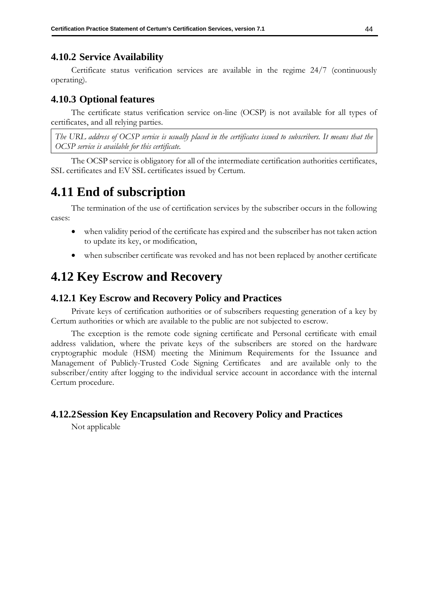# **4.10.2 Service Availability**

Certificate status verification services are available in the regime 24/7 (continuously operating).

# **4.10.3 Optional features**

The certificate status verification service on-line (OCSP) is not available for all types of certificates, and all relying parties.

*The URL address of OCSP service is usually placed in the certificates issued to subscribers. It means that the OCSP service is available for this certificate.*

The OCSP service is obligatory for all of the intermediate certification authorities certificates, SSL certificates and EV SSL certificates issued by Certum.

# **4.11 End of subscription**

The termination of the use of certification services by the subscriber occurs in the following cases:

- when validity period of the certificate has expired and the subscriber has not taken action to update its key, or modification,
- when subscriber certificate was revoked and has not been replaced by another certificate

# **4.12 Key Escrow and Recovery**

## **4.12.1 Key Escrow and Recovery Policy and Practices**

Private keys of certification authorities or of subscribers requesting generation of a key by Certum authorities or which are available to the public are not subjected to escrow.

The exception is the remote code signing certificate and Personal certificate with email address validation, where the private keys of the subscribers are stored on the hardware cryptographic module (HSM) meeting the Minimum Requirements for the Issuance and Management of Publicly-Trusted Code Signing Certificates and are available only to the subscriber/entity after logging to the individual service account in accordance with the internal Certum procedure.

# **4.12.2Session Key Encapsulation and Recovery Policy and Practices**

Not applicable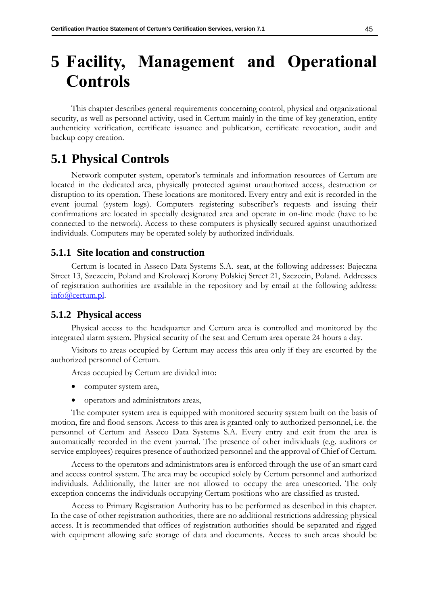# **5 Facility, Management and Operational Controls**

This chapter describes general requirements concerning control, physical and organizational security, as well as personnel activity, used in Certum mainly in the time of key generation, entity authenticity verification, certificate issuance and publication, certificate revocation, audit and backup copy creation.

# **5.1 Physical Controls**

Network computer system, operator's terminals and information resources of Certum are located in the dedicated area, physically protected against unauthorized access, destruction or disruption to its operation. These locations are monitored. Every entry and exit is recorded in the event journal (system logs). Computers registering subscriber's requests and issuing their confirmations are located in specially designated area and operate in on-line mode (have to be connected to the network). Access to these computers is physically secured against unauthorized individuals. Computers may be operated solely by authorized individuals.

### **5.1.1 Site location and construction**

Certum is located in Asseco Data Systems S.A. seat, at the following addresses: Bajeczna Street 13, Szczecin, Poland and Krolowej Korony Polskiej Street 21, Szczecin, Poland. Addresses of registration authorities are available in the repository and by email at the following address: [info@certum.pl.](mailto:info@certum.pl)

### **5.1.2 Physical access**

Physical access to the headquarter and Certum area is controlled and monitored by the integrated alarm system. Physical security of the seat and Certum area operate 24 hours a day.

Visitors to areas occupied by Certum may access this area only if they are escorted by the authorized personnel of Certum.

Areas occupied by Certum are divided into:

- computer system area,
- operators and administrators areas,

The computer system area is equipped with monitored security system built on the basis of motion, fire and flood sensors. Access to this area is granted only to authorized personnel, i.e. the personnel of Certum and Asseco Data Systems S.A. Every entry and exit from the area is automatically recorded in the event journal. The presence of other individuals (e.g. auditors or service employees) requires presence of authorized personnel and the approval of Chief of Certum.

Access to the operators and administrators area is enforced through the use of an smart card and access control system. The area may be occupied solely by Certum personnel and authorized individuals. Additionally, the latter are not allowed to occupy the area unescorted. The only exception concerns the individuals occupying Certum positions who are classified as trusted.

Access to Primary Registration Authority has to be performed as described in this chapter. In the case of other registration authorities, there are no additional restrictions addressing physical access. It is recommended that offices of registration authorities should be separated and rigged with equipment allowing safe storage of data and documents. Access to such areas should be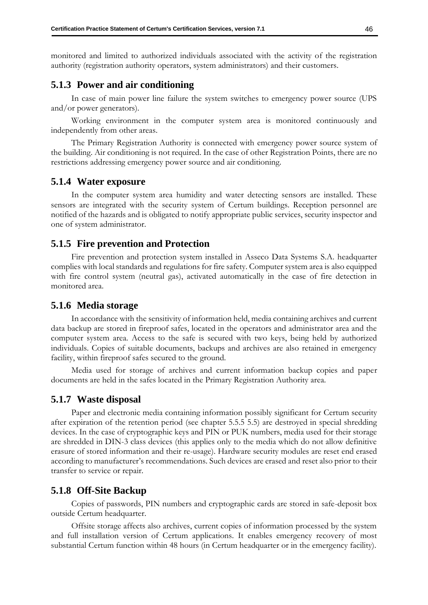monitored and limited to authorized individuals associated with the activity of the registration authority (registration authority operators, system administrators) and their customers.

### **5.1.3 Power and air conditioning**

In case of main power line failure the system switches to emergency power source (UPS and/or power generators).

Working environment in the computer system area is monitored continuously and independently from other areas.

The Primary Registration Authority is connected with emergency power source system of the building. Air conditioning is not required. In the case of other Registration Points, there are no restrictions addressing emergency power source and air conditioning.

### **5.1.4 Water exposure**

In the computer system area humidity and water detecting sensors are installed. These sensors are integrated with the security system of Certum buildings. Reception personnel are notified of the hazards and is obligated to notify appropriate public services, security inspector and one of system administrator.

### **5.1.5 Fire prevention and Protection**

Fire prevention and protection system installed in Asseco Data Systems S.A. headquarter complies with local standards and regulations for fire safety. Computer system area is also equipped with fire control system (neutral gas), activated automatically in the case of fire detection in monitored area.

### **5.1.6 Media storage**

In accordance with the sensitivity of information held, media containing archives and current data backup are stored in fireproof safes, located in the operators and administrator area and the computer system area. Access to the safe is secured with two keys, being held by authorized individuals. Copies of suitable documents, backups and archives are also retained in emergency facility, within fireproof safes secured to the ground.

Media used for storage of archives and current information backup copies and paper documents are held in the safes located in the Primary Registration Authority area.

### **5.1.7 Waste disposal**

Paper and electronic media containing information possibly significant for Certum security after expiration of the retention period (see chapter [5.5.5](#page-63-0) [5.5\)](#page-62-0) are destroyed in special shredding devices. In the case of cryptographic keys and PIN or PUK numbers, media used for their storage are shredded in DIN-3 class devices (this applies only to the media which do not allow definitive erasure of stored information and their re-usage). Hardware security modules are reset end erased according to manufacturer's recommendations. Such devices are erased and reset also prior to their transfer to service or repair.

### **5.1.8 Off-Site Backup**

Copies of passwords, PIN numbers and cryptographic cards are stored in safe-deposit box outside Certum headquarter.

Offsite storage affects also archives, current copies of information processed by the system and full installation version of Certum applications. It enables emergency recovery of most substantial Certum function within 48 hours (in Certum headquarter or in the emergency facility).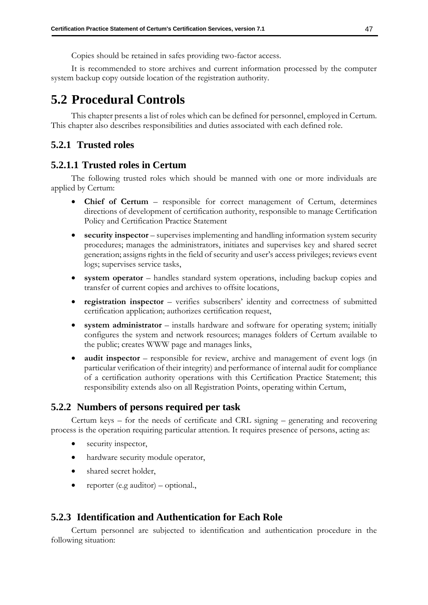Copies should be retained in safes providing two-factor access.

It is recommended to store archives and current information processed by the computer system backup copy outside location of the registration authority.

# **5.2 Procedural Controls**

This chapter presents a list of roles which can be defined for personnel, employed in Certum. This chapter also describes responsibilities and duties associated with each defined role.

# <span id="page-55-0"></span>**5.2.1 Trusted roles**

## **5.2.1.1 Trusted roles in Certum**

The following trusted roles which should be manned with one or more individuals are applied by Certum:

- **Chief of Certum** responsible for correct management of Certum, determines directions of development of certification authority, responsible to manage Certification Policy and Certification Practice Statement
- **security inspector** supervises implementing and handling information system security procedures; manages the administrators, initiates and supervises key and shared secret generation; assigns rights in the field of security and user's access privileges; reviews event logs; supervises service tasks,
- system operator handles standard system operations, including backup copies and transfer of current copies and archives to offsite locations,
- **registration inspector** verifies subscribers' identity and correctness of submitted certification application; authorizes certification request,
- system administrator installs hardware and software for operating system; initially configures the system and network resources; manages folders of Certum available to the public; creates WWW page and manages links,
- **audit inspector** responsible for review, archive and management of event logs (in particular verification of their integrity) and performance of internal audit for compliance of a certification authority operations with this Certification Practice Statement; this responsibility extends also on all Registration Points, operating within Certum,

## **5.2.2 Numbers of persons required per task**

Certum keys – for the needs of certificate and CRL signing – generating and recovering process is the operation requiring particular attention. It requires presence of persons, acting as:

- security inspector,
- hardware security module operator,
- shared secret holder,
- reporter (e.g auditor) optional.,

### **5.2.3 Identification and Authentication for Each Role**

Certum personnel are subjected to identification and authentication procedure in the following situation: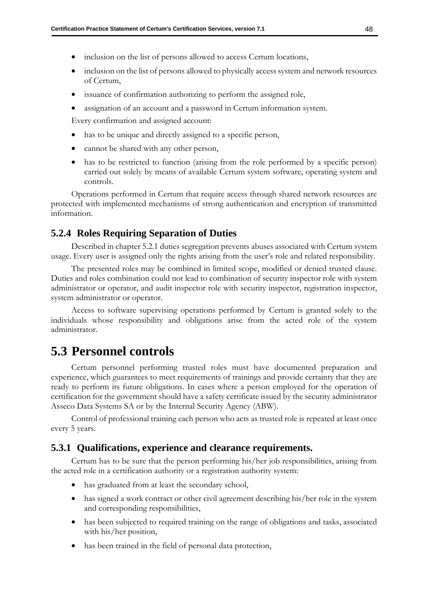- inclusion on the list of persons allowed to access Certum locations,
- inclusion on the list of persons allowed to physically access system and network resources of Certum,
- issuance of confirmation authorizing to perform the assigned role,
- assignation of an account and a password in Certum information system.

Every confirmation and assigned account:

- has to be unique and directly assigned to a specific person,
- cannot be shared with any other person,
- has to be restricted to function (arising from the role performed by a specific person) carried out solely by means of available Certum system software, operating system and controls.

Operations performed in Certum that require access through shared network resources are protected with implemented mechanisms of strong authentication and encryption of transmitted information.

### **5.2.4 Roles Requiring Separation of Duties**

Described in chapter [5.2.1](#page-55-0) duties segregation prevents abuses associated with Certum system usage. Every user is assigned only the rights arising from the user's role and related responsibility.

The presented roles may be combined in limited scope, modified or denied trusted clause. Duties and roles combination could not lead to combination of security inspector role with system administrator or operator, and audit inspector role with security inspector, registration inspector, system administrator or operator.

Access to software supervising operations performed by Certum is granted solely to the individuals whose responsibility and obligations arise from the acted role of the system administrator.

# **5.3 Personnel controls**

Certum personnel performing trusted roles must have documented preparation and experience, which guarantees to meet requirements of trainings and provide certainty that they are ready to perform its future obligations. In cases where a person employed for the operation of certification for the government should have a safety certificate issued by the security administrator Asseco Data Systems SA or by the Internal Security Agency (ABW).

Control of professional training each person who acts as trusted role is repeated at least once every 5 years.

### **5.3.1 Qualifications, experience and clearance requirements.**

Certum has to be sure that the person performing his/her job responsibilities, arising from the acted role in a certification authority or a registration authority system:

- has graduated from at least the secondary school,
- has signed a work contract or other civil agreement describing his/her role in the system and corresponding responsibilities,
- has been subjected to required training on the range of obligations and tasks, associated with his/her position,
- has been trained in the field of personal data protection,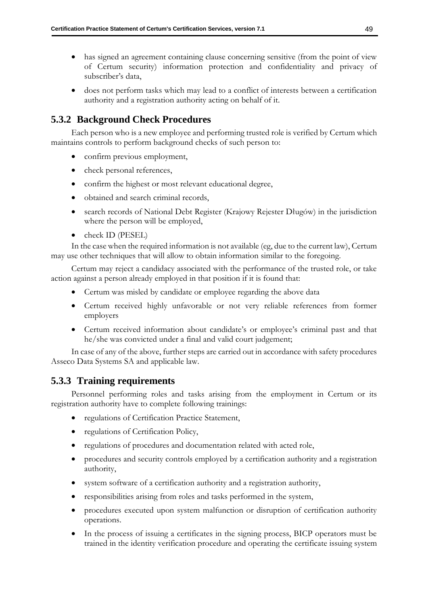- has signed an agreement containing clause concerning sensitive (from the point of view of Certum security) information protection and confidentiality and privacy of subscriber's data,
- does not perform tasks which may lead to a conflict of interests between a certification authority and a registration authority acting on behalf of it.

# **5.3.2 Background Check Procedures**

Each person who is a new employee and performing trusted role is verified by Certum which maintains controls to perform background checks of such person to:

- confirm previous employment,
- check personal references,
- confirm the highest or most relevant educational degree,
- obtained and search criminal records,
- search records of National Debt Register (Krajowy Rejester Długów) in the jurisdiction where the person will be employed,
- check ID (PESEL)

In the case when the required information is not available (eg, due to the current law), Certum may use other techniques that will allow to obtain information similar to the foregoing.

Certum may reject a candidacy associated with the performance of the trusted role, or take action against a person already employed in that position if it is found that:

- Certum was misled by candidate or employee regarding the above data
- Certum received highly unfavorable or not very reliable references from former employers
- Certum received information about candidate's or employee's criminal past and that he/she was convicted under a final and valid court judgement;

In case of any of the above, further steps are carried out in accordance with safety procedures Asseco Data Systems SA and applicable law.

# <span id="page-57-0"></span>**5.3.3 Training requirements**

Personnel performing roles and tasks arising from the employment in Certum or its registration authority have to complete following trainings:

- regulations of Certification Practice Statement,
- regulations of Certification Policy,
- regulations of procedures and documentation related with acted role,
- procedures and security controls employed by a certification authority and a registration authority,
- system software of a certification authority and a registration authority,
- responsibilities arising from roles and tasks performed in the system,
- procedures executed upon system malfunction or disruption of certification authority operations.
- In the process of issuing a certificates in the signing process, BICP operators must be trained in the identity verification procedure and operating the certificate issuing system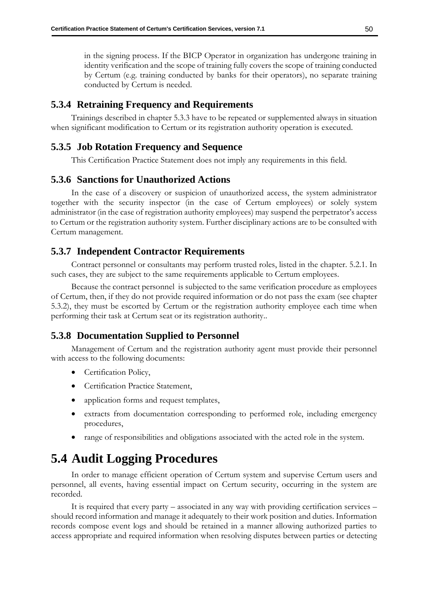in the signing process. If the BICP Operator in organization has undergone training in identity verification and the scope of training fully covers the scope of training conducted by Certum (e.g. training conducted by banks for their operators), no separate training conducted by Certum is needed.

# **5.3.4 Retraining Frequency and Requirements**

Trainings described in chapter [5.3.3](#page-57-0) have to be repeated or supplemented always in situation when significant modification to Certum or its registration authority operation is executed.

# **5.3.5 Job Rotation Frequency and Sequence**

This Certification Practice Statement does not imply any requirements in this field.

## **5.3.6 Sanctions for Unauthorized Actions**

In the case of a discovery or suspicion of unauthorized access, the system administrator together with the security inspector (in the case of Certum employees) or solely system administrator (in the case of registration authority employees) may suspend the perpetrator's access to Certum or the registration authority system. Further disciplinary actions are to be consulted with Certum management.

## **5.3.7 Independent Contractor Requirements**

Contract personnel or consultants may perform trusted roles, listed in the chapter. 5.2.1. In such cases, they are subject to the same requirements applicable to Certum employees.

Because the contract personnel is subjected to the same verification procedure as employees of Certum, then, if they do not provide required information or do not pass the exam (see chapter 5.3.2), they must be escorted by Certum or the registration authority employee each time when performing their task at Certum seat or its registration authority..

## **5.3.8 Documentation Supplied to Personnel**

Management of Certum and the registration authority agent must provide their personnel with access to the following documents:

- Certification Policy,
- Certification Practice Statement,
- application forms and request templates,
- extracts from documentation corresponding to performed role, including emergency procedures,
- range of responsibilities and obligations associated with the acted role in the system.

# **5.4 Audit Logging Procedures**

In order to manage efficient operation of Certum system and supervise Certum users and personnel, all events, having essential impact on Certum security, occurring in the system are recorded.

It is required that every party – associated in any way with providing certification services – should record information and manage it adequately to their work position and duties. Information records compose event logs and should be retained in a manner allowing authorized parties to access appropriate and required information when resolving disputes between parties or detecting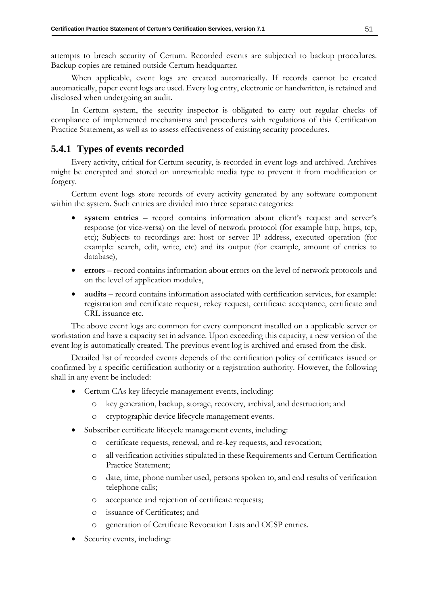attempts to breach security of Certum. Recorded events are subjected to backup procedures. Backup copies are retained outside Certum headquarter.

When applicable, event logs are created automatically. If records cannot be created automatically, paper event logs are used. Every log entry, electronic or handwritten, is retained and disclosed when undergoing an audit.

In Certum system, the security inspector is obligated to carry out regular checks of compliance of implemented mechanisms and procedures with regulations of this Certification Practice Statement, as well as to assess effectiveness of existing security procedures.

# **5.4.1 Types of events recorded**

Every activity, critical for Certum security, is recorded in event logs and archived. Archives might be encrypted and stored on unrewritable media type to prevent it from modification or forgery.

Certum event logs store records of every activity generated by any software component within the system. Such entries are divided into three separate categories:

- **system entries**  record contains information about client's request and server's response (or vice-versa) on the level of network protocol (for example http, https, tcp, etc); Subjects to recordings are: host or server IP address, executed operation (for example: search, edit, write, etc) and its output (for example, amount of entries to database),
- **errors**  record contains information about errors on the level of network protocols and on the level of application modules,
- **audits** record contains information associated with certification services, for example: registration and certificate request, rekey request, certificate acceptance, certificate and CRL issuance etc.

The above event logs are common for every component installed on a applicable server or workstation and have a capacity set in advance. Upon exceeding this capacity, a new version of the event log is automatically created. The previous event log is archived and erased from the disk.

Detailed list of recorded events depends of the certification policy of certificates issued or confirmed by a specific certification authority or a registration authority. However, the following shall in any event be included:

- Certum CAs key lifecycle management events, including:
	- o key generation, backup, storage, recovery, archival, and destruction; and
	- o cryptographic device lifecycle management events.
- Subscriber certificate lifecycle management events, including:
	- o certificate requests, renewal, and re-key requests, and revocation;
	- o all verification activities stipulated in these Requirements and Certum Certification Practice Statement;
	- o date, time, phone number used, persons spoken to, and end results of verification telephone calls;
	- o acceptance and rejection of certificate requests;
	- o issuance of Certificates; and
	- o generation of Certificate Revocation Lists and OCSP entries.
- Security events, including: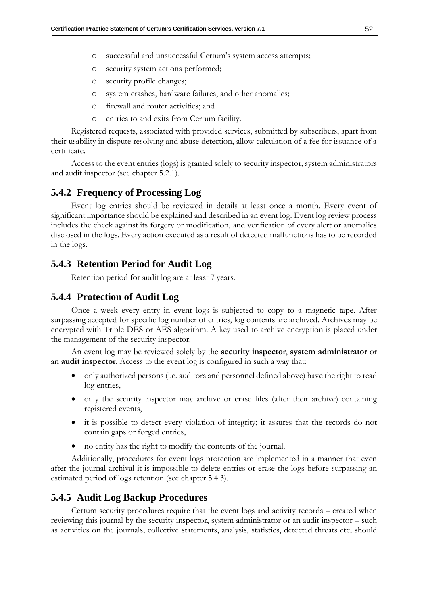- o successful and unsuccessful Certum's system access attempts;
- o security system actions performed;
- o security profile changes;
- o system crashes, hardware failures, and other anomalies;
- o firewall and router activities; and
- entries to and exits from Certum facility.

Registered requests, associated with provided services, submitted by subscribers, apart from their usability in dispute resolving and abuse detection, allow calculation of a fee for issuance of a certificate.

Access to the event entries (logs) is granted solely to security inspector, system administrators and audit inspector (see chapter [5.2.1\)](#page-55-0).

### **5.4.2 Frequency of Processing Log**

Event log entries should be reviewed in details at least once a month. Every event of significant importance should be explained and described in an event log. Event log review process includes the check against its forgery or modification, and verification of every alert or anomalies disclosed in the logs. Every action executed as a result of detected malfunctions has to be recorded in the logs.

## <span id="page-60-0"></span>**5.4.3 Retention Period for Audit Log**

Retention period for audit log are at least 7 years.

### **5.4.4 Protection of Audit Log**

Once a week every entry in event logs is subjected to copy to a magnetic tape. After surpassing accepted for specific log number of entries, log contents are archived. Archives may be encrypted with Triple DES or AES algorithm. A key used to archive encryption is placed under the management of the security inspector.

An event log may be reviewed solely by the **security inspector**, **system administrator** or an **audit inspector**. Access to the event log is configured in such a way that:

- only authorized persons (i.e. auditors and personnel defined above) have the right to read log entries,
- only the security inspector may archive or erase files (after their archive) containing registered events,
- it is possible to detect every violation of integrity; it assures that the records do not contain gaps or forged entries,
- no entity has the right to modify the contents of the journal.

Additionally, procedures for event logs protection are implemented in a manner that even after the journal archival it is impossible to delete entries or erase the logs before surpassing an estimated period of logs retention (see chapter [5.4.3\)](#page-60-0).

## **5.4.5 Audit Log Backup Procedures**

Certum security procedures require that the event logs and activity records – created when reviewing this journal by the security inspector, system administrator or an audit inspector – such as activities on the journals, collective statements, analysis, statistics, detected threats etc, should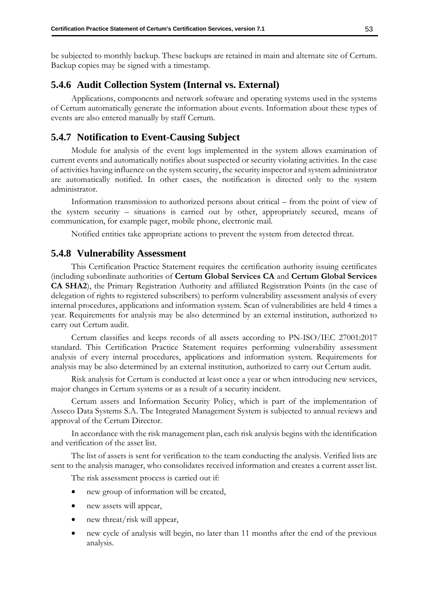be subjected to monthly backup. These backups are retained in main and alternate site of Certum. Backup copies may be signed with a timestamp.

### **5.4.6 Audit Collection System (Internal vs. External)**

Applications, components and network software and operating systems used in the systems of Certum automatically generate the information about events. Information about these types of events are also entered manually by staff Certum.

## **5.4.7 Notification to Event-Causing Subject**

Module for analysis of the event logs implemented in the system allows examination of current events and automatically notifies about suspected or security violating activities. In the case of activities having influence on the system security, the security inspector and system administrator are automatically notified. In other cases, the notification is directed only to the system administrator.

Information transmission to authorized persons about critical – from the point of view of the system security – situations is carried out by other, appropriately secured, means of communication, for example pager, mobile phone, electronic mail.

Notified entities take appropriate actions to prevent the system from detected threat.

### **5.4.8 Vulnerability Assessment**

This Certification Practice Statement requires the certification authority issuing certificates (including subordinate authorities of **Certum Global Services CA** and **Certum Global Services CA SHA2**), the Primary Registration Authority and affiliated Registration Points (in the case of delegation of rights to registered subscribers) to perform vulnerability assessment analysis of every internal procedures, applications and information system. Scan of vulnerabilities are held 4 times a year. Requirements for analysis may be also determined by an external institution, authorized to carry out Certum audit.

Certum classifies and keeps records of all assets according to PN-ISO/IEC 27001:2017 standard. This Certification Practice Statement requires performing vulnerability assessment analysis of every internal procedures, applications and information system. Requirements for analysis may be also determined by an external institution, authorized to carry out Certum audit.

Risk analysis for Certum is conducted at least once a year or when introducing new services, major changes in Certum systems or as a result of a security incident.

Certum assets and Information Security Policy, which is part of the implementation of Asseco Data Systems S.A. The Integrated Management System is subjected to annual reviews and approval of the Certum Director.

In accordance with the risk management plan, each risk analysis begins with the identification and verification of the asset list.

The list of assets is sent for verification to the team conducting the analysis. Verified lists are sent to the analysis manager, who consolidates received information and creates a current asset list.

The risk assessment process is carried out if:

- new group of information will be created,
- new assets will appear,
- new threat/risk will appear,
- new cycle of analysis will begin, no later than 11 months after the end of the previous analysis.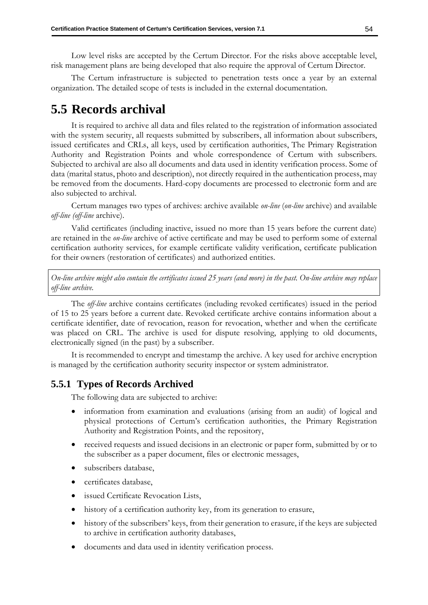Low level risks are accepted by the Certum Director. For the risks above acceptable level, risk management plans are being developed that also require the approval of Certum Director.

The Certum infrastructure is subjected to penetration tests once a year by an external organization. The detailed scope of tests is included in the external documentation.

# <span id="page-62-0"></span>**5.5 Records archival**

It is required to archive all data and files related to the registration of information associated with the system security, all requests submitted by subscribers, all information about subscribers, issued certificates and CRLs, all keys, used by certification authorities, The Primary Registration Authority and Registration Points and whole correspondence of Certum with subscribers. Subjected to archival are also all documents and data used in identity verification process. Some of data (marital status, photo and description), not directly required in the authentication process, may be removed from the documents. Hard-copy documents are processed to electronic form and are also subjected to archival.

Certum manages two types of archives: archive available *on-line* (*on-line* archive) and available *off-line (off-line* archive).

Valid certificates (including inactive, issued no more than 15 years before the current date) are retained in the *on-line* archive of active certificate and may be used to perform some of external certification authority services, for example certificate validity verification, certificate publication for their owners (restoration of certificates) and authorized entities.

*On-line archive might also contain the certificates issued 25 years (and more) in the past. On-line archive may replace off-line archive.*

The *off-line* archive contains certificates (including revoked certificates) issued in the period of 15 to 25 years before a current date. Revoked certificate archive contains information about a certificate identifier, date of revocation, reason for revocation, whether and when the certificate was placed on CRL. The archive is used for dispute resolving, applying to old documents, electronically signed (in the past) by a subscriber.

It is recommended to encrypt and timestamp the archive. A key used for archive encryption is managed by the certification authority security inspector or system administrator.

### **5.5.1 Types of Records Archived**

The following data are subjected to archive:

- information from examination and evaluations (arising from an audit) of logical and physical protections of Certum's certification authorities, the Primary Registration Authority and Registration Points, and the repository,
- received requests and issued decisions in an electronic or paper form, submitted by or to the subscriber as a paper document, files or electronic messages,
- subscribers database,
- certificates database,
- issued Certificate Revocation Lists,
- history of a certification authority key, from its generation to erasure,
- history of the subscribers' keys, from their generation to erasure, if the keys are subjected to archive in certification authority databases,
- documents and data used in identity verification process.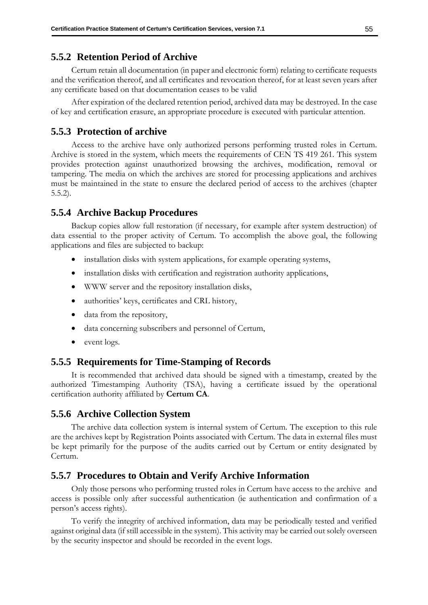### **5.5.2 Retention Period of Archive**

Certum retain all documentation (in paper and electronic form) relating to certificate requests and the verification thereof, and all certificates and revocation thereof, for at least seven years after any certificate based on that documentation ceases to be valid

After expiration of the declared retention period, archived data may be destroyed. In the case of key and certification erasure, an appropriate procedure is executed with particular attention.

### **5.5.3 Protection of archive**

Access to the archive have only authorized persons performing trusted roles in Certum. Archive is stored in the system, which meets the requirements of CEN TS 419 261*.* This system provides protection against unauthorized browsing the archives, modification, removal or tampering. The media on which the archives are stored for processing applications and archives must be maintained in the state to ensure the declared period of access to the archives (chapter 5.5.2).

### <span id="page-63-1"></span>**5.5.4 Archive Backup Procedures**

Backup copies allow full restoration (if necessary, for example after system destruction) of data essential to the proper activity of Certum. To accomplish the above goal, the following applications and files are subjected to backup:

- installation disks with system applications, for example operating systems,
- installation disks with certification and registration authority applications,
- WWW server and the repository installation disks,
- authorities' keys, certificates and CRL history,
- data from the repository,
- data concerning subscribers and personnel of Certum,
- event logs.

### <span id="page-63-0"></span>**5.5.5 Requirements for Time-Stamping of Records**

It is recommended that archived data should be signed with a timestamp, created by the authorized Timestamping Authority (TSA), having a certificate issued by the operational certification authority affiliated by **Certum CA**.

### **5.5.6 Archive Collection System**

The archive data collection system is internal system of Certum. The exception to this rule are the archives kept by Registration Points associated with Certum. The data in external files must be kept primarily for the purpose of the audits carried out by Certum or entity designated by Certum.

### **5.5.7 Procedures to Obtain and Verify Archive Information**

Only those persons who performing trusted roles in Certum have access to the archive and access is possible only after successful authentication (ie authentication and confirmation of a person's access rights).

To verify the integrity of archived information, data may be periodically tested and verified against original data (if still accessible in the system). This activity may be carried out solely overseen by the security inspector and should be recorded in the event logs.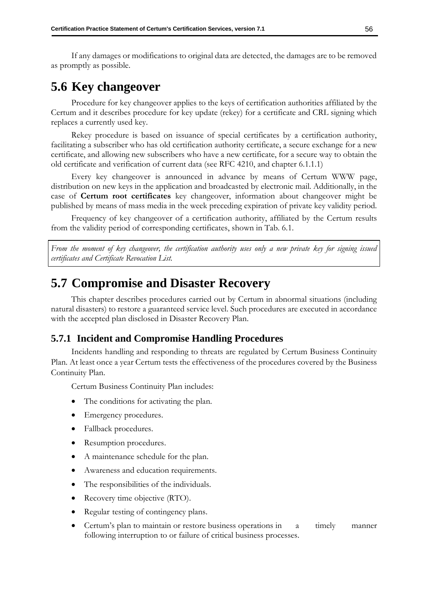If any damages or modifications to original data are detected, the damages are to be removed as promptly as possible.

# **5.6 Key changeover**

Procedure for key changeover applies to the keys of certification authorities affiliated by the Certum and it describes procedure for key update (rekey) for a certificate and CRL signing which replaces a currently used key.

Rekey procedure is based on issuance of special certificates by a certification authority, facilitating a subscriber who has old certification authority certificate, a secure exchange for a new certificate, and allowing new subscribers who have a new certificate, for a secure way to obtain the old certificate and verification of current data (see RFC 4210, and chapter [6.1.1.1\)](#page-70-0)

Every key changeover is announced in advance by means of Certum WWW page, distribution on new keys in the application and broadcasted by electronic mail. Additionally, in the case of **Certum root certificates** key changeover, information about changeover might be published by means of mass media in the week preceding expiration of private key validity period.

Frequency of key changeover of a certification authority, affiliated by the Certum results from the validity period of corresponding certificates, shown in Tab. 6.1.

*From the moment of key changeover, the certification authority uses only a new private key for signing issued certificates and Certificate Revocation List.* 

# **5.7 Compromise and Disaster Recovery**

This chapter describes procedures carried out by Certum in abnormal situations (including natural disasters) to restore a guaranteed service level. Such procedures are executed in accordance with the accepted plan disclosed in Disaster Recovery Plan.

### **5.7.1 Incident and Compromise Handling Procedures**

Incidents handling and responding to threats are regulated by Certum Business Continuity Plan. At least once a year Certum tests the effectiveness of the procedures covered by the Business Continuity Plan.

Certum Business Continuity Plan includes:

- The conditions for activating the plan.
- Emergency procedures.
- Fallback procedures.
- Resumption procedures.
- A maintenance schedule for the plan.
- Awareness and education requirements.
- The responsibilities of the individuals.
- Recovery time objective (RTO).
- Regular testing of contingency plans.
- Certum's plan to maintain or restore business operations in a timely manner following interruption to or failure of critical business processes.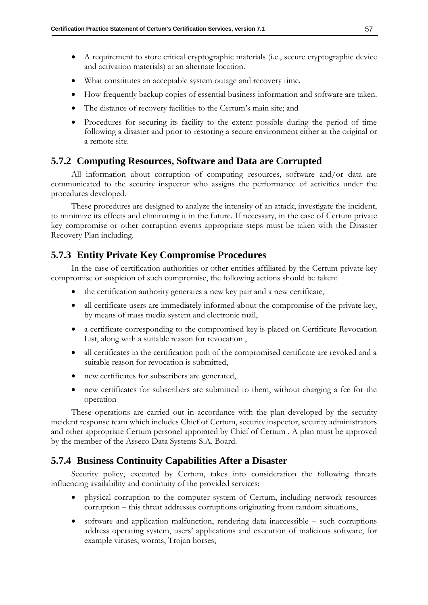- A requirement to store critical cryptographic materials (i.e., secure cryptographic device and activation materials) at an alternate location.
- What constitutes an acceptable system outage and recovery time.
- How frequently backup copies of essential business information and software are taken.
- The distance of recovery facilities to the Certum's main site; and
- Procedures for securing its facility to the extent possible during the period of time following a disaster and prior to restoring a secure environment either at the original or a remote site.

# **5.7.2 Computing Resources, Software and Data are Corrupted**

All information about corruption of computing resources, software and/or data are communicated to the security inspector who assigns the performance of activities under the procedures developed.

These procedures are designed to analyze the intensity of an attack, investigate the incident, to minimize its effects and eliminating it in the future. If necessary, in the case of Certum private key compromise or other corruption events appropriate steps must be taken with the Disaster Recovery Plan including.

# **5.7.3 Entity Private Key Compromise Procedures**

In the case of certification authorities or other entities affiliated by the Certum private key compromise or suspicion of such compromise, the following actions should be taken:

- the certification authority generates a new key pair and a new certificate,
- all certificate users are immediately informed about the compromise of the private key, by means of mass media system and electronic mail,
- a certificate corresponding to the compromised key is placed on Certificate Revocation List, along with a suitable reason for revocation ,
- all certificates in the certification path of the compromised certificate are revoked and a suitable reason for revocation is submitted,
- new certificates for subscribers are generated,
- new certificates for subscribers are submitted to them, without charging a fee for the operation

These operations are carried out in accordance with the plan developed by the security incident response team which includes Chief of Certum, security inspector, security administrators and other appropriate Certum personel appointed by Chief of Certum . A plan must be approved by the member of the Asseco Data Systems S.A. Board.

# **5.7.4 Business Continuity Capabilities After a Disaster**

Security policy, executed by Certum, takes into consideration the following threats influencing availability and continuity of the provided services:

- physical corruption to the computer system of Certum, including network resources corruption – this threat addresses corruptions originating from random situations,
- software and application malfunction, rendering data inaccessible such corruptions address operating system, users' applications and execution of malicious software, for example viruses, worms, Trojan horses,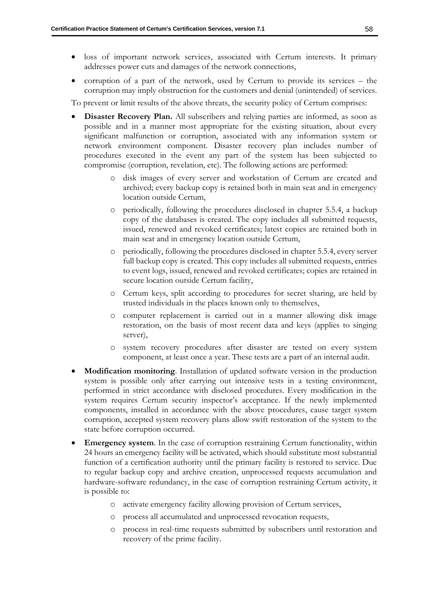- loss of important network services, associated with Certum interests. It primary addresses power cuts and damages of the network connections,
- corruption of a part of the network, used by Certum to provide its services the corruption may imply obstruction for the customers and denial (unintended) of services.

To prevent or limit results of the above threats, the security policy of Certum comprises:

- **Disaster Recovery Plan.** All subscribers and relying parties are informed, as soon as possible and in a manner most appropriate for the existing situation, about every significant malfunction or corruption, associated with any information system or network environment component. Disaster recovery plan includes number of procedures executed in the event any part of the system has been subjected to compromise (corruption, revelation, etc). The following actions are performed:
	- o disk images of every server and workstation of Certum are created and archived; every backup copy is retained both in main seat and in emergency location outside Certum,
	- o periodically, following the procedures disclosed in chapter [5.5.4,](#page-63-1) a backup copy of the databases is created. The copy includes all submitted requests, issued, renewed and revoked certificates; latest copies are retained both in main seat and in emergency location outside Certum,
	- o periodically, following the procedures disclosed in chapter [5.5.4,](#page-63-1) every server full backup copy is created. This copy includes all submitted requests, entries to event logs, issued, renewed and revoked certificates; copies are retained in secure location outside Certum facility,
	- o Certum keys, split according to procedures for secret sharing, are held by trusted individuals in the places known only to themselves,
	- o computer replacement is carried out in a manner allowing disk image restoration, on the basis of most recent data and keys (applies to singing server),
	- o system recovery procedures after disaster are tested on every system component, at least once a year. These tests are a part of an internal audit.
- **Modification monitoring**. Installation of updated software version in the production system is possible only after carrying out intensive tests in a testing environment, performed in strict accordance with disclosed procedures. Every modification in the system requires Certum security inspector's acceptance. If the newly implemented components, installed in accordance with the above procedures, cause target system corruption, accepted system recovery plans allow swift restoration of the system to the state before corruption occurred.
- **Emergency system**. In the case of corruption restraining Certum functionality, within 24 hours an emergency facility will be activated, which should substitute most substantial function of a certification authority until the primary facility is restored to service. Due to regular backup copy and archive creation, unprocessed requests accumulation and hardware-software redundancy, in the case of corruption restraining Certum activity, it is possible to:
	- o activate emergency facility allowing provision of Certum services,
	- o process all accumulated and unprocessed revocation requests,
	- o process in real-time requests submitted by subscribers until restoration and recovery of the prime facility.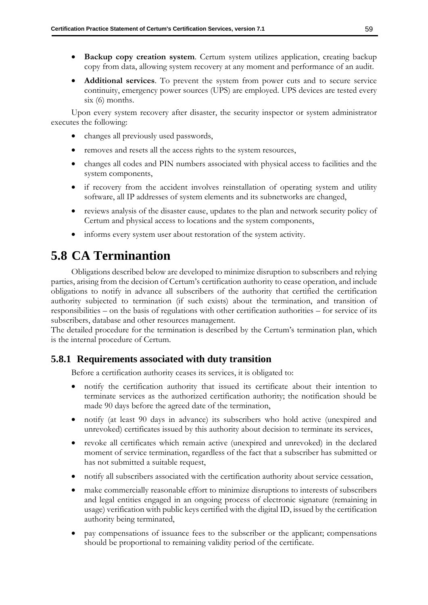- **Backup copy creation system**. Certum system utilizes application, creating backup copy from data, allowing system recovery at any moment and performance of an audit.
- **Additional services**. To prevent the system from power cuts and to secure service continuity, emergency power sources (UPS) are employed. UPS devices are tested every six (6) months.

Upon every system recovery after disaster, the security inspector or system administrator executes the following:

- changes all previously used passwords,
- removes and resets all the access rights to the system resources,
- changes all codes and PIN numbers associated with physical access to facilities and the system components,
- if recovery from the accident involves reinstallation of operating system and utility software, all IP addresses of system elements and its subnetworks are changed,
- reviews analysis of the disaster cause, updates to the plan and network security policy of Certum and physical access to locations and the system components,
- informs every system user about restoration of the system activity.

# **5.8 CA Terminantion**

Obligations described below are developed to minimize disruption to subscribers and relying parties, arising from the decision of Certum's certification authority to cease operation, and include obligations to notify in advance all subscribers of the authority that certified the certification authority subjected to termination (if such exists) about the termination, and transition of responsibilities – on the basis of regulations with other certification authorities – for service of its subscribers, database and other resources management.

The detailed procedure for the termination is described by the Certum's termination plan, which is the internal procedure of Certum.

# **5.8.1 Requirements associated with duty transition**

Before a certification authority ceases its services, it is obligated to:

- notify the certification authority that issued its certificate about their intention to terminate services as the authorized certification authority; the notification should be made 90 days before the agreed date of the termination,
- notify (at least 90 days in advance) its subscribers who hold active (unexpired and unrevoked) certificates issued by this authority about decision to terminate its services,
- revoke all certificates which remain active (unexpired and unrevoked) in the declared moment of service termination, regardless of the fact that a subscriber has submitted or has not submitted a suitable request,
- notify all subscribers associated with the certification authority about service cessation,
- make commercially reasonable effort to minimize disruptions to interests of subscribers and legal entities engaged in an ongoing process of electronic signature (remaining in usage) verification with public keys certified with the digital ID, issued by the certification authority being terminated,
- pay compensations of issuance fees to the subscriber or the applicant; compensations should be proportional to remaining validity period of the certificate.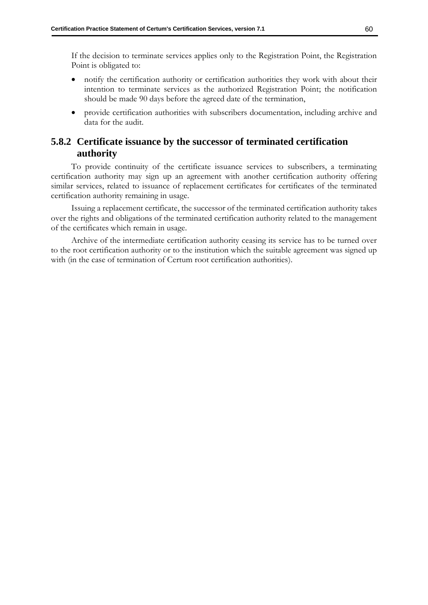If the decision to terminate services applies only to the Registration Point, the Registration Point is obligated to:

- notify the certification authority or certification authorities they work with about their intention to terminate services as the authorized Registration Point; the notification should be made 90 days before the agreed date of the termination,
- provide certification authorities with subscribers documentation, including archive and data for the audit.

# **5.8.2 Certificate issuance by the successor of terminated certification authority**

To provide continuity of the certificate issuance services to subscribers, a terminating certification authority may sign up an agreement with another certification authority offering similar services, related to issuance of replacement certificates for certificates of the terminated certification authority remaining in usage.

Issuing a replacement certificate, the successor of the terminated certification authority takes over the rights and obligations of the terminated certification authority related to the management of the certificates which remain in usage.

Archive of the intermediate certification authority ceasing its service has to be turned over to the root certification authority or to the institution which the suitable agreement was signed up with (in the case of termination of Certum root certification authorities).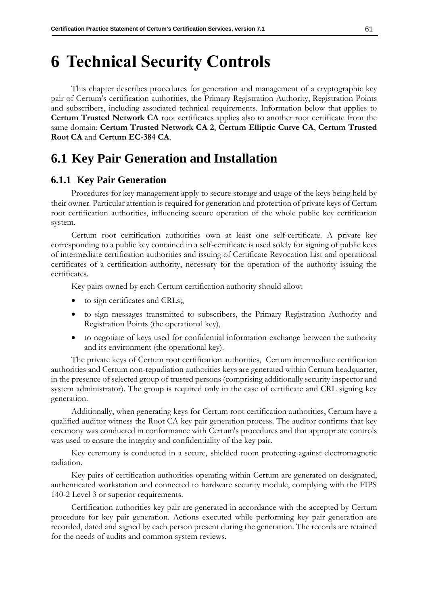# **6 Technical Security Controls**

This chapter describes procedures for generation and management of a cryptographic key pair of Certum's certification authorities, the Primary Registration Authority, Registration Points and subscribers, including associated technical requirements. Information below that applies to **Certum Trusted Network CA** root certificates applies also to another root certificate from the same domain: **Certum Trusted Network CA 2**, **Certum Elliptic Curve CA**, **Certum Trusted Root CA** and **Certum EC-384 CA**.

# **6.1 Key Pair Generation and Installation**

## **6.1.1 Key Pair Generation**

Procedures for key management apply to secure storage and usage of the keys being held by their owner. Particular attention is required for generation and protection of private keys of Certum root certification authorities, influencing secure operation of the whole public key certification system.

Certum root certification authorities own at least one self-certificate. A private key corresponding to a public key contained in a self-certificate is used solely for signing of public keys of intermediate certification authorities and issuing of Certificate Revocation List and operational certificates of a certification authority, necessary for the operation of the authority issuing the certificates.

Key pairs owned by each Certum certification authority should allow:

- to sign certificates and CRLs;
- to sign messages transmitted to subscribers, the Primary Registration Authority and Registration Points (the operational key),
- to negotiate of keys used for confidential information exchange between the authority and its environment (the operational key).

The private keys of Certum root certification authorities, Certum intermediate certification authorities and Certum non-repudiation authorities keys are generated within Certum headquarter, in the presence of selected group of trusted persons (comprising additionally security inspector and system administrator). The group is required only in the case of certificate and CRL signing key generation.

Additionally, when generating keys for Certum root certification authorities, Certum have a qualified auditor witness the Root CA key pair generation process. The auditor confirms that key ceremony was conducted in conformance with Certum's procedures and that appropriate controls was used to ensure the integrity and confidentiality of the key pair.

Key ceremony is conducted in a secure, shielded room protecting against electromagnetic radiation.

Key pairs of certification authorities operating within Certum are generated on designated, authenticated workstation and connected to hardware security module, complying with the FIPS 140-2 Level 3 or superior requirements.

Certification authorities key pair are generated in accordance with the accepted by Certum procedure for key pair generation. Actions executed while performing key pair generation are recorded, dated and signed by each person present during the generation. The records are retained for the needs of audits and common system reviews.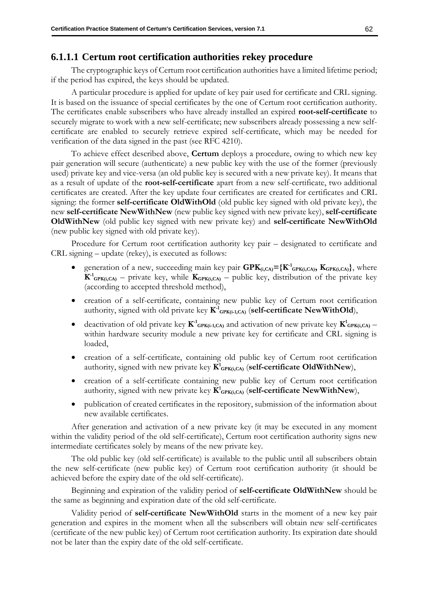### <span id="page-70-0"></span>**6.1.1.1 Certum root certification authorities rekey procedure**

The cryptographic keys of Certum root certification authorities have a limited lifetime period; if the period has expired, the keys should be updated.

A particular procedure is applied for update of key pair used for certificate and CRL signing. It is based on the issuance of special certificates by the one of Certum root certification authority. The certificates enable subscribers who have already installed an expired **root-self-certificate** to securely migrate to work with a new self-certificate; new subscribers already possessing a new selfcertificate are enabled to securely retrieve expired self-certificate, which may be needed for verification of the data signed in the past (see RFC 4210).

To achieve effect described above, **Certum** deploys a procedure, owing to which new key pair generation will secure (authenticate) a new public key with the use of the former (previously used) private key and vice-versa (an old public key is secured with a new private key). It means that as a result of update of the **root-self-certificate** apart from a new self-certificate, two additional certificates are created. After the key update four certificates are created for certificates and CRL signing: the former **self-certificate OldWithOld** (old public key signed with old private key), the new **self-certificate NewWithNew** (new public key signed with new private key), **self-certificate OldWithNew** (old public key signed with new private key) and **self-certificate NewWithOld** (new public key signed with old private key).

Procedure for Certum root certification authority key pair – designated to certificate and CRL signing – update (rekey), is executed as follows:

- generation of a new, succeeding main key pair  $\mathbf{GPK}_{(i,CA)} = \{\mathbf{K}^1_{\mathbf{GPK}(i,CA)}, \mathbf{K}_{\mathbf{GPK}(i,CA)}\}$ , where  $K^{-1}_{\text{GPK}(i,\text{CA})}$  – private key, while  $K_{\text{GPK}(i,\text{CA})}$  – public key, distribution of the private key (according to accepted threshold method),
- creation of a self-certificate, containing new public key of Certum root certification authority, signed with old private key  $K$ <sup>1</sup><sub>GPK(i-1,CA)</sub> (self-certificate NewWithOld),
- deactivation of old private key  $K^1_{\text{GPK}(i-1,CA)}$  and activation of new private key  $K^1_{\text{GPK}(i,CA)}$  within hardware security module a new private key for certificate and CRL signing is loaded,
- creation of a self-certificate, containing old public key of Certum root certification authority, signed with new private key  $\mathbf{K}^1$ <sub>GPK(i,CA)</sub> (self-certificate OldWithNew),
- creation of a self-certificate containing new public key of Certum root certification authority, signed with new private key  $K^1$ <sub>GPK(i,CA)</sub> (self-certificate NewWithNew),
- publication of created certificates in the repository, submission of the information about new available certificates.

After generation and activation of a new private key (it may be executed in any moment within the validity period of the old self-certificate), Certum root certification authority signs new intermediate certificates solely by means of the new private key.

The old public key (old self-certificate) is available to the public until all subscribers obtain the new self-certificate (new public key) of Certum root certification authority (it should be achieved before the expiry date of the old self-certificate).

Beginning and expiration of the validity period of **self-certificate OldWithNew** should be the same as beginning and expiration date of the old self-certificate.

Validity period of **self-certificate NewWithOld** starts in the moment of a new key pair generation and expires in the moment when all the subscribers will obtain new self-certificates (certificate of the new public key) of Certum root certification authority. Its expiration date should not be later than the expiry date of the old self-certificate.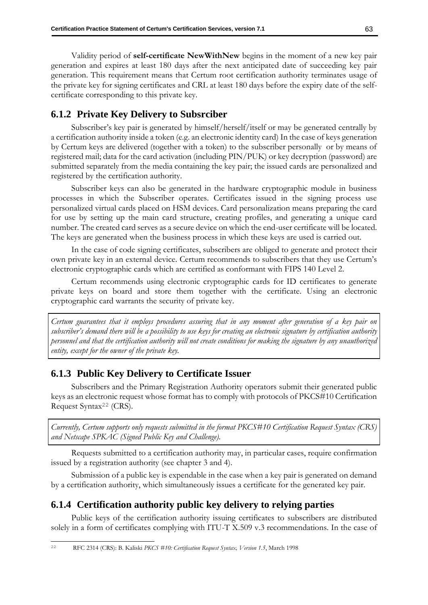Validity period of **self-certificate NewWithNew** begins in the moment of a new key pair generation and expires at least 180 days after the next anticipated date of succeeding key pair generation. This requirement means that Certum root certification authority terminates usage of the private key for signing certificates and CRL at least 180 days before the expiry date of the selfcertificate corresponding to this private key.

## **6.1.2 Private Key Delivery to Subsrciber**

Subscriber's key pair is generated by himself/herself/itself or may be generated centrally by a certification authority inside a token (e.g. an electronic identity card) In the case of keys generation by Certum keys are delivered (together with a token) to the subscriber personally or by means of registered mail; data for the card activation (including PIN/PUK) or key decryption (password) are submitted separately from the media containing the key pair; the issued cards are personalized and registered by the certification authority.

Subscriber keys can also be generated in the hardware cryptographic module in business processes in which the Subscriber operates. Certificates issued in the signing process use personalized virtual cards placed on HSM devices. Card personalization means preparing the card for use by setting up the main card structure, creating profiles, and generating a unique card number. The created card serves as a secure device on which the end-user certificate will be located. The keys are generated when the business process in which these keys are used is carried out.

In the case of code signing certificates, subscribers are obliged to generate and protect their own private key in an external device. Certum recommends to subscribers that they use Certum's electronic cryptographic cards which are certified as conformant with FIPS 140 Level 2.

Certum recommends using electronic cryptographic cards for ID certificates to generate private keys on board and store them together with the certificate. Using an electronic cryptographic card warrants the security of private key.

*Certum guarantees that it employs procedures assuring that in any moment after generation of a key pair on subscriber's demand there will be a possibility to use keys for creating an electronic signature by certification authority personnel and that the certification authority will not create conditions for making the signature by any unauthorized entity, except for the owner of the private key.* 

## **6.1.3 Public Key Delivery to Certificate Issuer**

Subscribers and the Primary Registration Authority operators submit their generated public keys as an electronic request whose format has to comply with protocols of PKCS#10 Certification Request Syntax<sup>22</sup> (CRS).

*Currently, Certum supports only requests submitted in the format PKCS#10 Certification Request Syntax (CRS) and Netscape SPKAC (Signed Public Key and Challenge).* 

Requests submitted to a certification authority may, in particular cases, require confirmation issued by a registration authority (see chapter [3](#page-25-1) and 4).

Submission of a public key is expendable in the case when a key pair is generated on demand by a certification authority, which simultaneously issues a certificate for the generated key pair.

## **6.1.4 Certification authority public key delivery to relying parties**

Public keys of the certification authority issuing certificates to subscribers are distributed solely in a form of certificates complying with ITU-T X.509 v.3 recommendations. In the case of

<sup>22</sup> RFC 2314 (CRS): B. Kaliski *PKCS #10: Certification Request Syntax, Version 1.5*, March 1998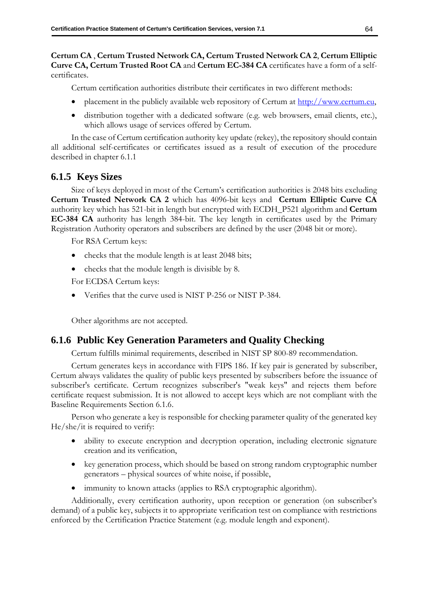## **Certum CA** , **Certum Trusted Network CA, Certum Trusted Network CA 2**, **Certum Elliptic Curve CA, Certum Trusted Root CA** and **Certum EC-384 CA** certificates have a form of a selfcertificates.

Certum certification authorities distribute their certificates in two different methods:

- placement in the publicly available web repository of Certum at [http://www.certum.eu,](http://www.certum.eu/)
- distribution together with a dedicated software (e.g. web browsers, email clients, etc.), which allows usage of services offered by Certum.

In the case of Certum certification authority key update (rekey), the repository should contain all additional self-certificates or certificates issued as a result of execution of the procedure described in chapter [6.1.1](#page-69-0)

## **6.1.5 Keys Sizes**

Size of keys deployed in most of the Certum's certification authorities is 2048 bits excluding **Certum Trusted Network CA 2** which has 4096-bit keys and **Certum Elliptic Curve CA** authority key which has 521-bit in length but encrypted with ECDH\_P521 algorithm and **Certum EC-384 CA** authority has length 384-bit. The key length in certificates used by the Primary Registration Authority operators and subscribers are defined by the user (2048 bit or more).

For RSA Certum keys:

- checks that the module length is at least 2048 bits;
- checks that the module length is divisible by 8.

For ECDSA Certum keys:

• Verifies that the curve used is NIST P-256 or NIST P-384.

Other algorithms are not accepted.

# **6.1.6 Public Key Generation Parameters and Quality Checking**

Certum fulfills minimal requirements, described in NIST SP 800-89 recommendation.

Certum generates keys in accordance with FIPS 186. If key pair is generated by subscriber, Certum always validates the quality of public keys presented by subscribers before the issuance of subscriber's certificate. Certum recognizes subscriber's "weak keys" and rejects them before certificate request submission. It is not allowed to accept keys which are not compliant with the Baseline Requirements Section 6.1.6.

Person who generate a key is responsible for checking parameter quality of the generated key He/she/it is required to verify:

- ability to execute encryption and decryption operation, including electronic signature creation and its verification,
- key generation process, which should be based on strong random cryptographic number generators – physical sources of white noise, if possible,
- immunity to known attacks (applies to RSA cryptographic algorithm).

Additionally, every certification authority, upon reception or generation (on subscriber's demand) of a public key, subjects it to appropriate verification test on compliance with restrictions enforced by the Certification Practice Statement (e.g. module length and exponent).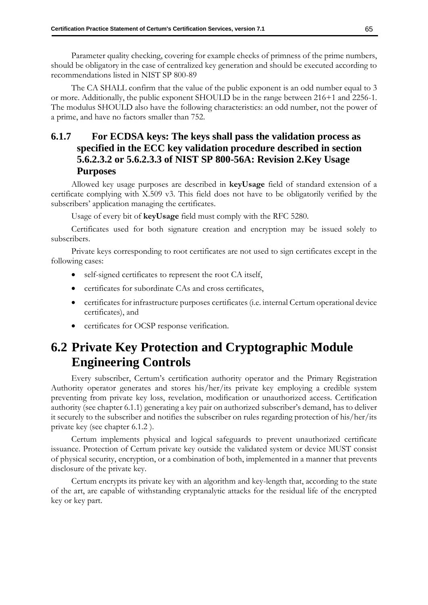Parameter quality checking, covering for example checks of primness of the prime numbers, should be obligatory in the case of centralized key generation and should be executed according to recommendations listed in NIST SP 800-89

The CA SHALL confirm that the value of the public exponent is an odd number equal to 3 or more. Additionally, the public exponent SHOULD be in the range between 216+1 and 2256-1. The modulus SHOULD also have the following characteristics: an odd number, not the power of a prime, and have no factors smaller than 752.

# **6.1.7 For ECDSA keys: The keys shall pass the validation process as specified in the ECC key validation procedure described in section 5.6.2.3.2 or 5.6.2.3.3 of NIST SP 800-56A: Revision 2.Key Usage Purposes**

Allowed key usage purposes are described in **keyUsage** field of standard extension of a certificate complying with X.509 v3. This field does not have to be obligatorily verified by the subscribers' application managing the certificates.

Usage of every bit of **keyUsage** field must comply with the RFC 5280.

Certificates used for both signature creation and encryption may be issued solely to subscribers.

Private keys corresponding to root certificates are not used to sign certificates except in the following cases:

- self-signed certificates to represent the root CA itself,
- certificates for subordinate CAs and cross certificates,
- certificates for infrastructure purposes certificates (i.e. internal Certum operational device certificates), and
- certificates for OCSP response verification.

# <span id="page-73-0"></span>**6.2 Private Key Protection and Cryptographic Module Engineering Controls**

Every subscriber, Certum's certification authority operator and the Primary Registration Authority operator generates and stores his/her/its private key employing a credible system preventing from private key loss, revelation, modification or unauthorized access. Certification authority (see chapter 6.1.1) generating a key pair on authorized subscriber's demand, has to deliver it securely to the subscriber and notifies the subscriber on rules regarding protection of his/her/its private key (see chapter [6.1.2](#page-71-0) ).

Certum implements physical and logical safeguards to prevent unauthorized certificate issuance. Protection of Certum private key outside the validated system or device MUST consist of physical security, encryption, or a combination of both, implemented in a manner that prevents disclosure of the private key.

Certum encrypts its private key with an algorithm and key-length that, according to the state of the art, are capable of withstanding cryptanalytic attacks for the residual life of the encrypted key or key part.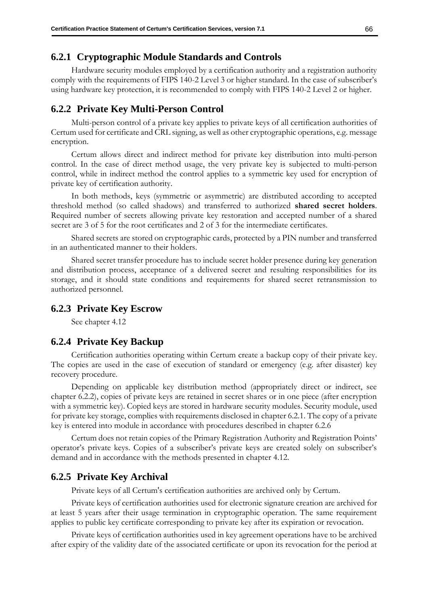### **6.2.1 Cryptographic Module Standards and Controls**

Hardware security modules employed by a certification authority and a registration authority comply with the requirements of FIPS 140-2 Level 3 or higher standard. In the case of subscriber's using hardware key protection, it is recommended to comply with FIPS 140-2 Level 2 or higher.

### <span id="page-74-0"></span>**6.2.2 Private Key Multi-Person Control**

Multi-person control of a private key applies to private keys of all certification authorities of Certum used for certificate and CRL signing, as well as other cryptographic operations, e.g. message encryption.

Certum allows direct and indirect method for private key distribution into multi-person control. In the case of direct method usage, the very private key is subjected to multi-person control, while in indirect method the control applies to a symmetric key used for encryption of private key of certification authority.

In both methods, keys (symmetric or asymmetric) are distributed according to accepted threshold method (so called shadows) and transferred to authorized **shared secret holders**. Required number of secrets allowing private key restoration and accepted number of a shared secret are 3 of 5 for the root certificates and 2 of 3 for the intermediate certificates.

Shared secrets are stored on cryptographic cards, protected by a PIN number and transferred in an authenticated manner to their holders.

Shared secret transfer procedure has to include secret holder presence during key generation and distribution process, acceptance of a delivered secret and resulting responsibilities for its storage, and it should state conditions and requirements for shared secret retransmission to authorized personnel.

### **6.2.3 Private Key Escrow**

See chapter 4.12

### <span id="page-74-1"></span>**6.2.4 Private Key Backup**

Certification authorities operating within Certum create a backup copy of their private key. The copies are used in the case of execution of standard or emergency (e.g. after disaster) key recovery procedure.

Depending on applicable key distribution method (appropriately direct or indirect, see chapter [6.2.2\)](#page-74-0), copies of private keys are retained in secret shares or in one piece (after encryption with a symmetric key). Copied keys are stored in hardware security modules. Security module, used for private key storage, complies with requirements disclosed in chapter 6.2.1. The copy of a private key is entered into module in accordance with procedures described in chapter [6.2.6](#page-75-0)

Certum does not retain copies of the Primary Registration Authority and Registration Points' operator's private keys. Copies of a subscriber's private keys are created solely on subscriber's demand and in accordance with the methods presented in chapter 4.12.

### <span id="page-74-2"></span>**6.2.5 Private Key Archival**

Private keys of all Certum's certification authorities are archived only by Certum.

Private keys of certification authorities used for electronic signature creation are archived for at least 5 years after their usage termination in cryptographic operation. The same requirement applies to public key certificate corresponding to private key after its expiration or revocation.

Private keys of certification authorities used in key agreement operations have to be archived after expiry of the validity date of the associated certificate or upon its revocation for the period at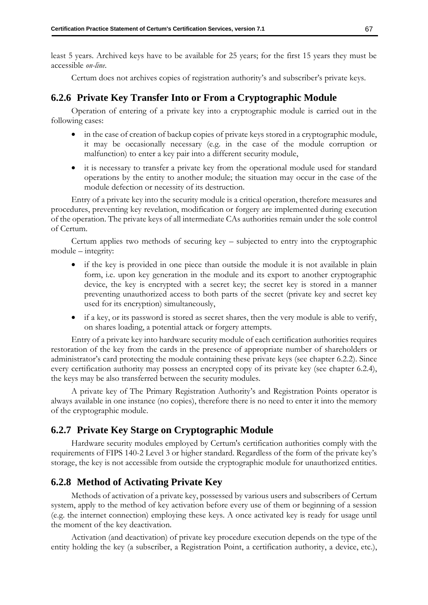least 5 years. Archived keys have to be available for 25 years; for the first 15 years they must be accessible *on-line*.

Certum does not archives copies of registration authority's and subscriber's private keys.

## <span id="page-75-0"></span>**6.2.6 Private Key Transfer Into or From a Cryptographic Module**

Operation of entering of a private key into a cryptographic module is carried out in the following cases:

- in the case of creation of backup copies of private keys stored in a cryptographic module, it may be occasionally necessary (e.g. in the case of the module corruption or malfunction) to enter a key pair into a different security module,
- it is necessary to transfer a private key from the operational module used for standard operations by the entity to another module; the situation may occur in the case of the module defection or necessity of its destruction.

Entry of a private key into the security module is a critical operation, therefore measures and procedures, preventing key revelation, modification or forgery are implemented during execution of the operation. The private keys of all intermediate CAs authorities remain under the sole control of Certum.

Certum applies two methods of securing key – subjected to entry into the cryptographic module – integrity:

- if the key is provided in one piece than outside the module it is not available in plain form, i.e. upon key generation in the module and its export to another cryptographic device, the key is encrypted with a secret key; the secret key is stored in a manner preventing unauthorized access to both parts of the secret (private key and secret key used for its encryption) simultaneously,
- if a key, or its password is stored as secret shares, then the very module is able to verify, on shares loading, a potential attack or forgery attempts.

Entry of a private key into hardware security module of each certification authorities requires restoration of the key from the cards in the presence of appropriate number of shareholders or administrator's card protecting the module containing these private keys (see chapter [6.2.2\)](#page-74-0). Since every certification authority may possess an encrypted copy of its private key (see chapter [6.2.4\)](#page-74-1), the keys may be also transferred between the security modules.

A private key of The Primary Registration Authority's and Registration Points operator is always available in one instance (no copies), therefore there is no need to enter it into the memory of the cryptographic module.

## **6.2.7 Private Key Starge on Cryptographic Module**

Hardware security modules employed by Certum's certification authorities comply with the requirements of FIPS 140-2 Level 3 or higher standard. Regardless of the form of the private key's storage, the key is not accessible from outside the cryptographic module for unauthorized entities.

## **6.2.8 Method of Activating Private Key**

Methods of activation of a private key, possessed by various users and subscribers of Certum system, apply to the method of key activation before every use of them or beginning of a session (e.g. the internet connection) employing these keys. A once activated key is ready for usage until the moment of the key deactivation.

Activation (and deactivation) of private key procedure execution depends on the type of the entity holding the key (a subscriber, a Registration Point, a certification authority, a device, etc.),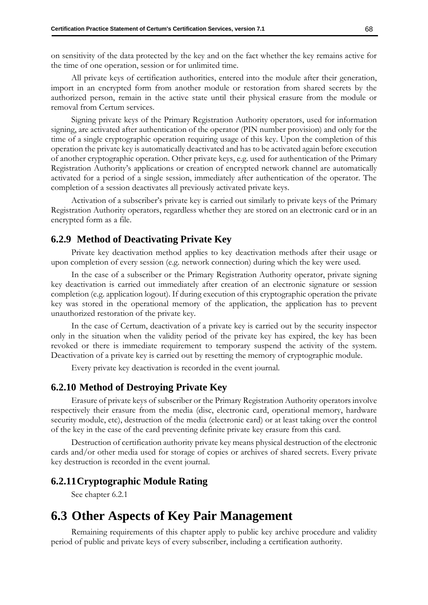on sensitivity of the data protected by the key and on the fact whether the key remains active for the time of one operation, session or for unlimited time.

All private keys of certification authorities, entered into the module after their generation, import in an encrypted form from another module or restoration from shared secrets by the authorized person, remain in the active state until their physical erasure from the module or removal from Certum services.

Signing private keys of the Primary Registration Authority operators, used for information signing, are activated after authentication of the operator (PIN number provision) and only for the time of a single cryptographic operation requiring usage of this key. Upon the completion of this operation the private key is automatically deactivated and has to be activated again before execution of another cryptographic operation. Other private keys, e.g. used for authentication of the Primary Registration Authority's applications or creation of encrypted network channel are automatically activated for a period of a single session, immediately after authentication of the operator. The completion of a session deactivates all previously activated private keys.

Activation of a subscriber's private key is carried out similarly to private keys of the Primary Registration Authority operators, regardless whether they are stored on an electronic card or in an encrypted form as a file.

### **6.2.9 Method of Deactivating Private Key**

Private key deactivation method applies to key deactivation methods after their usage or upon completion of every session (e.g. network connection) during which the key were used.

In the case of a subscriber or the Primary Registration Authority operator, private signing key deactivation is carried out immediately after creation of an electronic signature or session completion (e.g. application logout). If during execution of this cryptographic operation the private key was stored in the operational memory of the application, the application has to prevent unauthorized restoration of the private key.

In the case of Certum, deactivation of a private key is carried out by the security inspector only in the situation when the validity period of the private key has expired, the key has been revoked or there is immediate requirement to temporary suspend the activity of the system. Deactivation of a private key is carried out by resetting the memory of cryptographic module.

Every private key deactivation is recorded in the event journal.

### **6.2.10 Method of Destroying Private Key**

Erasure of private keys of subscriber or the Primary Registration Authority operators involve respectively their erasure from the media (disc, electronic card, operational memory, hardware security module, etc), destruction of the media (electronic card) or at least taking over the control of the key in the case of the card preventing definite private key erasure from this card.

Destruction of certification authority private key means physical destruction of the electronic cards and/or other media used for storage of copies or archives of shared secrets. Every private key destruction is recorded in the event journal.

### **6.2.11Cryptographic Module Rating**

See chapter 6.2.1

# **6.3 Other Aspects of Key Pair Management**

Remaining requirements of this chapter apply to public key archive procedure and validity period of public and private keys of every subscriber, including a certification authority.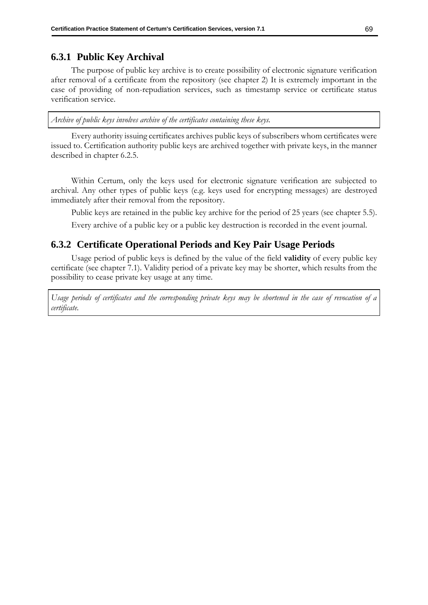# **6.3.1 Public Key Archival**

The purpose of public key archive is to create possibility of electronic signature verification after removal of a certificate from the repository (see chapter 2) It is extremely important in the case of providing of non-repudiation services, such as timestamp service or certificate status verification service.

*Archive of public keys involves archive of the certificates containing these keys.*

Every authority issuing certificates archives public keys of subscribers whom certificates were issued to. Certification authority public keys are archived together with private keys, in the manner described in chapter [6.2.5.](#page-74-2)

Within Certum, only the keys used for electronic signature verification are subjected to archival. Any other types of public keys (e.g. keys used for encrypting messages) are destroyed immediately after their removal from the repository.

Public keys are retained in the public key archive for the period of 25 years (see chapter [5.5\)](#page-62-0).

Every archive of a public key or a public key destruction is recorded in the event journal.

# **6.3.2 Certificate Operational Periods and Key Pair Usage Periods**

Usage period of public keys is defined by the value of the field **validity** of every public key certificate (see chapter [7.1\)](#page-84-0). Validity period of a private key may be shorter, which results from the possibility to cease private key usage at any time.

*Usage periods of certificates and the corresponding private keys may be shortened in the case of revocation of a certificate.*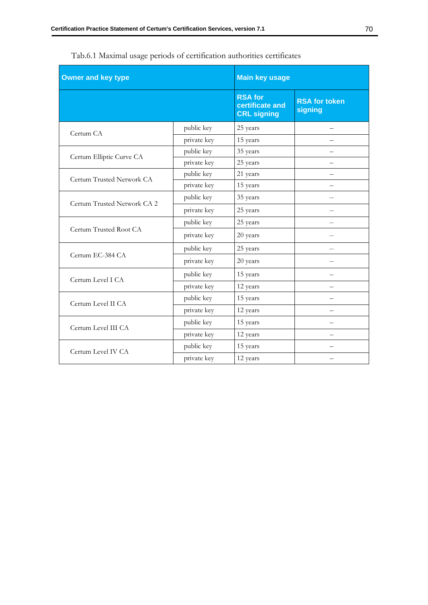| <b>Owner and key type</b>   |             | <b>Main key usage</b>                                   |                                 |
|-----------------------------|-------------|---------------------------------------------------------|---------------------------------|
|                             |             | <b>RSA for</b><br>certificate and<br><b>CRL signing</b> | <b>RSA for token</b><br>signing |
| Certum CA                   | public key  | 25 years                                                |                                 |
|                             | private key | 15 years                                                |                                 |
| Certum Elliptic Curve CA    | public key  | 35 years                                                |                                 |
|                             | private key | 25 years                                                |                                 |
| Certum Trusted Network CA   | public key  | 21 years                                                |                                 |
|                             | private key | 15 years                                                |                                 |
| Certum Trusted Network CA 2 | public key  | 35 years                                                |                                 |
|                             | private key | 25 years                                                | $=$                             |
|                             | public key  | 25 years                                                |                                 |
| Certum Trusted Root CA      | private key | 20 years                                                | $-$                             |
| Certum EC-384 CA            | public key  | 25 years                                                |                                 |
|                             | private key | 20 years                                                |                                 |
| Certum Level I CA           | public key  | 15 years                                                |                                 |
|                             | private key | 12 years                                                |                                 |
| Certum Level II CA          | public key  | 15 years                                                |                                 |
|                             | private key | 12 years                                                |                                 |
| Certum Level III CA         | public key  | 15 years                                                |                                 |
|                             | private key | 12 years                                                |                                 |
| Certum Level IV CA          | public key  | 15 years                                                |                                 |
|                             | private key | 12 years                                                |                                 |

Tab.6.1 Maximal usage periods of certification authorities certificates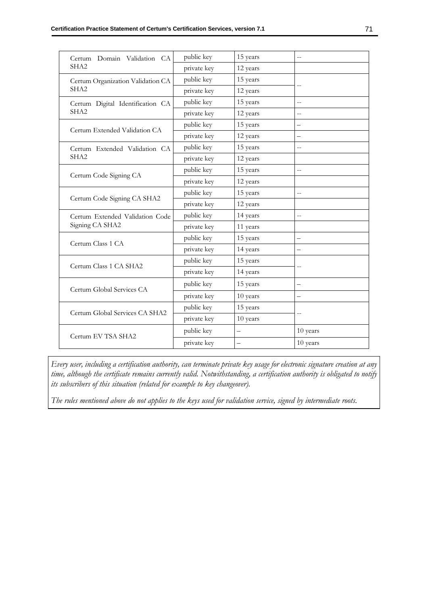| Certum Domain Validation CA                          | public key  | 15 years                 | $-$                      |
|------------------------------------------------------|-------------|--------------------------|--------------------------|
| SHA <sub>2</sub>                                     | private key | 12 years                 |                          |
| Certum Organization Validation CA                    | public key  | 15 years                 |                          |
| SHA <sub>2</sub>                                     | private key | 12 years                 |                          |
| Certum Digital Identification CA<br>SHA <sub>2</sub> | public key  | 15 years                 | $-$                      |
|                                                      | private key | 12 years                 | $-$                      |
|                                                      | public key  | 15 years                 |                          |
| Certum Extended Validation CA                        | private key | 12 years                 |                          |
| Certum Extended Validation CA                        | public key  | 15 years                 | $-$                      |
| SHA <sub>2</sub>                                     | private key | 12 years                 |                          |
| Certum Code Signing CA                               | public key  | 15 years                 | $- \, -$                 |
|                                                      | private key | 12 years                 |                          |
|                                                      | public key  | 15 years                 | $\overline{a}$           |
| Certum Code Signing CA SHA2                          | private key | 12 years                 |                          |
| Certum Extended Validation Code<br>Signing CA SHA2   | public key  | 14 years                 | $-$                      |
|                                                      | private key | 11 years                 |                          |
| Certum Class 1 CA                                    | public key  | 15 years                 | $\overline{\phantom{0}}$ |
|                                                      | private key | 14 years                 |                          |
| Certum Class 1 CA SHA2                               | public key  | 15 years                 |                          |
|                                                      | private key | 14 years                 |                          |
| Certum Global Services CA                            | public key  | 15 years                 |                          |
|                                                      | private key | 10 years                 |                          |
| Certum Global Services CA SHA2                       | public key  | 15 years                 |                          |
|                                                      | private key | 10 years                 |                          |
| Certum EV TSA SHA2                                   | public key  | $\overline{\phantom{0}}$ | 10 years                 |
|                                                      | private key |                          | 10 years                 |

*Every user, including a certification authority, can terminate private key usage for electronic signature creation at any time, although the certificate remains currently valid. Notwithstanding, a certification authority is obligated to notify its subscribers of this situation (related for example to key changeover).* 

*The rules mentioned above do not applies to the keys used for validation service, signed by intermediate roots.*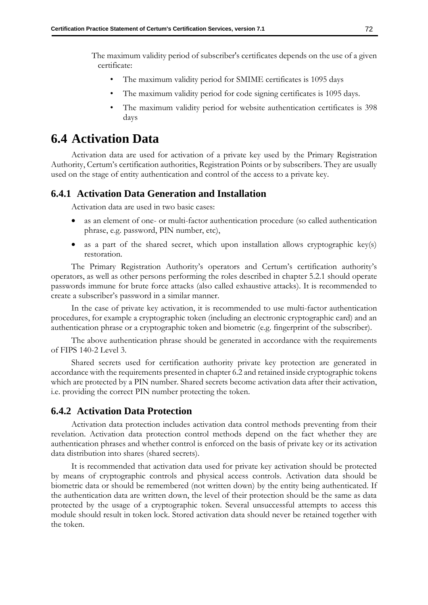The maximum validity period of subscriber's certificates depends on the use of a given certificate:

- The maximum validity period for SMIME certificates is 1095 days
- The maximum validity period for code signing certificates is 1095 days.
- The maximum validity period for website authentication certificates is 398 days

# **6.4 Activation Data**

Activation data are used for activation of a private key used by the Primary Registration Authority, Certum's certification authorities, Registration Points or by subscribers. They are usually used on the stage of entity authentication and control of the access to a private key.

## **6.4.1 Activation Data Generation and Installation**

Activation data are used in two basic cases:

- as an element of one- or multi-factor authentication procedure (so called authentication phrase, e.g. password, PIN number, etc),
- as a part of the shared secret, which upon installation allows cryptographic key(s) restoration.

The Primary Registration Authority's operators and Certum's certification authority's operators, as well as other persons performing the roles described in chapter [5.2.1](#page-55-0) should operate passwords immune for brute force attacks (also called exhaustive attacks). It is recommended to create a subscriber's password in a similar manner.

In the case of private key activation, it is recommended to use multi-factor authentication procedures, for example a cryptographic token (including an electronic cryptographic card) and an authentication phrase or a cryptographic token and biometric (e.g. fingerprint of the subscriber).

The above authentication phrase should be generated in accordance with the requirements of FIPS 140-2 Level 3.

Shared secrets used for certification authority private key protection are generated in accordance with the requirements presented in chapter [6.2](#page-73-0) and retained inside cryptographic tokens which are protected by a PIN number. Shared secrets become activation data after their activation, i.e. providing the correct PIN number protecting the token.

## **6.4.2 Activation Data Protection**

Activation data protection includes activation data control methods preventing from their revelation. Activation data protection control methods depend on the fact whether they are authentication phrases and whether control is enforced on the basis of private key or its activation data distribution into shares (shared secrets).

It is recommended that activation data used for private key activation should be protected by means of cryptographic controls and physical access controls. Activation data should be biometric data or should be remembered (not written down) by the entity being authenticated. If the authentication data are written down, the level of their protection should be the same as data protected by the usage of a cryptographic token. Several unsuccessful attempts to access this module should result in token lock. Stored activation data should never be retained together with the token.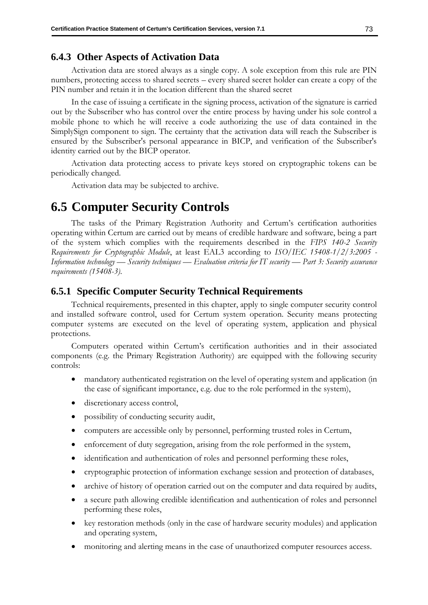### **6.4.3 Other Aspects of Activation Data**

Activation data are stored always as a single copy. A sole exception from this rule are PIN numbers, protecting access to shared secrets – every shared secret holder can create a copy of the PIN number and retain it in the location different than the shared secret

In the case of issuing a certificate in the signing process, activation of the signature is carried out by the Subscriber who has control over the entire process by having under his sole control a mobile phone to which he will receive a code authorizing the use of data contained in the SimplySign component to sign. The certainty that the activation data will reach the Subscriber is ensured by the Subscriber's personal appearance in BICP, and verification of the Subscriber's identity carried out by the BICP operator.

Activation data protecting access to private keys stored on cryptographic tokens can be periodically changed.

Activation data may be subjected to archive.

# **6.5 Computer Security Controls**

The tasks of the Primary Registration Authority and Certum's certification authorities operating within Certum are carried out by means of credible hardware and software, being a part of the system which complies with the requirements described in the *FIPS 140-2 Security Requirements for Cryptographic Module*, at least EAL3 according to *ISO/IEC 15408-1/2/3:2005 - Information technology — Security techniques — Evaluation criteria for IT security — Part 3: Security assurance requirements (15408-3)*.

### **6.5.1 Specific Computer Security Technical Requirements**

Technical requirements, presented in this chapter, apply to single computer security control and installed software control, used for Certum system operation. Security means protecting computer systems are executed on the level of operating system, application and physical protections.

Computers operated within Certum's certification authorities and in their associated components (e.g. the Primary Registration Authority) are equipped with the following security controls:

- mandatory authenticated registration on the level of operating system and application (in the case of significant importance, e.g. due to the role performed in the system),
- discretionary access control,
- possibility of conducting security audit,
- computers are accessible only by personnel, performing trusted roles in Certum,
- enforcement of duty segregation, arising from the role performed in the system,
- identification and authentication of roles and personnel performing these roles,
- cryptographic protection of information exchange session and protection of databases,
- archive of history of operation carried out on the computer and data required by audits,
- a secure path allowing credible identification and authentication of roles and personnel performing these roles,
- key restoration methods (only in the case of hardware security modules) and application and operating system,
- monitoring and alerting means in the case of unauthorized computer resources access.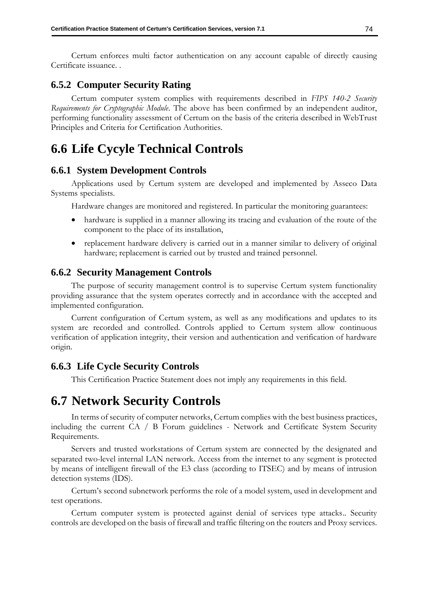Certum enforces multi factor authentication on any account capable of directly causing Certificate issuance. .

## **6.5.2 Computer Security Rating**

Certum computer system complies with requirements described in *FIPS 140-2 Security Requirements for Cryptographic Module*. The above has been confirmed by an independent auditor, performing functionality assessment of Certum on the basis of the criteria described in WebTrust Principles and Criteria for Certification Authorities.

# **6.6 Life Cycyle Technical Controls**

### **6.6.1 System Development Controls**

Applications used by Certum system are developed and implemented by Asseco Data Systems specialists.

Hardware changes are monitored and registered. In particular the monitoring guarantees:

- hardware is supplied in a manner allowing its tracing and evaluation of the route of the component to the place of its installation,
- replacement hardware delivery is carried out in a manner similar to delivery of original hardware; replacement is carried out by trusted and trained personnel.

## **6.6.2 Security Management Controls**

The purpose of security management control is to supervise Certum system functionality providing assurance that the system operates correctly and in accordance with the accepted and implemented configuration.

Current configuration of Certum system, as well as any modifications and updates to its system are recorded and controlled. Controls applied to Certum system allow continuous verification of application integrity, their version and authentication and verification of hardware origin.

### **6.6.3 Life Cycle Security Controls**

This Certification Practice Statement does not imply any requirements in this field.

# **6.7 Network Security Controls**

In terms of security of computer networks, Certum complies with the best business practices, including the current CA / B Forum guidelines - Network and Certificate System Security Requirements.

Servers and trusted workstations of Certum system are connected by the designated and separated two-level internal LAN network. Access from the internet to any segment is protected by means of intelligent firewall of the E3 class (according to ITSEC) and by means of intrusion detection systems (IDS).

Certum's second subnetwork performs the role of a model system, used in development and test operations.

Certum computer system is protected against denial of services type attacks.. Security controls are developed on the basis of firewall and traffic filtering on the routers and Proxy services.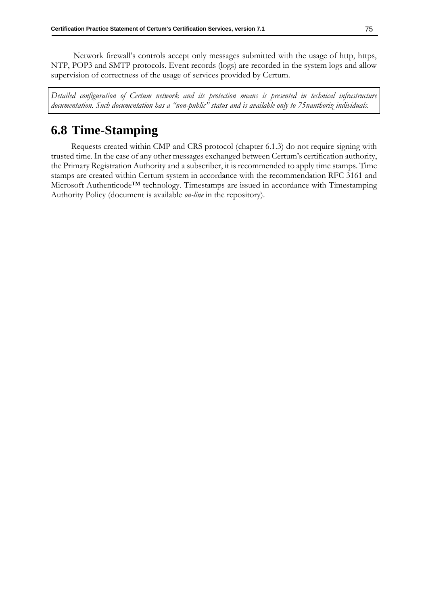Network firewall's controls accept only messages submitted with the usage of http, https, NTP, POP3 and SMTP protocols. Event records (logs) are recorded in the system logs and allow supervision of correctness of the usage of services provided by Certum.

*Detailed configuration of Certum network and its protection means is presented in technical infrastructure documentation. Such documentation has a "non-public" status and is available only to 75nauthoriz individuals.*

# **6.8 Time-Stamping**

Requests created within CMP and CRS protocol (chapter [6.1.3\)](#page-71-1) do not require signing with trusted time. In the case of any other messages exchanged between Certum's certification authority, the Primary Registration Authority and a subscriber, it is recommended to apply time stamps. Time stamps are created within Certum system in accordance with the recommendation RFC 3161 and Microsoft Authenticode™ technology. Timestamps are issued in accordance with Timestamping Authority Policy (document is available *on-line* in the repository).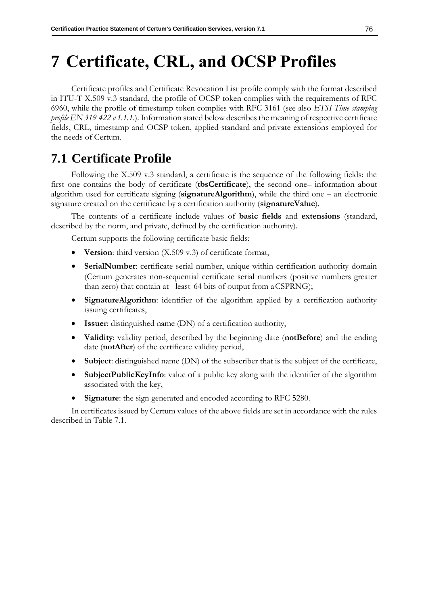# <span id="page-84-1"></span>**7 Certificate, CRL, and OCSP Profiles**

Certificate profiles and Certificate Revocation List profile comply with the format described in ITU-T X.509 v.3 standard, the profile of OCSP token complies with the requirements of RFC 6960, while the profile of timestamp token complies with RFC 3161 (see also *ETSI Time stamping profile EN 319 422 v 1.1.1.*). Information stated below describes the meaning of respective certificate fields, CRL, timestamp and OCSP token, applied standard and private extensions employed for the needs of Certum.

# <span id="page-84-0"></span>**7.1 Certificate Profile**

Following the X.509 v.3 standard, a certificate is the sequence of the following fields: the first one contains the body of certificate (**tbsCertificate**), the second one– information about algorithm used for certificate signing (**signatureAlgorithm**), while the third one – an electronic signature created on the certificate by a certification authority (**signatureValue**).

The contents of a certificate include values of **basic fields** and **extensions** (standard, described by the norm, and private, defined by the certification authority).

Certum supports the following certificate basic fields:

- **Version**: third version (X.509 v.3) of certificate format,
- **SerialNumber**: certificate serial number, unique within certification authority domain (Certum generates non‐sequential certificate serial numbers (positive numbers greater than zero) that contain at least 64 bits of output from aCSPRNG);
- **SignatureAlgorithm**: identifier of the algorithm applied by a certification authority issuing certificates,
- **Issuer**: distinguished name (DN) of a certification authority,
- **Validity**: validity period, described by the beginning date (**notBefore**) and the ending date (**notAfter**) of the certificate validity period,
- **Subject**: distinguished name (DN) of the subscriber that is the subject of the certificate,
- **SubjectPublicKeyInfo**: value of a public key along with the identifier of the algorithm associated with the key,
- **Signature**: the sign generated and encoded according to RFC 5280.

In certificates issued by Certum values of the above fields are set in accordance with the rules described in Table 7.1.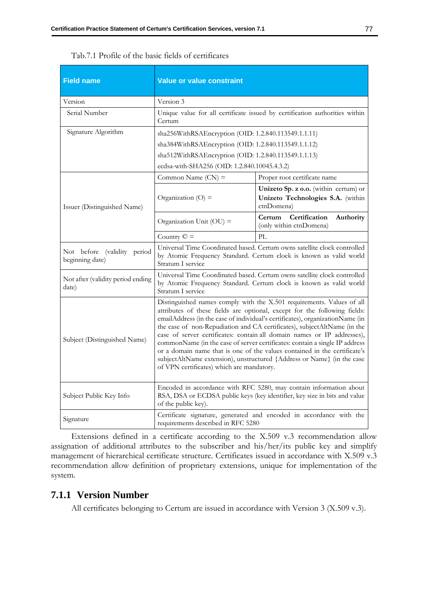| <b>Field name</b>                              | <b>Value or value constraint</b>                                                                                                                                                                                                                                                                                                                                                                                                                                                                                                                                                                                                                                              |                                                                                          |  |
|------------------------------------------------|-------------------------------------------------------------------------------------------------------------------------------------------------------------------------------------------------------------------------------------------------------------------------------------------------------------------------------------------------------------------------------------------------------------------------------------------------------------------------------------------------------------------------------------------------------------------------------------------------------------------------------------------------------------------------------|------------------------------------------------------------------------------------------|--|
| Version                                        | Version 3                                                                                                                                                                                                                                                                                                                                                                                                                                                                                                                                                                                                                                                                     |                                                                                          |  |
| Serial Number                                  | Unique value for all certificate issued by certification authorities within<br>Certum                                                                                                                                                                                                                                                                                                                                                                                                                                                                                                                                                                                         |                                                                                          |  |
| Signature Algorithm                            | sha256WithRSAEncryption (OID: 1.2.840.113549.1.1.11)                                                                                                                                                                                                                                                                                                                                                                                                                                                                                                                                                                                                                          |                                                                                          |  |
|                                                | sha384WithRSAEncryption (OID: 1.2.840.113549.1.1.12)                                                                                                                                                                                                                                                                                                                                                                                                                                                                                                                                                                                                                          |                                                                                          |  |
|                                                | sha512WithRSAEncryption (OID: 1.2.840.113549.1.1.13)                                                                                                                                                                                                                                                                                                                                                                                                                                                                                                                                                                                                                          |                                                                                          |  |
|                                                | ecdsa-with-SHA256 (OID: 1.2.840.10045.4.3.2)                                                                                                                                                                                                                                                                                                                                                                                                                                                                                                                                                                                                                                  |                                                                                          |  |
|                                                | Common Name $(CN)$ =                                                                                                                                                                                                                                                                                                                                                                                                                                                                                                                                                                                                                                                          | Proper root certificate name                                                             |  |
| Issuer (Distinguished Name)                    | Organization $(O)$ =                                                                                                                                                                                                                                                                                                                                                                                                                                                                                                                                                                                                                                                          | Unizeto Sp. z o.o. (within certum) or<br>Unizeto Technologies S.A. (within<br>ctnDomena) |  |
|                                                | Organization Unit (OU) =                                                                                                                                                                                                                                                                                                                                                                                                                                                                                                                                                                                                                                                      | Certification<br>Certum<br>Authority<br>(only within ctnDomena)                          |  |
|                                                | Country $\mathbb{C}$ =                                                                                                                                                                                                                                                                                                                                                                                                                                                                                                                                                                                                                                                        | PL                                                                                       |  |
| Not before (validity period<br>beginning date) | Universal Time Coordinated based. Certum owns satellite clock controlled<br>by Atomic Frequency Standard. Certum clock is known as valid world<br>Stratum I service                                                                                                                                                                                                                                                                                                                                                                                                                                                                                                           |                                                                                          |  |
| Not after (validity period ending<br>date)     | Universal Time Coordinated based. Certum owns satellite clock controlled<br>by Atomic Frequency Standard. Certum clock is known as valid world<br>Stratum I service                                                                                                                                                                                                                                                                                                                                                                                                                                                                                                           |                                                                                          |  |
| Subject (Distinguished Name)                   | Distinguished names comply with the X.501 requirements. Values of all<br>attributes of these fields are optional, except for the following fields:<br>emailAddress (in the case of individual's certificates), organizationName (in<br>the case of non-Repudiation and CA certificates), subjectAltName (in the<br>case of server certificates: contain all domain names or IP addresses),<br>commonName (in the case of server certificates: contain a single IP address<br>or a domain name that is one of the values contained in the certificate's<br>subjectAltName extension), unstructured {Address or Name} (in the case<br>of VPN certificates) which are mandatory. |                                                                                          |  |
| Subject Public Key Info                        | Encoded in accordance with RFC 5280, may contain information about<br>RSA, DSA or ECDSA public keys (key identifier, key size in bits and value<br>of the public key).                                                                                                                                                                                                                                                                                                                                                                                                                                                                                                        |                                                                                          |  |
| Signature                                      | Certificate signature, generated and encoded in accordance with the<br>requirements described in RFC 5280                                                                                                                                                                                                                                                                                                                                                                                                                                                                                                                                                                     |                                                                                          |  |

Tab.7.1 Profile of the basic fields of certificates

Extensions defined in a certificate according to the X.509 v.3 recommendation allow assignation of additional attributes to the subscriber and his/her/its public key and simplify management of hierarchical certificate structure. Certificates issued in accordance with X.509 v.3 recommendation allow definition of proprietary extensions, unique for implementation of the system.

## **7.1.1 Version Number**

All certificates belonging to Certum are issued in accordance with Version 3 (X.509 v.3).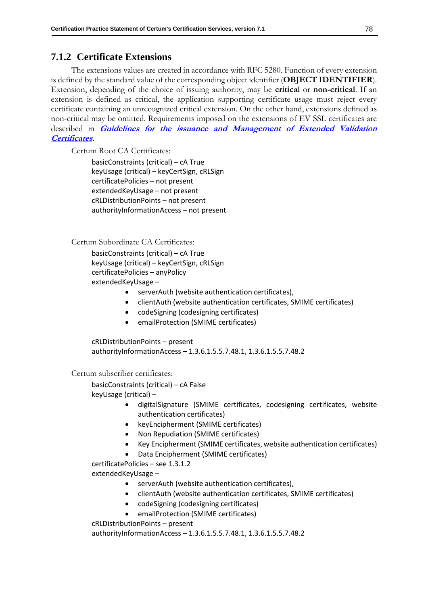# **7.1.2 Certificate Extensions**

The extensions values are created in accordance with RFC 5280. Function of every extension is defined by the standard value of the corresponding object identifier (**OBJECT IDENTIFIER**). Extension, depending of the choice of issuing authority, may be **critical** or **non-critical**. If an extension is defined as critical, the application supporting certificate usage must reject every certificate containing an unrecognized critical extension. On the other hand, extensions defined as non-critical may be omitted. Requirements imposed on the extensions of EV SSL certificates are described in **[Guidelines for the issuance and Management of Extended Validation](https://cabforum.org/extended-validation/)  [Certificates](https://cabforum.org/extended-validation/)**.

Certum Root CA Certificates:

basicConstraints (critical) – cA True keyUsage (critical) – keyCertSign, cRLSign certificatePolicies – not present extendedKeyUsage – not present cRLDistributionPoints – not present authorityInformationAccess – not present

Certum Subordinate CA Certificates:

basicConstraints (critical) – cA True keyUsage (critical) – keyCertSign, cRLSign certificatePolicies – anyPolicy extendedKeyUsage –

- serverAuth (website authentication certificates),
- clientAuth (website authentication certificates, SMIME certificates)
- codeSigning (codesigning certificates)
- emailProtection (SMIME certificates)

cRLDistributionPoints – present authorityInformationAccess – 1.3.6.1.5.5.7.48.1, 1.3.6.1.5.5.7.48.2

Certum subscriber certificates:

basicConstraints (critical) – cA False keyUsage (critical) –

- digitalSignature (SMIME certificates, codesigning certificates, website authentication certificates)
- keyEncipherment (SMIME certificates)
- Non Repudiation (SMIME certificates)
- Key Encipherment (SMIME certificates, website authentication certificates)
- Data Encipherment (SMIME certificates)

certificatePolicies – see 1.3.1.2

extendedKeyUsage –

- serverAuth (website authentication certificates),
- clientAuth (website authentication certificates, SMIME certificates)
- codeSigning (codesigning certificates)
- emailProtection (SMIME certificates)

cRLDistributionPoints – present

authorityInformationAccess – 1.3.6.1.5.5.7.48.1, 1.3.6.1.5.5.7.48.2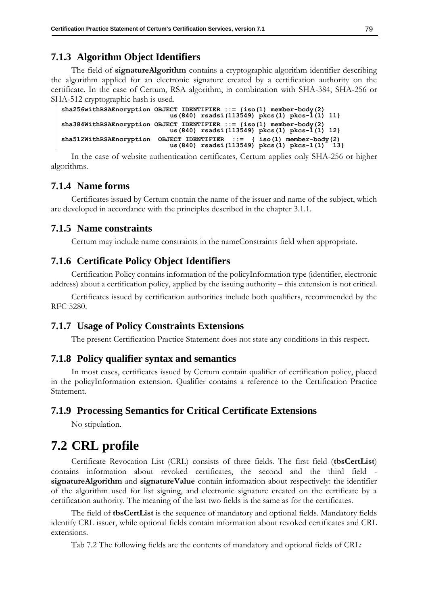# **7.1.3 Algorithm Object Identifiers**

The field of **signatureAlgorithm** contains a cryptographic algorithm identifier describing the algorithm applied for an electronic signature created by a certification authority on the certificate. In the case of Certum, RSA algorithm, in combination with SHA-384, SHA-256 or SHA-512 cryptographic hash is used.

```
sha256withRSAEncryption OBJECT IDENTIFIER ::= {iso(1) member-body(2)
 us(840) rsadsi(113549) pkcs(1) pkcs-1(1) 11}
sha384WithRSAEncryption OBJECT IDENTIFIER ::= {iso(1) member-body(2)
                          us(840) rsadsi(113549) pkcs(1) pkcs-1(1) 12}
sha512WithRSAEncryption OBJECT IDENTIFIER ::= { iso(1) member-body(2)
                         us(840) rsadsi(113549) pkcs(1) pkcs-1(1)
```
In the case of website authentication certificates, Certum applies only SHA-256 or higher algorithms.

# **7.1.4 Name forms**

Certificates issued by Certum contain the name of the issuer and name of the subject, which are developed in accordance with the principles described in the chapter [3.1.1.](#page-25-0)

## **7.1.5 Name constraints**

Certum may include name constraints in the nameConstraints field when appropriate.

# **7.1.6 Certificate Policy Object Identifiers**

Certification Policy contains information of the policyInformation type (identifier, electronic address) about a certification policy, applied by the issuing authority – this extension is not critical.

Certificates issued by certification authorities include both qualifiers, recommended by the RFC 5280.

## **7.1.7 Usage of Policy Constraints Extensions**

The present Certification Practice Statement does not state any conditions in this respect.

## **7.1.8 Policy qualifier syntax and semantics**

In most cases, certificates issued by Certum contain qualifier of certification policy, placed in the policyInformation extension. Qualifier contains a reference to the Certification Practice Statement.

## **7.1.9 Processing Semantics for Critical Certificate Extensions**

No stipulation.

# **7.2 CRL profile**

Certificate Revocation List (CRL) consists of three fields. The first field (**tbsCertList**) contains information about revoked certificates, the second and the third field **signatureAlgorithm** and **signatureValue** contain information about respectively: the identifier of the algorithm used for list signing, and electronic signature created on the certificate by a certification authority. The meaning of the last two fields is the same as for the certificates.

The field of **tbsCertList** is the sequence of mandatory and optional fields. Mandatory fields identify CRL issuer, while optional fields contain information about revoked certificates and CRL extensions.

Tab 7.2 The following fields are the contents of mandatory and optional fields of CRL: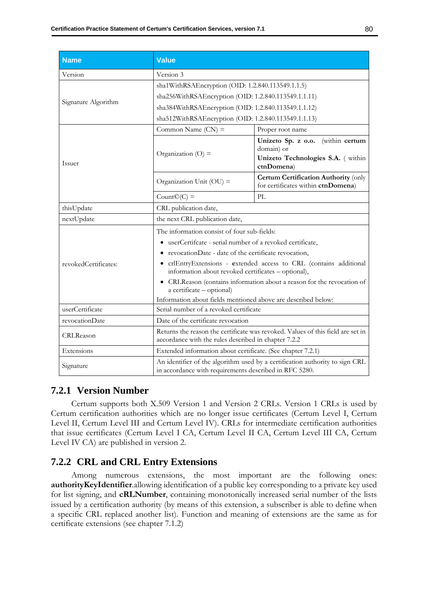| <b>Name</b>          | <b>Value</b>                                                                                                                            |                                                                                                        |  |
|----------------------|-----------------------------------------------------------------------------------------------------------------------------------------|--------------------------------------------------------------------------------------------------------|--|
| Version              | Version 3                                                                                                                               |                                                                                                        |  |
|                      | sha1WithRSAEncryption (OID: 1.2.840.113549.1.1.5)                                                                                       |                                                                                                        |  |
|                      | sha256WithRSAEncryption (OID: 1.2.840.113549.1.1.11)                                                                                    |                                                                                                        |  |
| Signature Algorithm  | sha384WithRSAEncryption (OID: 1.2.840.113549.1.1.12)                                                                                    |                                                                                                        |  |
|                      | sha512WithRSAEncryption (OID: 1.2.840.113549.1.1.13)                                                                                    |                                                                                                        |  |
| Issuer               | Common Name $(CN)$ =                                                                                                                    | Proper root name                                                                                       |  |
|                      | Organization $(O)$ =                                                                                                                    | (within certum<br>Unizeto Sp. z o.o.<br>domain) or<br>Unizeto Technologies S.A. ( within<br>ctnDomena) |  |
|                      | Organization Unit $(OU)$ =                                                                                                              | <b>Certum Certification Authority (only</b><br>for certificates within ctnDomena)                      |  |
|                      | $Count@(C) =$                                                                                                                           | PL                                                                                                     |  |
| thisUpdate           | CRL publication date,                                                                                                                   |                                                                                                        |  |
| nextUpdate           | the next CRL publication date,                                                                                                          |                                                                                                        |  |
|                      | The information consist of four sub-fields:                                                                                             |                                                                                                        |  |
|                      | userCertifcate - serial number of a revoked certificate,                                                                                |                                                                                                        |  |
|                      | • revocationDate - date of the certificate revocation,                                                                                  |                                                                                                        |  |
| revokedCertificates: | · crlEntryExtensions - extended access to CRL (contains additional<br>information about revoked certificates - optional),               |                                                                                                        |  |
|                      | • CRLReason (contains information about a reason for the revocation of<br>a certificate - optional)                                     |                                                                                                        |  |
|                      | Information about fields mentioned above are described below:                                                                           |                                                                                                        |  |
| userCertificate      | Serial number of a revoked certificate                                                                                                  |                                                                                                        |  |
| revocationDate       | Date of the certificate revocation                                                                                                      |                                                                                                        |  |
| CRLReason            | Returns the reason the certificate was revoked. Values of this field are set in<br>accordance with the rules described in chapter 7.2.2 |                                                                                                        |  |
| Extensions           | Extended information about certificate. (See chapter 7.2.1)                                                                             |                                                                                                        |  |
| Signature            | An identifier of the algorithm used by a certification authority to sign CRL<br>in accordance with requirements described in RFC 5280.  |                                                                                                        |  |

## **7.2.1 Version Number**

Certum supports both X.509 Version 1 and Version 2 CRLs. Version 1 CRLs is used by Certum certification authorities which are no longer issue certificates (Certum Level I, Certum Level II, Certum Level III and Certum Level IV). CRLs for intermediate certification authorities that issue certificates (Certum Level I CA, Certum Level II CA, Certum Level III CA, Certum Level IV CA) are published in version 2.

# **7.2.2 CRL and CRL Entry Extensions**

Among numerous extensions, the most important are the following ones: **authorityKeyIdentifier**.allowing identification of a public key corresponding to a private key used for list signing, and **cRLNumber**, containing monotonically increased serial number of the lists issued by a certification authority (by means of this extension, a subscriber is able to define when a specific CRL replaced another list). Function and meaning of extensions are the same as for certificate extensions (see chapter 7.1.2)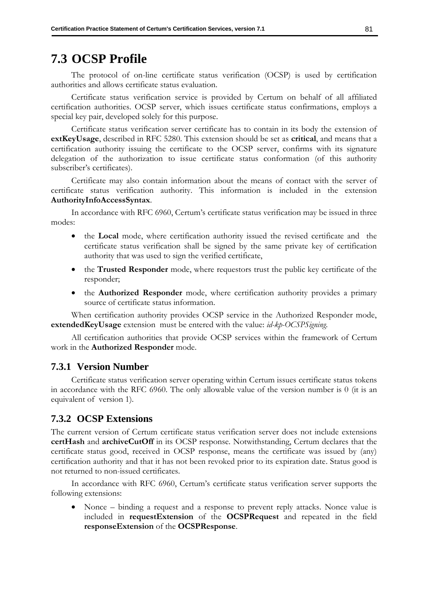# **7.3 OCSP Profile**

The protocol of on-line certificate status verification (OCSP) is used by certification authorities and allows certificate status evaluation.

Certificate status verification service is provided by Certum on behalf of all affiliated certification authorities. OCSP server, which issues certificate status confirmations, employs a special key pair, developed solely for this purpose.

Certificate status verification server certificate has to contain in its body the extension of **extKeyUsage**, described in RFC 5280. This extension should be set as **critical**, and means that a certification authority issuing the certificate to the OCSP server, confirms with its signature delegation of the authorization to issue certificate status conformation (of this authority subscriber's certificates).

Certificate may also contain information about the means of contact with the server of certificate status verification authority. This information is included in the extension **AuthorityInfoAccessSyntax**.

In accordance with RFC 6960, Certum's certificate status verification may be issued in three modes:

- the **Local** mode, where certification authority issued the revised certificate and the certificate status verification shall be signed by the same private key of certification authority that was used to sign the verified certificate,
- the **Trusted Responder** mode, where requestors trust the public key certificate of the responder;
- the **Authorized Responder** mode, where certification authority provides a primary source of certificate status information.

When certification authority provides OCSP service in the Authorized Responder mode, **extendedKeyUsage** extension must be entered with the value: *id-kp-OCSPSigning*.

All certification authorities that provide OCSP services within the framework of Certum work in the **Authorized Responder** mode.

### **7.3.1 Version Number**

Certificate status verification server operating within Certum issues certificate status tokens in accordance with the RFC 6960. The only allowable value of the version number is 0 (it is an equivalent of version 1).

## **7.3.2 OCSP Extensions**

The current version of Certum certificate status verification server does not include extensions **certHash** and **archiveCutOff** in its OCSP response. Notwithstanding, Certum declares that the certificate status good, received in OCSP response, means the certificate was issued by (any) certification authority and that it has not been revoked prior to its expiration date. Status good is not returned to non-issued certificates.

In accordance with RFC 6960, Certum's certificate status verification server supports the following extensions:

• Nonce – binding a request and a response to prevent reply attacks. Nonce value is included in **requestExtension** of the **OCSPRequest** and repeated in the field **responseExtension** of the **OCSPResponse**.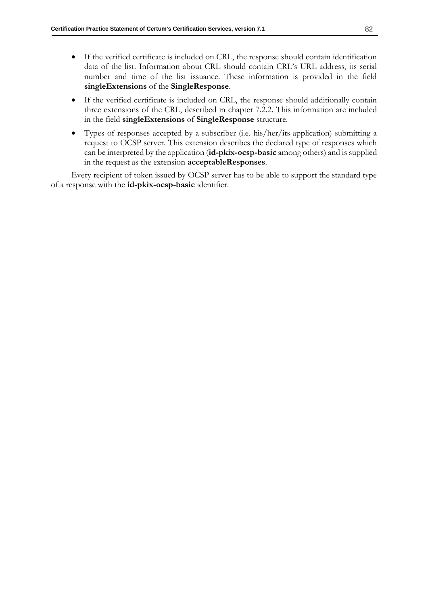- If the verified certificate is included on CRL, the response should contain identification data of the list. Information about CRL should contain CRL's URL address, its serial number and time of the list issuance. These information is provided in the field **singleExtensions** of the **SingleResponse**.
- If the verified certificate is included on CRL, the response should additionally contain three extensions of the CRL, described in chapter 7.2.2. This information are included in the field **singleExtensions** of **SingleResponse** structure.
- Types of responses accepted by a subscriber (i.e. his/her/its application) submitting a request to OCSP server. This extension describes the declared type of responses which can be interpreted by the application (**id-pkix-ocsp-basic** among others) and is supplied in the request as the extension **acceptableResponses**.

Every recipient of token issued by OCSP server has to be able to support the standard type of a response with the **id-pkix-ocsp-basic** identifier.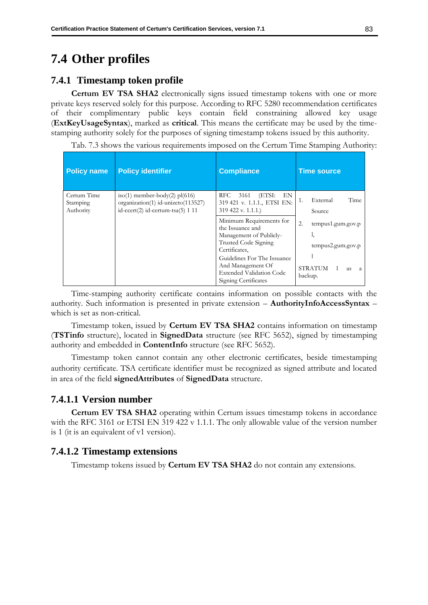# **7.4 Other profiles**

## **7.4.1 Timestamp token profile**

**Certum EV TSA SHA2** electronically signs issued timestamp tokens with one or more private keys reserved solely for this purpose. According to RFC 5280 recommendation certificates of their complimentary public keys contain field constraining allowed key usage (**ExtKeyUsageSyntax**), marked as **critical**. This means the certificate may be used by the timestamping authority solely for the purposes of signing timestamp tokens issued by this authority.

Tab. 7.3 shows the various requirements imposed on the Certum Time Stamping Authority:

| <b>Policy name</b>                   | <b>Policy identifier</b>                                                                                   | <b>Compliance</b>                                                                                                | <b>Time source</b>                                 |
|--------------------------------------|------------------------------------------------------------------------------------------------------------|------------------------------------------------------------------------------------------------------------------|----------------------------------------------------|
| Certum Time<br>Stamping<br>Authority | iso(1) member-body(2) $pl(616)$<br>organization(1) id-unizeto(113527)<br>id-ccert(2) id-certum-tsa(5) 1 11 | (ETSI:<br>RFC.<br>3161<br>EN<br>319 421 v. 1.1.1., ETSI EN:<br>319 422 v. 1.1.1.)                                | Time<br>External<br>Source                         |
|                                      |                                                                                                            | Minimum Requirements for<br>the Issuance and<br>Management of Publicly-<br>Trusted Code Signing<br>Certificates, | 2.<br>tempus1.gum.gov.p<br>ı,<br>tempus2.gum.gov.p |
|                                      |                                                                                                            | Guidelines For The Issuance<br>And Management Of<br><b>Extended Validation Code</b><br>Signing Certificates      | STRATUM<br>as.<br>-a<br>backup.                    |

Time-stamping authority certificate contains information on possible contacts with the authority. Such information is presented in private extension – **AuthorityInfoAccessSyntax** – which is set as non-critical.

Timestamp token, issued by **Certum EV TSA SHA2** contains information on timestamp (**TSTinfo** structure), located in **SignedData** structure (see RFC 5652), signed by timestamping authority and embedded in **ContentInfo** structure (see RFC 5652).

Timestamp token cannot contain any other electronic certificates, beside timestamping authority certificate. TSA certificate identifier must be recognized as signed attribute and located in area of the field **signedAttributes** of **SignedData** structure.

## **7.4.1.1 Version number**

**Certum EV TSA SHA2** operating within Certum issues timestamp tokens in accordance with the RFC 3161 or ETSI EN 319 422 v 1.1.1. The only allowable value of the version number is 1 (it is an equivalent of v1 version).

## **7.4.1.2 Timestamp extensions**

Timestamp tokens issued by **Certum EV TSA SHA2** do not contain any extensions.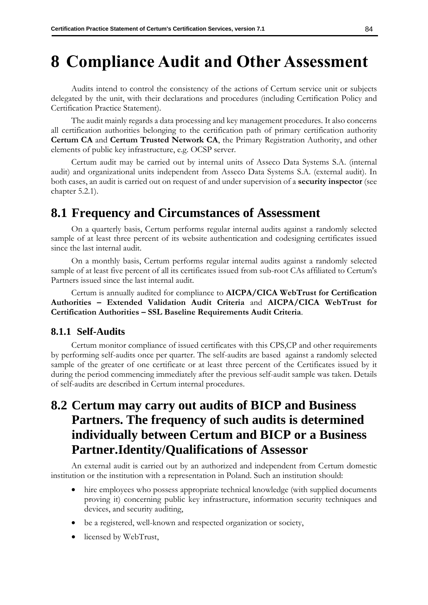# **8 Compliance Audit and Other Assessment**

Audits intend to control the consistency of the actions of Certum service unit or subjects delegated by the unit, with their declarations and procedures (including Certification Policy and Certification Practice Statement).

The audit mainly regards a data processing and key management procedures. It also concerns all certification authorities belonging to the certification path of primary certification authority **Certum CA** and **Certum Trusted Network CA**, the Primary Registration Authority, and other elements of public key infrastructure, e.g. OCSP server.

Certum audit may be carried out by internal units of Asseco Data Systems S.A. (internal audit) and organizational units independent from Asseco Data Systems S.A. (external audit). In both cases, an audit is carried out on request of and under supervision of a **security inspector** (see chapter [5.2.1\)](#page-55-0).

# **8.1 Frequency and Circumstances of Assessment**

On a quarterly basis, Certum performs regular internal audits against a randomly selected sample of at least three percent of its website authentication and codesigning certificates issued since the last internal audit.

On a monthly basis, Certum performs regular internal audits against a randomly selected sample of at least five percent of all its certificates issued from sub-root CAs affiliated to Certum's Partners issued since the last internal audit.

Certum is annually audited for compliance to **AICPA/CICA WebTrust for Certification Authorities – Extended Validation Audit Criteria** and **AICPA/CICA WebTrust for Certification Authorities – SSL Baseline Requirements Audit Criteria**.

## **8.1.1 Self-Audits**

Certum monitor compliance of issued certificates with this CPS,CP and other requirements by performing self-audits once per quarter. The self-audits are based against a randomly selected sample of the greater of one certificate or at least three percent of the Certificates issued by it during the period commencing immediately after the previous self-audit sample was taken. Details of self-audits are described in Certum internal procedures.

# **8.2 Certum may carry out audits of BICP and Business Partners. The frequency of such audits is determined individually between Certum and BICP or a Business Partner.Identity/Qualifications of Assessor**

An external audit is carried out by an authorized and independent from Certum domestic institution or the institution with a representation in Poland. Such an institution should:

- <span id="page-92-0"></span>hire employees who possess appropriate technical knowledge (with supplied documents proving it) concerning public key infrastructure, information security techniques and devices, and security auditing,
- be a registered, well-known and respected organization or society,
- licensed by WebTrust,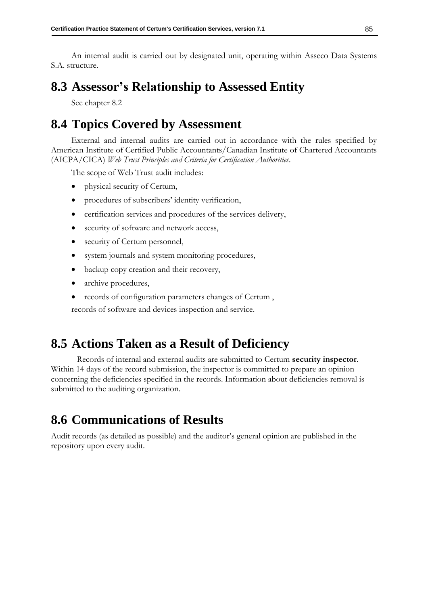An internal audit is carried out by designated unit, operating within Asseco Data Systems S.A. structure.

# **8.3 Assessor's Relationship to Assessed Entity**

See chapter [8.2](#page-92-0)

# **8.4 Topics Covered by Assessment**

External and internal audits are carried out in accordance with the rules specified by American Institute of Certified Public Accountants/Canadian Institute of Chartered Accountants (AICPA/CICA) *Web Trust Principles and Criteria for Certification Authorities*.

The scope of Web Trust audit includes:

- physical security of Certum,
- procedures of subscribers' identity verification,
- certification services and procedures of the services delivery,
- security of software and network access,
- security of Certum personnel,
- system journals and system monitoring procedures,
- backup copy creation and their recovery,
- archive procedures,
- records of configuration parameters changes of Certum ,

records of software and devices inspection and service.

# **8.5 Actions Taken as a Result of Deficiency**

Records of internal and external audits are submitted to Certum **security inspector**. Within 14 days of the record submission, the inspector is committed to prepare an opinion concerning the deficiencies specified in the records. Information about deficiencies removal is submitted to the auditing organization.

# **8.6 Communications of Results**

Audit records (as detailed as possible) and the auditor's general opinion are published in the repository upon every audit.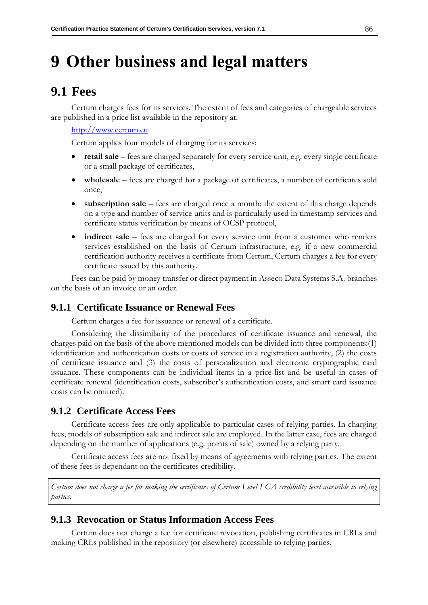# **9 Other business and legal matters**

# <span id="page-94-0"></span>**9.1 Fees**

Certum charges fees for its services. The extent of fees and categories of chargeable services are published in a price list available in the repository at:

[http://www.certum.eu](http://www.certum.eu/)

Certum applies four models of charging for its services:

- **retail sale**  fees are charged separately for every service unit, e.g. every single certificate or a small package of certificates,
- **wholesale** fees are charged for a package of certificates, a number of certificates sold once,
- **subscription sale**  fees are charged once a month; the extent of this charge depends on a type and number of service units and is particularly used in timestamp services and certificate status verification by means of OCSP protocol,
- **indirect sale** fees are charged for every service unit from a customer who renders services established on the basis of Certum infrastructure, e.g. if a new commercial certification authority receives a certificate from Certum, Certum charges a fee for every certificate issued by this authority.

Fees can be paid by money transfer or direct payment in Asseco Data Systems S.A. branches on the basis of an invoice or an order.

## **9.1.1 Certificate Issuance or Renewal Fees**

Certum charges a fee for issuance or renewal of a certificate.

Considering the dissimilarity of the procedures of certificate issuance and renewal, the charges paid on the basis of the above mentioned models can be divided into three components:(1) identification and authentication costs or costs of service in a registration authority, (2) the costs of certificate issuance and (3) the costs of personalization and electronic cryptographic card issuance. These components can be individual items in a price-list and be useful in cases of certificate renewal (identification costs, subscriber's authentication costs, and smart card issuance costs can be omitted).

## **9.1.2 Certificate Access Fees**

Certificate access fees are only applicable to particular cases of relying parties. In charging fees, models of subscription sale and indirect sale are employed. In the latter case, fees are charged depending on the number of applications (e.g. points of sale) owned by a relying party.

Certificate access fees are not fixed by means of agreements with relying parties. The extent of these fees is dependant on the certificates credibility.

*Certum does not charge a fee for making the certificates of Certum Level I CA credibility level accessible to relying parties.*

## **9.1.3 Revocation or Status Information Access Fees**

Certum does not charge a fee for certificate revocation, publishing certificates in CRLs and making CRLs published in the repository (or elsewhere) accessible to relying parties.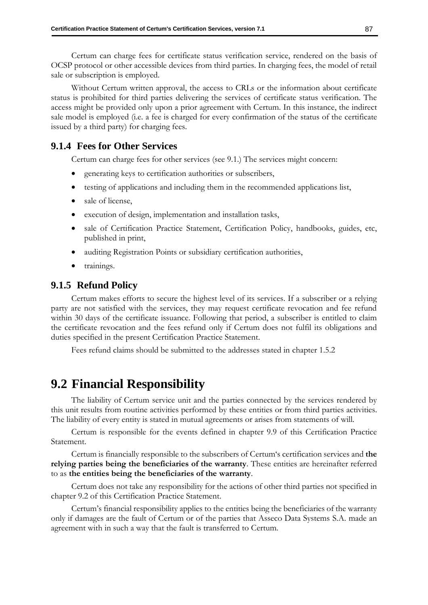Certum can charge fees for certificate status verification service, rendered on the basis of OCSP protocol or other accessible devices from third parties. In charging fees, the model of retail sale or subscription is employed.

Without Certum written approval, the access to CRLs or the information about certificate status is prohibited for third parties delivering the services of certificate status verification. The access might be provided only upon a prior agreement with Certum. In this instance, the indirect sale model is employed (i.e. a fee is charged for every confirmation of the status of the certificate issued by a third party) for charging fees.

# **9.1.4 Fees for Other Services**

Certum can charge fees for other services (see [9.1.](#page-94-0)) The services might concern:

- generating keys to certification authorities or subscribers,
- testing of applications and including them in the recommended applications list,
- sale of license,
- execution of design, implementation and installation tasks,
- sale of Certification Practice Statement, Certification Policy, handbooks, guides, etc, published in print,
- auditing Registration Points or subsidiary certification authorities,
- trainings.

## **9.1.5 Refund Policy**

Certum makes efforts to secure the highest level of its services. If a subscriber or a relying party are not satisfied with the services, they may request certificate revocation and fee refund within 30 days of the certificate issuance. Following that period, a subscriber is entitled to claim the certificate revocation and the fees refund only if Certum does not fulfil its obligations and duties specified in the present Certification Practice Statement.

Fees refund claims should be submitted to the addresses stated in chapter [1.5.2](#page-21-0)

# <span id="page-95-0"></span>**9.2 Financial Responsibility**

The liability of Certum service unit and the parties connected by the services rendered by this unit results from routine activities performed by these entities or from third parties activities. The liability of every entity is stated in mutual agreements or arises from statements of will.

Certum is responsible for the events defined in chapter [9.9](#page-108-0) of this Certification Practice Statement.

Certum is financially responsible to the subscribers of Certum's certification services and **the relying parties being the beneficiaries of the warranty**. These entities are hereinafter referred to as **the entities being the beneficiaries of the warranty**.

Certum does not take any responsibility for the actions of other third parties not specified in chapter [9.2](#page-95-0) of this Certification Practice Statement.

Certum's financial responsibility applies to the entities being the beneficiaries of the warranty only if damages are the fault of Certum or of the parties that Asseco Data Systems S.A. made an agreement with in such a way that the fault is transferred to Certum.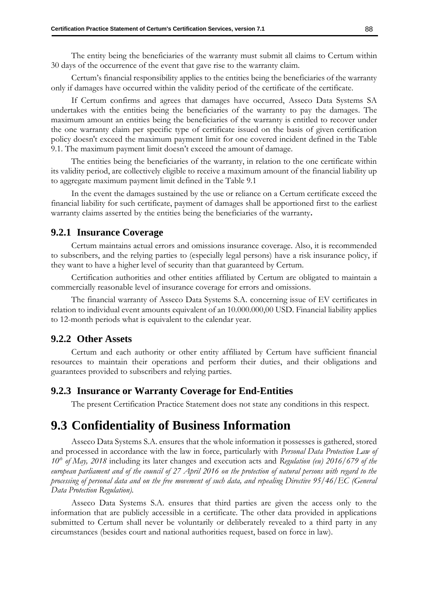The entity being the beneficiaries of the warranty must submit all claims to Certum within 30 days of the occurrence of the event that gave rise to the warranty claim.

Certum's financial responsibility applies to the entities being the beneficiaries of the warranty only if damages have occurred within the validity period of the certificate of the certificate.

If Certum confirms and agrees that damages have occurred, Asseco Data Systems SA undertakes with the entities being the beneficiaries of the warranty to pay the damages. The maximum amount an entities being the beneficiaries of the warranty is entitled to recover under the one warranty claim per specific type of certificate issued on the basis of given certification policy doesn't exceed the maximum payment limit for one covered incident defined in the Table 9.1. The maximum payment limit doesn't exceed the amount of damage.

The entities being the beneficiaries of the warranty, in relation to the one certificate within its validity period, are collectively eligible to receive a maximum amount of the financial liability up to aggregate maximum payment limit defined in the Table 9.1

In the event the damages sustained by the use or reliance on a Certum certificate exceed the financial liability for such certificate, payment of damages shall be apportioned first to the earliest warranty claims asserted by the entities being the beneficiaries of the warranty**.**

### **9.2.1 Insurance Coverage**

Certum maintains actual errors and omissions insurance coverage. Also, it is recommended to subscribers, and the relying parties to (especially legal persons) have a risk insurance policy, if they want to have a higher level of security than that guaranteed by Certum.

Certification authorities and other entities affiliated by Certum are obligated to maintain a commercially reasonable level of insurance coverage for errors and omissions.

The financial warranty of Asseco Data Systems S.A. concerning issue of EV certificates in relation to individual event amounts equivalent of an 10.000.000,00 USD. Financial liability applies to 12-month periods what is equivalent to the calendar year.

### **9.2.2 Other Assets**

Certum and each authority or other entity affiliated by Certum have sufficient financial resources to maintain their operations and perform their duties, and their obligations and guarantees provided to subscribers and relying parties.

### **9.2.3 Insurance or Warranty Coverage for End-Entities**

The present Certification Practice Statement does not state any conditions in this respect.

# **9.3 Confidentiality of Business Information**

Asseco Data Systems S.A. ensures that the whole information it possesses is gathered, stored and processed in accordance with the law in force, particularly with *Personal Data Protection Law of 10th of May, 2018* including its later changes and execution acts and *Regulation (eu) 2016/679 of the european parliament and of the council of 27 April 2016 on the protection of natural persons with regard to the processing of personal data and on the free movement of such data, and repealing Directive 95/46/EC (General Data Protection Regulation).*

Asseco Data Systems S.A. ensures that third parties are given the access only to the information that are publicly accessible in a certificate. The other data provided in applications submitted to Certum shall never be voluntarily or deliberately revealed to a third party in any circumstances (besides court and national authorities request, based on force in law).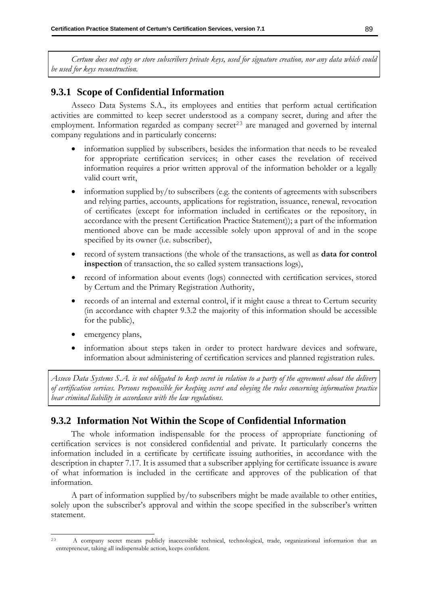*Certum does not copy or store subscribers private keys, used for signature creation, nor any data which could be used for keys reconstruction.* 

# **9.3.1 Scope of Confidential Information**

Asseco Data Systems S.A., its employees and entities that perform actual certification activities are committed to keep secret understood as a company secret, during and after the employment. Information regarded as company secret<sup>23</sup> are managed and governed by internal company regulations and in particularly concerns:

- information supplied by subscribers, besides the information that needs to be revealed for appropriate certification services; in other cases the revelation of received information requires a prior written approval of the information beholder or a legally valid court writ,
- information supplied by/to subscribers (e.g. the contents of agreements with subscribers and relying parties, accounts, applications for registration, issuance, renewal, revocation of certificates (except for information included in certificates or the repository, in accordance with the present Certification Practice Statement)); a part of the information mentioned above can be made accessible solely upon approval of and in the scope specified by its owner (i.e. subscriber),
- record of system transactions (the whole of the transactions, as well as **data for control inspection** of transaction, the so called system transactions logs),
- record of information about events (logs) connected with certification services, stored by Certum and the Primary Registration Authority,
- records of an internal and external control, if it might cause a threat to Certum security (in accordance with chapter [9.3.2](#page-97-0) the majority of this information should be accessible for the public),
- emergency plans,
- information about steps taken in order to protect hardware devices and software, information about administering of certification services and planned registration rules.

*Asseco Data Systems S.A. is not obligated to keep secret in relation to a party of the agreement about the delivery of certification services. Persons responsible for keeping secret and obeying the rules concerning information practice bear criminal liability in accordance with the law regulations.*

# <span id="page-97-0"></span>**9.3.2 Information Not Within the Scope of Confidential Information**

The whole information indispensable for the process of appropriate functioning of certification services is not considered confidential and private. It particularly concerns the information included in a certificate by certificate issuing authorities, in accordance with the description in chapter [7.1](#page-84-0)[7.](#page-84-1) It is assumed that a subscriber applying for certificate issuance is aware of what information is included in the certificate and approves of the publication of that information.

A part of information supplied by/to subscribers might be made available to other entities, solely upon the subscriber's approval and within the scope specified in the subscriber's written statement.

<sup>23</sup> A company secret means publicly inaccessible technical, technological, trade, organizational information that an entrepreneur, taking all indispensable action, keeps confident.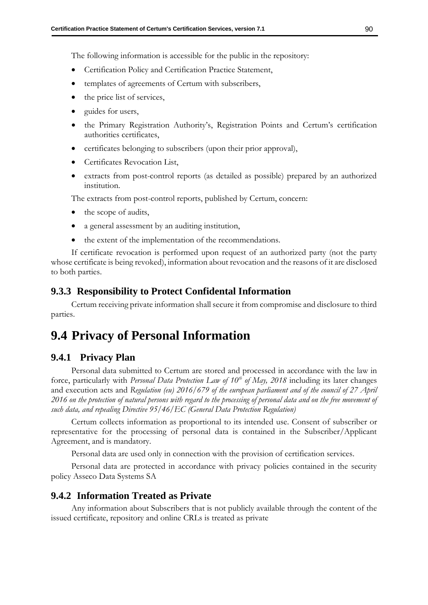The following information is accessible for the public in the repository:

- Certification Policy and Certification Practice Statement,
- templates of agreements of Certum with subscribers,
- the price list of services,
- guides for users,
- the Primary Registration Authority's, Registration Points and Certum's certification authorities certificates,
- certificates belonging to subscribers (upon their prior approval),
- Certificates Revocation List,
- extracts from post-control reports (as detailed as possible) prepared by an authorized institution.

The extracts from post-control reports, published by Certum, concern:

- the scope of audits,
- a general assessment by an auditing institution,
- the extent of the implementation of the recommendations.

If certificate revocation is performed upon request of an authorized party (not the party whose certificate is being revoked), information about revocation and the reasons of it are disclosed to both parties.

### **9.3.3 Responsibility to Protect Confidental Information**

Certum receiving private information shall secure it from compromise and disclosure to third parties.

# **9.4 Privacy of Personal Information**

### **9.4.1 Privacy Plan**

Personal data submitted to Certum are stored and processed in accordance with the law in force, particularly with *Personal Data Protection Law of 10th of May, 2018* including its later changes and execution acts and *Regulation (eu) 2016/679 of the european parliament and of the council of 27 April 2016 on the protection of natural persons with regard to the processing of personal data and on the free movement of such data, and repealing Directive 95/46/EC (General Data Protection Regulation)*

Certum collects information as proportional to its intended use. Consent of subscriber or representative for the processing of personal data is contained in the Subscriber/Applicant Agreement, and is mandatory.

Personal data are used only in connection with the provision of certification services.

Personal data are protected in accordance with privacy policies contained in the security policy Asseco Data Systems SA

### **9.4.2 Information Treated as Private**

Any information about Subscribers that is not publicly available through the content of the issued certificate, repository and online CRLs is treated as private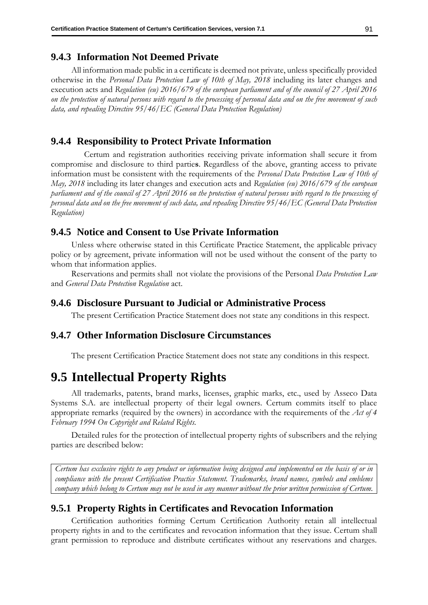### **9.4.3 Information Not Deemed Private**

All information made public in a certificate is deemed not private, unless specifically provided otherwise in the *Personal Data Protection Law of 10th of May, 2018* including its later changes and execution acts and *Regulation (eu) 2016/679 of the european parliament and of the council of 27 April 2016 on the protection of natural persons with regard to the processing of personal data and on the free movement of such data, and repealing Directive 95/46/EC (General Data Protection Regulation)*

### **9.4.4 Responsibility to Protect Private Information**

Certum and registration authorities receiving private information shall secure it from compromise and disclosure to third partie**s**. Regardless of the above, granting access to private information must be consistent with the requirements of the *Personal Data Protection Law of 10th of May, 2018* including its later changes and execution acts and *Regulation (eu) 2016/679 of the european parliament and of the council of 27 April 2016 on the protection of natural persons with regard to the processing of personal data and on the free movement of such data, and repealing Directive 95/46/EC (General Data Protection Regulation)*

# **9.4.5 Notice and Consent to Use Private Information**

Unless where otherwise stated in this Certificate Practice Statement, the applicable privacy policy or by agreement, private information will not be used without the consent of the party to whom that information applies.

Reservations and permits shall not violate the provisions of the Personal *Data Protection Law* and *General Data Protection Regulation* act.

### **9.4.6 Disclosure Pursuant to Judicial or Administrative Process**

The present Certification Practice Statement does not state any conditions in this respect.

### **9.4.7 Other Information Disclosure Circumstances**

The present Certification Practice Statement does not state any conditions in this respect.

# **9.5 Intellectual Property Rights**

All trademarks, patents, brand marks, licenses, graphic marks, etc., used by Asseco Data Systems S.A. are intellectual property of their legal owners. Certum commits itself to place appropriate remarks (required by the owners) in accordance with the requirements of the *Act of 4 February 1994 On Copyright and Related Rights.*

Detailed rules for the protection of intellectual property rights of subscribers and the relying parties are described below:

*Certum has exclusive rights to any product or information being designed and implemented on the basis of or in compliance with the present Certification Practice Statement. Trademarks, brand names, symbols and emblems company which belong to Certum may not be used in any manner without the prior written permission of Certum.*

## **9.5.1 Property Rights in Certificates and Revocation Information**

Certification authorities forming Certum Certification Authority retain all intellectual property rights in and to the certificates and revocation information that they issue. Certum shall grant permission to reproduce and distribute certificates without any reservations and charges.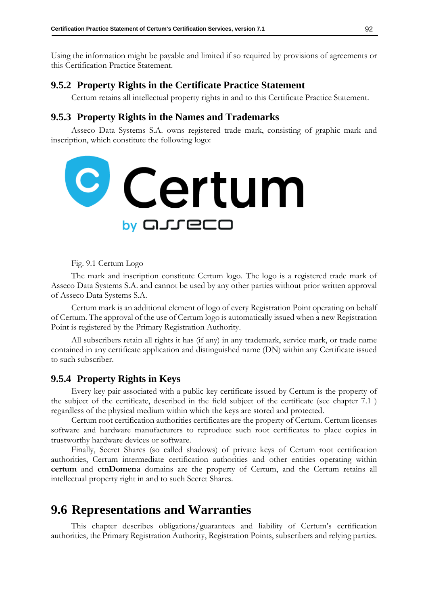Using the information might be payable and limited if so required by provisions of agreements or this Certification Practice Statement.

## **9.5.2 Property Rights in the Certificate Practice Statement**

Certum retains all intellectual property rights in and to this Certificate Practice Statement.

## **9.5.3 Property Rights in the Names and Trademarks**

Asseco Data Systems S.A. owns registered trade mark, consisting of graphic mark and inscription, which constitute the following logo:



Fig. 9.1 Certum Logo

The mark and inscription constitute Certum logo. The logo is a registered trade mark of Asseco Data Systems S.A. and cannot be used by any other parties without prior written approval of Asseco Data Systems S.A.

Certum mark is an additional element of logo of every Registration Point operating on behalf of Certum. The approval of the use of Certum logo is automatically issued when a new Registration Point is registered by the Primary Registration Authority.

All subscribers retain all rights it has (if any) in any trademark, service mark, or trade name contained in any certificate application and distinguished name (DN) within any Certificate issued to such subscriber.

### **9.5.4 Property Rights in Keys**

Every key pair associated with a public key certificate issued by Certum is the property of the subject of the certificate, described in the field subject of the certificate (see chapter [7.1](#page-84-0) ) regardless of the physical medium within which the keys are stored and protected.

Certum root certification authorities certificates are the property of Certum. Certum licenses software and hardware manufacturers to reproduce such root certificates to place copies in trustworthy hardware devices or software.

Finally, Secret Shares (so called shadows) of private keys of Certum root certification authorities, Certum intermediate certification authorities and other entities operating within **certum** and **ctnDomena** domains are the property of Certum, and the Certum retains all intellectual property right in and to such Secret Shares.

# **9.6 Representations and Warranties**

This chapter describes obligations/guarantees and liability of Certum's certification authorities, the Primary Registration Authority, Registration Points, subscribers and relying parties.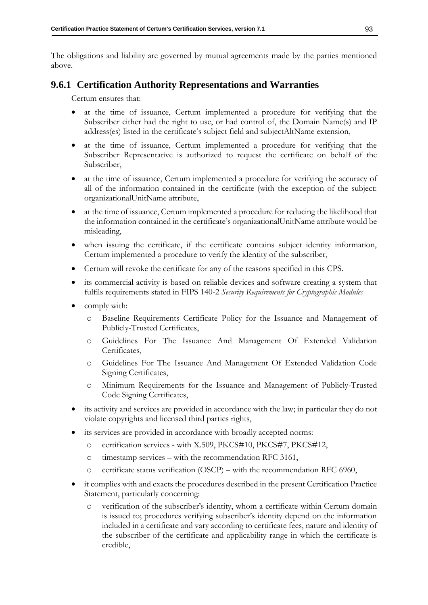The obligations and liability are governed by mutual agreements made by the parties mentioned above.

# **9.6.1 Certification Authority Representations and Warranties**

Certum ensures that:

- at the time of issuance, Certum implemented a procedure for verifying that the Subscriber either had the right to use, or had control of, the Domain Name(s) and IP address(es) listed in the certificate's subject field and subjectAltName extension,
- at the time of issuance, Certum implemented a procedure for verifying that the Subscriber Representative is authorized to request the certificate on behalf of the Subscriber,
- at the time of issuance, Certum implemented a procedure for verifying the accuracy of all of the information contained in the certificate (with the exception of the subject: organizationalUnitName attribute,
- at the time of issuance, Certum implemented a procedure for reducing the likelihood that the information contained in the certificate's organizationalUnitName attribute would be misleading,
- when issuing the certificate, if the certificate contains subject identity information, Certum implemented a procedure to verify the identity of the subscriber,
- Certum will revoke the certificate for any of the reasons specified in this CPS.
- its commercial activity is based on reliable devices and software creating a system that fulfils requirements stated in FIPS 140-2 *Security Requirements for Cryptographic Modules*
- comply with:
	- o Baseline Requirements Certificate Policy for the Issuance and Management of Publicly-Trusted Certificates,
	- o Guidelines For The Issuance And Management Of Extended Validation Certificates,
	- o Guidelines For The Issuance And Management Of Extended Validation Code Signing Certificates,
	- o Minimum Requirements for the Issuance and Management of Publicly-Trusted Code Signing Certificates,
- its activity and services are provided in accordance with the law; in particular they do not violate copyrights and licensed third parties rights,
- its services are provided in accordance with broadly accepted norms:
	- o certification services with X.509, PKCS#10, PKCS#7, PKCS#12,
	- o timestamp services with the recommendation RFC 3161,
	- o certificate status verification (OSCP) with the recommendation RFC 6960,
- it complies with and exacts the procedures described in the present Certification Practice Statement, particularly concerning:
	- o verification of the subscriber's identity, whom a certificate within Certum domain is issued to; procedures verifying subscriber's identity depend on the information included in a certificate and vary according to certificate fees, nature and identity of the subscriber of the certificate and applicability range in which the certificate is credible,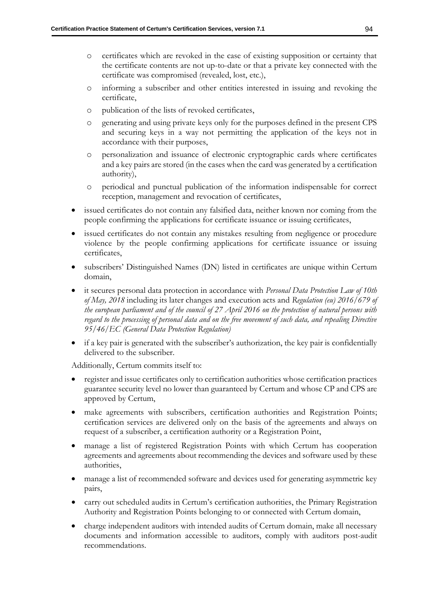- o certificates which are revoked in the case of existing supposition or certainty that the certificate contents are not up-to-date or that a private key connected with the certificate was compromised (revealed, lost, etc.),
- o informing a subscriber and other entities interested in issuing and revoking the certificate,
- o publication of the lists of revoked certificates,
- o generating and using private keys only for the purposes defined in the present CPS and securing keys in a way not permitting the application of the keys not in accordance with their purposes,
- o personalization and issuance of electronic cryptographic cards where certificates and a key pairs are stored (in the cases when the card was generated by a certification authority),
- o periodical and punctual publication of the information indispensable for correct reception, management and revocation of certificates,
- issued certificates do not contain any falsified data, neither known nor coming from the people confirming the applications for certificate issuance or issuing certificates,
- issued certificates do not contain any mistakes resulting from negligence or procedure violence by the people confirming applications for certificate issuance or issuing certificates,
- subscribers' Distinguished Names (DN) listed in certificates are unique within Certum domain,
- it secures personal data protection in accordance with *Personal Data Protection Law of 10th of May, 2018* including its later changes and execution acts and *Regulation (eu) 2016/679 of the european parliament and of the council of 27 April 2016 on the protection of natural persons with regard to the processing of personal data and on the free movement of such data, and repealing Directive 95/46/EC (General Data Protection Regulation)*
- if a key pair is generated with the subscriber's authorization, the key pair is confidentially delivered to the subscriber.

Additionally, Certum commits itself to:

- register and issue certificates only to certification authorities whose certification practices guarantee security level no lower than guaranteed by Certum and whose CP and CPS are approved by Certum,
- make agreements with subscribers, certification authorities and Registration Points; certification services are delivered only on the basis of the agreements and always on request of a subscriber, a certification authority or a Registration Point,
- manage a list of registered Registration Points with which Certum has cooperation agreements and agreements about recommending the devices and software used by these authorities,
- manage a list of recommended software and devices used for generating asymmetric key pairs,
- carry out scheduled audits in Certum's certification authorities, the Primary Registration Authority and Registration Points belonging to or connected with Certum domain,
- charge independent auditors with intended audits of Certum domain, make all necessary documents and information accessible to auditors, comply with auditors post-audit recommendations.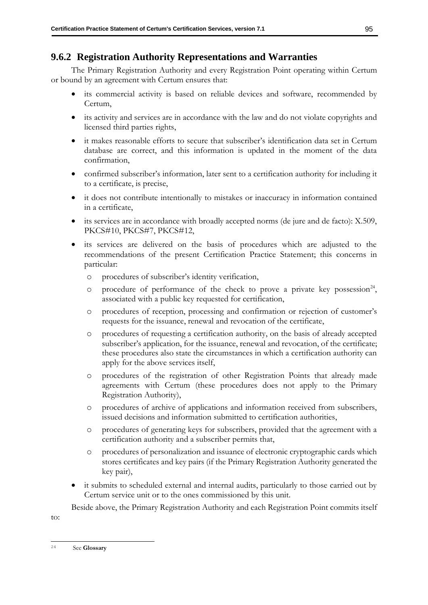# **9.6.2 Registration Authority Representations and Warranties**

The Primary Registration Authority and every Registration Point operating within Certum or bound by an agreement with Certum ensures that:

- its commercial activity is based on reliable devices and software, recommended by Certum,
- its activity and services are in accordance with the law and do not violate copyrights and licensed third parties rights,
- it makes reasonable efforts to secure that subscriber's identification data set in Certum database are correct, and this information is updated in the moment of the data confirmation,
- confirmed subscriber's information, later sent to a certification authority for including it to a certificate, is precise,
- it does not contribute intentionally to mistakes or inaccuracy in information contained in a certificate,
- its services are in accordance with broadly accepted norms (de jure and de facto): X.509, PKCS#10, PKCS#7, PKCS#12,
- its services are delivered on the basis of procedures which are adjusted to the recommendations of the present Certification Practice Statement; this concerns in particular:
	- o procedures of subscriber's identity verification,
	- $\circ$  procedure of performance of the check to prove a private key possession<sup>24</sup>, associated with a public key requested for certification,
	- o procedures of reception, processing and confirmation or rejection of customer's requests for the issuance, renewal and revocation of the certificate,
	- o procedures of requesting a certification authority, on the basis of already accepted subscriber's application, for the issuance, renewal and revocation, of the certificate; these procedures also state the circumstances in which a certification authority can apply for the above services itself,
	- o procedures of the registration of other Registration Points that already made agreements with Certum (these procedures does not apply to the Primary Registration Authority),
	- o procedures of archive of applications and information received from subscribers, issued decisions and information submitted to certification authorities,
	- o procedures of generating keys for subscribers, provided that the agreement with a certification authority and a subscriber permits that,
	- o procedures of personalization and issuance of electronic cryptographic cards which stores certificates and key pairs (if the Primary Registration Authority generated the key pair),
- it submits to scheduled external and internal audits, particularly to those carried out by Certum service unit or to the ones commissioned by this unit.

Beside above, the Primary Registration Authority and each Registration Point commits itself

to:

<sup>24</sup> See **Glossary**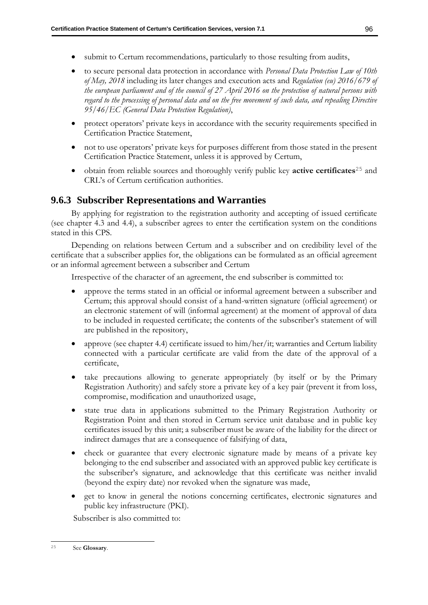- submit to Certum recommendations, particularly to those resulting from audits,
- to secure personal data protection in accordance with *Personal Data Protection Law of 10th of May, 2018* including its later changes and execution acts and *Regulation (eu) 2016/679 of the european parliament and of the council of 27 April 2016 on the protection of natural persons with regard to the processing of personal data and on the free movement of such data, and repealing Directive 95/46/EC (General Data Protection Regulation)*,
- protect operators' private keys in accordance with the security requirements specified in Certification Practice Statement,
- not to use operators' private keys for purposes different from those stated in the present Certification Practice Statement, unless it is approved by Certum,
- obtain from reliable sources and thoroughly verify public key **active certificates**<sup>25</sup> and CRL's of Certum certification authorities.

## **9.6.3 Subscriber Representations and Warranties**

By applying for registration to the registration authority and accepting of issued certificate (see chapter [4.3](#page-39-0) and [4.4\)](#page-40-0), a subscriber agrees to enter the certification system on the conditions stated in this CPS.

Depending on relations between Certum and a subscriber and on credibility level of the certificate that a subscriber applies for, the obligations can be formulated as an official agreement or an informal agreement between a subscriber and Certum

Irrespective of the character of an agreement, the end subscriber is committed to:

- approve the terms stated in an official or informal agreement between a subscriber and Certum; this approval should consist of a hand-written signature (official agreement) or an electronic statement of will (informal agreement) at the moment of approval of data to be included in requested certificate; the contents of the subscriber's statement of will are published in the repository,
- approve (see chapter [4.4\)](#page-40-0) certificate issued to him/her/it; warranties and Certum liability connected with a particular certificate are valid from the date of the approval of a certificate,
- take precautions allowing to generate appropriately (by itself or by the Primary Registration Authority) and safely store a private key of a key pair (prevent it from loss, compromise, modification and unauthorized usage,
- state true data in applications submitted to the Primary Registration Authority or Registration Point and then stored in Certum service unit database and in public key certificates issued by this unit; a subscriber must be aware of the liability for the direct or indirect damages that are a consequence of falsifying of data,
- check or guarantee that every electronic signature made by means of a private key belonging to the end subscriber and associated with an approved public key certificate is the subscriber's signature, and acknowledge that this certificate was neither invalid (beyond the expiry date) nor revoked when the signature was made,
- get to know in general the notions concerning certificates, electronic signatures and public key infrastructure (PKI).

Subscriber is also committed to:

<sup>25</sup> See **Glossary**.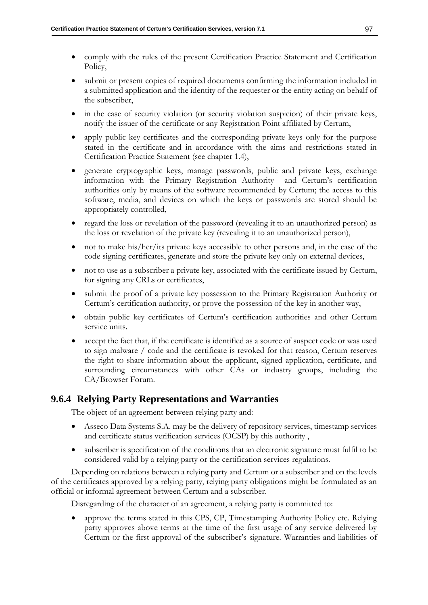- comply with the rules of the present Certification Practice Statement and Certification Policy,
- submit or present copies of required documents confirming the information included in a submitted application and the identity of the requester or the entity acting on behalf of the subscriber,
- in the case of security violation (or security violation suspicion) of their private keys, notify the issuer of the certificate or any Registration Point affiliated by Certum,
- apply public key certificates and the corresponding private keys only for the purpose stated in the certificate and in accordance with the aims and restrictions stated in Certification Practice Statement (see chapter [1.4\)](#page-18-0),
- generate cryptographic keys, manage passwords, public and private keys, exchange information with the Primary Registration Authority and Certum's certification authorities only by means of the software recommended by Certum; the access to this software, media, and devices on which the keys or passwords are stored should be appropriately controlled,
- regard the loss or revelation of the password (revealing it to an unauthorized person) as the loss or revelation of the private key (revealing it to an unauthorized person),
- not to make his/her/its private keys accessible to other persons and, in the case of the code signing certificates, generate and store the private key only on external devices,
- not to use as a subscriber a private key, associated with the certificate issued by Certum, for signing any CRLs or certificates,
- submit the proof of a private key possession to the Primary Registration Authority or Certum's certification authority, or prove the possession of the key in another way,
- obtain public key certificates of Certum's certification authorities and other Certum service units.
- accept the fact that, if the certificate is identified as a source of suspect code or was used to sign malware / code and the certificate is revoked for that reason, Certum reserves the right to share information about the applicant, signed application, certificate, and surrounding circumstances with other CAs or industry groups, including the CA/Browser Forum.

## **9.6.4 Relying Party Representations and Warranties**

The object of an agreement between relying party and:

- Asseco Data Systems S.A. may be the delivery of repository services, timestamp services and certificate status verification services (OCSP) by this authority ,
- subscriber is specification of the conditions that an electronic signature must fulfil to be considered valid by a relying party or the certification services regulations.

Depending on relations between a relying party and Certum or a subscriber and on the levels of the certificates approved by a relying party, relying party obligations might be formulated as an official or informal agreement between Certum and a subscriber.

Disregarding of the character of an agreement, a relying party is committed to:

• approve the terms stated in this CPS, CP, Timestamping Authority Policy etc. Relying party approves above terms at the time of the first usage of any service delivered by Certum or the first approval of the subscriber's signature. Warranties and liabilities of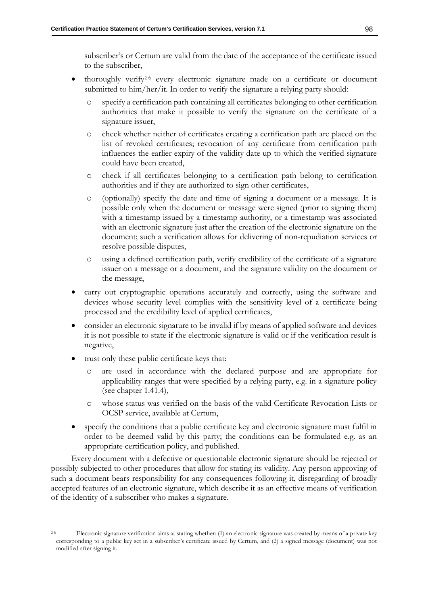subscriber's or Certum are valid from the date of the acceptance of the certificate issued to the subscriber,

- thoroughly verify<sup>26</sup> every electronic signature made on a certificate or document submitted to him/her/it. In order to verify the signature a relying party should:
	- o specify a certification path containing all certificates belonging to other certification authorities that make it possible to verify the signature on the certificate of a signature issuer,
	- o check whether neither of certificates creating a certification path are placed on the list of revoked certificates; revocation of any certificate from certification path influences the earlier expiry of the validity date up to which the verified signature could have been created,
	- o check if all certificates belonging to a certification path belong to certification authorities and if they are authorized to sign other certificates,
	- o (optionally) specify the date and time of signing a document or a message. It is possible only when the document or message were signed (prior to signing them) with a timestamp issued by a timestamp authority, or a timestamp was associated with an electronic signature just after the creation of the electronic signature on the document; such a verification allows for delivering of non-repudiation services or resolve possible disputes,
	- o using a defined certification path, verify credibility of the certificate of a signature issuer on a message or a document, and the signature validity on the document or the message,
- carry out cryptographic operations accurately and correctly, using the software and devices whose security level complies with the sensitivity level of a certificate being processed and the credibility level of applied certificates,
- consider an electronic signature to be invalid if by means of applied software and devices it is not possible to state if the electronic signature is valid or if the verification result is negative,
- trust only these public certificate keys that:
	- o are used in accordance with the declared purpose and are appropriate for applicability ranges that were specified by a relying party, e.g. in a signature policy (see chapter [1.41.4\)](#page-18-0),
	- o whose status was verified on the basis of the valid Certificate Revocation Lists or OCSP service, available at Certum,
- specify the conditions that a public certificate key and electronic signature must fulfil in order to be deemed valid by this party; the conditions can be formulated e.g. as an appropriate certification policy, and published.

Every document with a defective or questionable electronic signature should be rejected or possibly subjected to other procedures that allow for stating its validity. Any person approving of such a document bears responsibility for any consequences following it, disregarding of broadly accepted features of an electronic signature, which describe it as an effective means of verification of the identity of a subscriber who makes a signature.

<sup>26</sup> Electronic signature verification aims at stating whether: (1) an electronic signature was created by means of a private key corresponding to a public key set in a subscriber's certificate issued by Certum, and (2) a signed message (document) was not modified after signing it.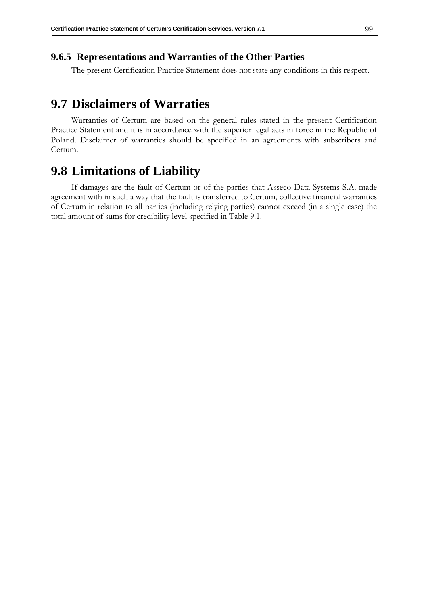## **9.6.5 Representations and Warranties of the Other Parties**

The present Certification Practice Statement does not state any conditions in this respect.

# **9.7 Disclaimers of Warraties**

Warranties of Certum are based on the general rules stated in the present Certification Practice Statement and it is in accordance with the superior legal acts in force in the Republic of Poland. Disclaimer of warranties should be specified in an agreements with subscribers and Certum.

# **9.8 Limitations of Liability**

If damages are the fault of Certum or of the parties that Asseco Data Systems S.A. made agreement with in such a way that the fault is transferred to Certum, collective financial warranties of Certum in relation to all parties (including relying parties) cannot exceed (in a single case) the total amount of sums for credibility level specified in Table 9.1.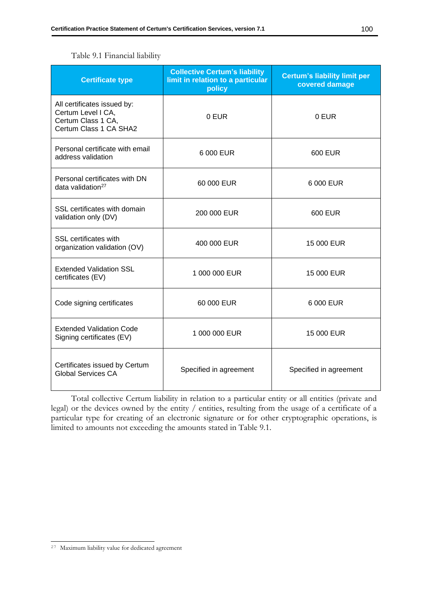| <b>Certificate type</b>                                                                           | <b>Collective Certum's liability</b><br>limit in relation to a particular<br>policy | <b>Certum's liability limit per</b><br>covered damage |
|---------------------------------------------------------------------------------------------------|-------------------------------------------------------------------------------------|-------------------------------------------------------|
| All certificates issued by:<br>Certum Level I CA,<br>Certum Class 1 CA,<br>Certum Class 1 CA SHA2 | 0 EUR                                                                               | 0 EUR                                                 |
| Personal certificate with email<br>address validation                                             | 6 000 EUR                                                                           | 600 EUR                                               |
| Personal certificates with DN<br>data validation <sup>27</sup>                                    | 60 000 EUR                                                                          | 6 000 EUR                                             |
| SSL certificates with domain<br>validation only (DV)                                              | 200 000 EUR                                                                         | 600 EUR                                               |
| SSL certificates with<br>organization validation (OV)                                             | 400 000 EUR                                                                         | 15 000 EUR                                            |
| <b>Extended Validation SSL</b><br>certificates (EV)                                               | 1 000 000 EUR                                                                       | 15 000 EUR                                            |
| Code signing certificates                                                                         | 60 000 EUR                                                                          | 6 000 EUR                                             |
| <b>Extended Validation Code</b><br>Signing certificates (EV)                                      | 1 000 000 EUR                                                                       | 15 000 EUR                                            |
| Certificates issued by Certum<br><b>Global Services CA</b>                                        | Specified in agreement                                                              | Specified in agreement                                |

Total collective Certum liability in relation to a particular entity or all entities (private and legal) or the devices owned by the entity / entities, resulting from the usage of a certificate of a particular type for creating of an electronic signature or for other cryptographic operations, is limited to amounts not exceeding the amounts stated in Table 9.1.

<sup>27</sup> Maximum liability value for dedicated agreement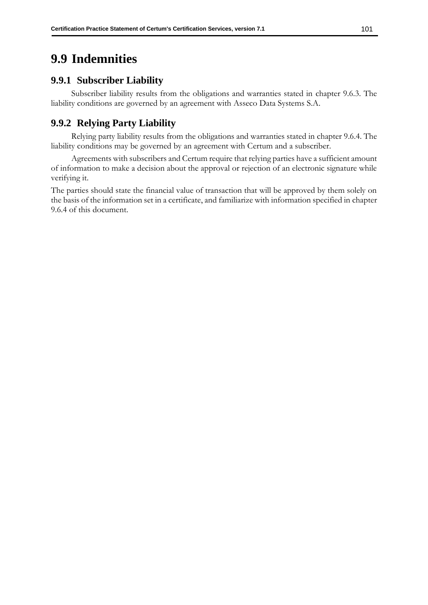## **9.9 Indemnities**

## **9.9.1 Subscriber Liability**

Subscriber liability results from the obligations and warranties stated in chapter [9.6.3.](#page-104-0) The liability conditions are governed by an agreement with Asseco Data Systems S.A.

## **9.9.2 Relying Party Liability**

Relying party liability results from the obligations and warranties stated in chapter [9.6.4.](#page-105-0) The liability conditions may be governed by an agreement with Certum and a subscriber.

Agreements with subscribers and Certum require that relying parties have a sufficient amount of information to make a decision about the approval or rejection of an electronic signature while verifying it.

The parties should state the financial value of transaction that will be approved by them solely on the basis of the information set in a certificate, and familiarize with information specified in chapter [9.6.4](#page-105-0) of this document.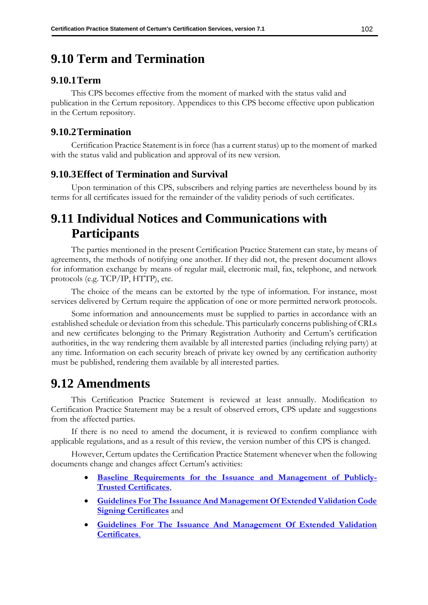## **9.10 Term and Termination**

## **9.10.1Term**

This CPS becomes effective from the moment of marked with the status valid and publication in the Certum repository. Appendices to this CPS become effective upon publication in the Certum repository.

## **9.10.2Termination**

Certification Practice Statement is in force (has a current status) up to the moment of marked with the status valid and publication and approval of its new version.

## **9.10.3Effect of Termination and Survival**

Upon termination of this CPS, subscribers and relying parties are nevertheless bound by its terms for all certificates issued for the remainder of the validity periods of such certificates.

## **9.11 Individual Notices and Communications with Participants**

The parties mentioned in the present Certification Practice Statement can state, by means of agreements, the methods of notifying one another. If they did not, the present document allows for information exchange by means of regular mail, electronic mail, fax, telephone, and network protocols (e.g. TCP/IP, HTTP), etc.

The choice of the means can be extorted by the type of information. For instance, most services delivered by Certum require the application of one or more permitted network protocols.

Some information and announcements must be supplied to parties in accordance with an established schedule or deviation from this schedule. This particularly concerns publishing of CRLs and new certificates belonging to the Primary Registration Authority and Certum's certification authorities, in the way rendering them available by all interested parties (including relying party) at any time. Information on each security breach of private key owned by any certification authority must be published, rendering them available by all interested parties.

## <span id="page-110-0"></span>**9.12 Amendments**

This Certification Practice Statement is reviewed at least annually. Modification to Certification Practice Statement may be a result of observed errors, CPS update and suggestions from the affected parties.

If there is no need to amend the document, it is reviewed to confirm compliance with applicable regulations, and as a result of this review, the version number of this CPS is changed.

However, Certum updates the Certification Practice Statement whenever when the following documents change and changes affect Certum's activities:

- **Baseline [Requirements](https://cabforum.org/baseline-requirements-documents/) for the Issuance and Management of Publicly-Trusted [Certificates](https://cabforum.org/baseline-requirements-documents/)**,
- **[Guidelines For The Issuance And Management Of Extended Validation Code](https://cabforum.org/ev-code-signing-certificate-guidelines/)  [Signing Certificates](https://cabforum.org/ev-code-signing-certificate-guidelines/)** and
- **[Guidelines For The Issuance And Management Of Extended Validation](https://cabforum.org/extended-validation/)  [Certificates](https://cabforum.org/extended-validation/)**.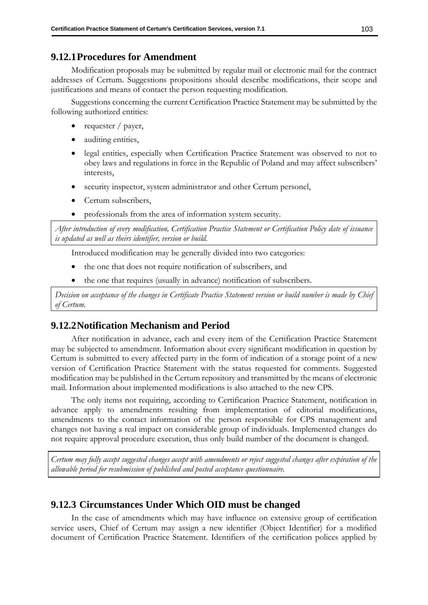### **9.12.1Procedures for Amendment**

Modification proposals may be submitted by regular mail or electronic mail for the contract addresses of Certum. Suggestions propositions should describe modifications, their scope and justifications and means of contact the person requesting modification.

Suggestions concerning the current Certification Practice Statement may be submitted by the following authorized entities:

- requester / payer,
- auditing entities,
- legal entities, especially when Certification Practice Statement was observed to not to obey laws and regulations in force in the Republic of Poland and may affect subscribers' interests,
- security inspector, system administrator and other Certum personel,
- Certum subscribers,
- professionals from the area of information system security.

*After introduction of every modification, Certification Practice Statement or Certification Policy date of issuance is updated as well as theirs identifier, version or build.* 

Introduced modification may be generally divided into two categories:

- the one that does not require notification of subscribers, and
- the one that requires (usually in advance) notification of subscribers.

*Decision on acceptance of the changes in Certificate Practice Statement version or build number is made by Chief of Certum.* 

## **9.12.2Notification Mechanism and Period**

After notification in advance, each and every item of the Certification Practice Statement may be subjected to amendment. Information about every significant modification in question by Certum is submitted to every affected party in the form of indication of a storage point of a new version of Certification Practice Statement with the status requested for comments. Suggested modification may be published in the Certum repository and transmitted by the means of electronic mail. Information about implemented modifications is also attached to the new CPS.

The only items not requiring, according to Certification Practice Statement, notification in advance apply to amendments resulting from implementation of editorial modifications, amendments to the contact information of the person responsible for CPS management and changes not having a real impact on considerable group of individuals. Implemented changes do not require approval procedure execution, thus only build number of the document is changed.

*Certum may fully accept suggested changes accept with amendments or reject suggested changes after expiration of the allowable period for resubmission of published and posted acceptance questionnaire.* 

### **9.12.3 Circumstances Under Which OID must be changed**

In the case of amendments which may have influence on extensive group of certification service users, Chief of Certum may assign a new identifier (Object Identifier) for a modified document of Certification Practice Statement. Identifiers of the certification polices applied by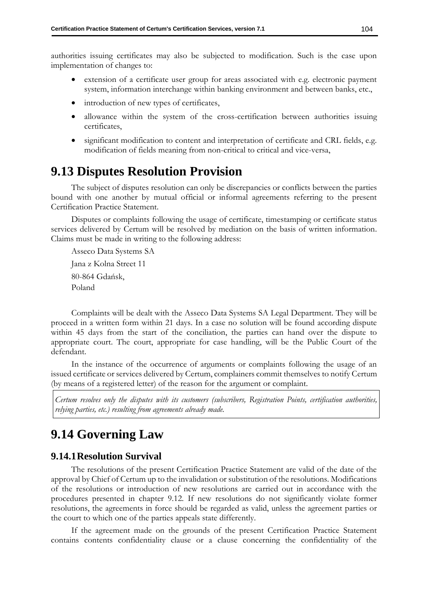authorities issuing certificates may also be subjected to modification. Such is the case upon implementation of changes to:

- extension of a certificate user group for areas associated with e.g. electronic payment system, information interchange within banking environment and between banks, etc.,
- introduction of new types of certificates,
- allowance within the system of the cross-certification between authorities issuing certificates,
- significant modification to content and interpretation of certificate and CRL fields, e.g. modification of fields meaning from non-critical to critical and vice-versa,

## **9.13 Disputes Resolution Provision**

The subject of disputes resolution can only be discrepancies or conflicts between the parties bound with one another by mutual official or informal agreements referring to the present Certification Practice Statement.

Disputes or complaints following the usage of certificate, timestamping or certificate status services delivered by Certum will be resolved by mediation on the basis of written information. Claims must be made in writing to the following address:

Asseco Data Systems SA Jana z Kolna Street 11 80-864 Gdańsk, Poland

Complaints will be dealt with the Asseco Data Systems SA Legal Department. They will be proceed in a written form within 21 days. In a case no solution will be found according dispute within 45 days from the start of the conciliation, the parties can hand over the dispute to appropriate court. The court, appropriate for case handling, will be the Public Court of the defendant.

In the instance of the occurrence of arguments or complaints following the usage of an issued certificate or services delivered by Certum, complainers commit themselves to notify Certum (by means of a registered letter) of the reason for the argument or complaint.

*Certum resolves only the disputes with its customers (subscribers, Registration Points, certification authorities, relying parties, etc.) resulting from agreements already made.* 

## **9.14 Governing Law**

#### **9.14.1Resolution Survival**

The resolutions of the present Certification Practice Statement are valid of the date of the approval by Chief of Certum up to the invalidation or substitution of the resolutions. Modifications of the resolutions or introduction of new resolutions are carried out in accordance with the procedures presented in chapter [9.12.](#page-110-0) If new resolutions do not significantly violate former resolutions, the agreements in force should be regarded as valid, unless the agreement parties or the court to which one of the parties appeals state differently.

If the agreement made on the grounds of the present Certification Practice Statement contains contents confidentiality clause or a clause concerning the confidentiality of the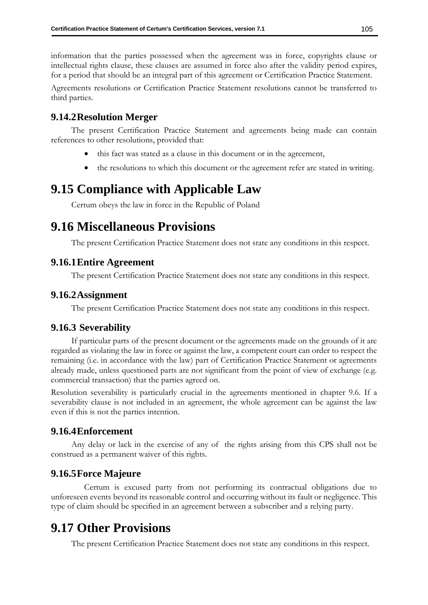information that the parties possessed when the agreement was in force, copyrights clause or intellectual rights clause, these clauses are assumed in force also after the validity period expires, for a period that should be an integral part of this agreement or Certification Practice Statement.

Agreements resolutions or Certification Practice Statement resolutions cannot be transferred to third parties.

## **9.14.2Resolution Merger**

The present Certification Practice Statement and agreements being made can contain references to other resolutions, provided that:

- this fact was stated as a clause in this document or in the agreement,
- the resolutions to which this document or the agreement refer are stated in writing.

## **9.15 Compliance with Applicable Law**

Certum obeys the law in force in the Republic of Poland

## **9.16 Miscellaneous Provisions**

The present Certification Practice Statement does not state any conditions in this respect.

#### **9.16.1Entire Agreement**

The present Certification Practice Statement does not state any conditions in this respect.

#### **9.16.2Assignment**

The present Certification Practice Statement does not state any conditions in this respect.

#### **9.16.3 Severability**

If particular parts of the present document or the agreements made on the grounds of it are regarded as violating the law in force or against the law, a competent court can order to respect the remaining (i.e. in accordance with the law) part of Certification Practice Statement or agreements already made, unless questioned parts are not significant from the point of view of exchange (e.g. commercial transaction) that the parties agreed on.

Resolution severability is particularly crucial in the agreements mentioned in chapter 9.6. If a severability clause is not included in an agreement, the whole agreement can be against the law even if this is not the parties intention.

#### **9.16.4Enforcement**

Any delay or lack in the exercise of any of the rights arising from this CPS shall not be construed as a permanent waiver of this rights.

### **9.16.5Force Majeure**

Certum is excused party from not performing its contractual obligations due to unforeseen events beyond its reasonable control and occurring without its fault or negligence. This type of claim should be specified in an agreement between a subscriber and a relying party.

## **9.17 Other Provisions**

The present Certification Practice Statement does not state any conditions in this respect.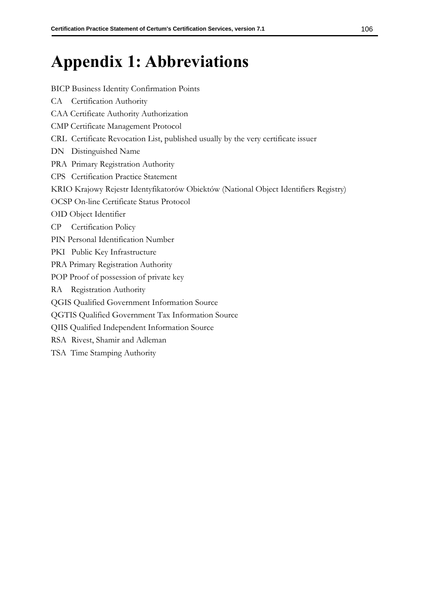# **Appendix 1: Abbreviations**

#### BICP Business Identity Confirmation Points

- CA Certification Authority
- CAA Certificate Authority Authorization
- CMP Certificate Management Protocol
- CRL Certificate Revocation List, published usually by the very certificate issuer
- DN Distinguished Name
- PRA Primary Registration Authority
- CPS Certification Practice Statement
- KRIO Krajowy Rejestr Identyfikatorów Obiektów (National Object Identifiers Registry)
- OCSP On-line Certificate Status Protocol
- OID Object Identifier
- CP Certification Policy
- PIN Personal Identification Number
- PKI Public Key Infrastructure
- PRA Primary Registration Authority
- POP Proof of possession of private key
- RA Registration Authority
- QGIS Qualified Government Information Source
- QGTIS Qualified Government Tax Information Source
- QIIS Qualified Independent Information Source
- RSA Rivest, Shamir and Adleman
- TSA Time Stamping Authority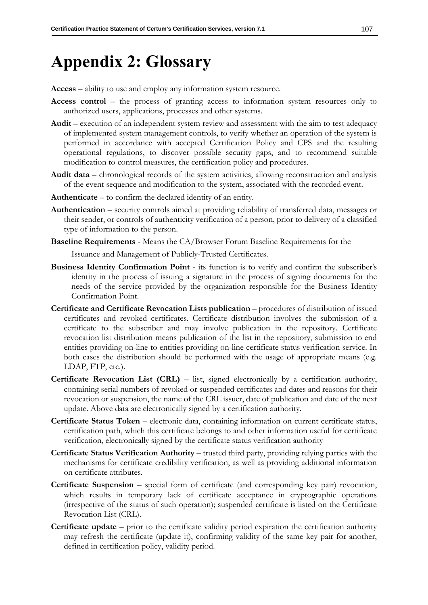# **Appendix 2: Glossary**

**Access** – ability to use and employ any information system resource.

- **Access control** the process of granting access to information system resources only to authorized users, applications, processes and other systems.
- **Audit** execution of an independent system review and assessment with the aim to test adequacy of implemented system management controls, to verify whether an operation of the system is performed in accordance with accepted Certification Policy and CPS and the resulting operational regulations, to discover possible security gaps, and to recommend suitable modification to control measures, the certification policy and procedures.
- **Audit data** chronological records of the system activities, allowing reconstruction and analysis of the event sequence and modification to the system, associated with the recorded event.
- **Authenticate** to confirm the declared identity of an entity.
- **Authentication** security controls aimed at providing reliability of transferred data, messages or their sender, or controls of authenticity verification of a person, prior to delivery of a classified type of information to the person.
- **Baseline Requirements**  Means the CA/Browser Forum Baseline Requirements for the

Issuance and Management of Publicly-Trusted Certificates.

- **Business Identity Confirmation Point** its function is to verify and confirm the subscriber's identity in the process of issuing a signature in the process of signing documents for the needs of the service provided by the organization responsible for the Business Identity Confirmation Point.
- **Certificate and Certificate Revocation Lists publication** procedures of distribution of issued certificates and revoked certificates. Certificate distribution involves the submission of a certificate to the subscriber and may involve publication in the repository. Certificate revocation list distribution means publication of the list in the repository, submission to end entities providing on-line to entities providing on-line certificate status verification service. In both cases the distribution should be performed with the usage of appropriate means (e.g. LDAP, FTP, etc.).
- **Certificate Revocation List (CRL)** list, signed electronically by a certification authority, containing serial numbers of revoked or suspended certificates and dates and reasons for their revocation or suspension, the name of the CRL issuer, date of publication and date of the next update. Above data are electronically signed by a certification authority.
- **Certificate Status Token** electronic data, containing information on current certificate status, certification path, which this certificate belongs to and other information useful for certificate verification, electronically signed by the certificate status verification authority
- **Certificate Status Verification Authority** trusted third party, providing relying parties with the mechanisms for certificate credibility verification, as well as providing additional information on certificate attributes.
- **Certificate Suspension**  special form of certificate (and corresponding key pair) revocation, which results in temporary lack of certificate acceptance in cryptographic operations (irrespective of the status of such operation); suspended certificate is listed on the Certificate Revocation List (CRL).
- **Certificate update**  prior to the certificate validity period expiration the certification authority may refresh the certificate (update it), confirming validity of the same key pair for another, defined in certification policy, validity period.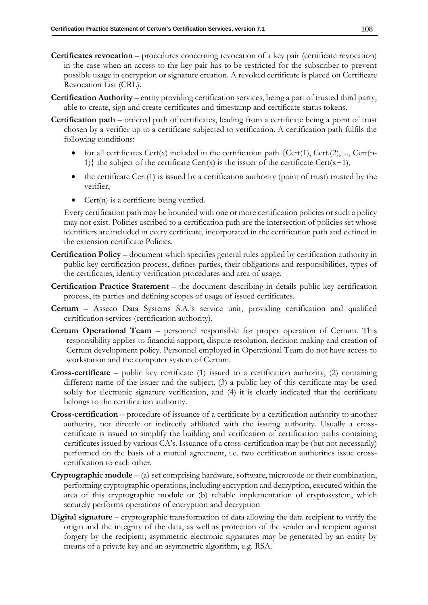- **Certificates revocation** procedures concerning revocation of a key pair (certificate revocation) in the case when an access to the key pair has to be restricted for the subscriber to prevent possible usage in encryption or signature creation. A revoked certificate is placed on Certificate Revocation List (CRL).
- **Certification Authority**  entity providing certification services, being a part of trusted third party, able to create, sign and create certificates and timestamp and certificate status tokens.
- **Certification path** ordered path of certificates, leading from a certificate being a point of trust chosen by a verifier up to a certificate subjected to verification. A certification path fulfils the following conditions:
	- for all certificates Cert(x) included in the certification path  ${Cert(1), Cert(2), ..., Cert(n-1)}$ 1)} the subject of the certificate  $Cert(x)$  is the issuer of the certificate  $Cert(x+1)$ ,
	- the certificate Cert $(1)$  is issued by a certification authority (point of trust) trusted by the verifier,
	- Cert(n) is a certificate being verified.

Every certification path may be bounded with one or more certification policies or such a policy may not exist. Policies ascribed to a certification path are the intersection of policies set whose identifiers are included in every certificate, incorporated in the certification path and defined in the extension certificate Policies.

- **Certification Policy** document which specifies general rules applied by certification authority in public key certification process, defines parties, their obligations and responsibilities, types of the certificates, identity verification procedures and area of usage.
- **Certification Practice Statement** the document describing in details public key certification process, its parties and defining scopes of usage of issued certificates.
- **Certum** Asseco Data Systems S.A.'s service unit, providing certification and qualified certification services (certification authority).
- **Certum Operational Team** personnel responsible for proper operation of Certum. This responsibility applies to financial support, dispute resolution, decision making and creation of Certum development policy. Personnel employed in Operational Team do not have access to workstation and the computer system of Certum.
- **Cross-certificate** public key certificate (1) issued to a certification authority, (2) containing different name of the issuer and the subject, (3) a public key of this certificate may be used solely for electronic signature verification, and (4) it is clearly indicated that the certificate belongs to the certification authority.
- **Cross-certification** procedure of issuance of a certificate by a certification authority to another authority, not directly or indirectly affiliated with the issuing authority. Usually a crosscertificate is issued to simplify the building and verification of certification paths containing certificates issued by various CA's. Issuance of a cross-certification may be (but not necessarily) performed on the basis of a mutual agreement, i.e. two certification authorities issue crosscertification to each other.
- **Cryptographi**c **module** (a) set comprising hardware, software, microcode or their combination, performing cryptographic operations, including encryption and decryption, executed within the area of this cryptographic module or (b) reliable implementation of cryptosystem, which securely performs operations of encryption and decryption
- **Digital signature** cryptographic transformation of data allowing the data recipient to verify the origin and the integrity of the data, as well as protection of the sender and recipient against forgery by the recipient; asymmetric electronic signatures may be generated by an entity by means of a private key and an asymmetric algorithm, e.g. RSA.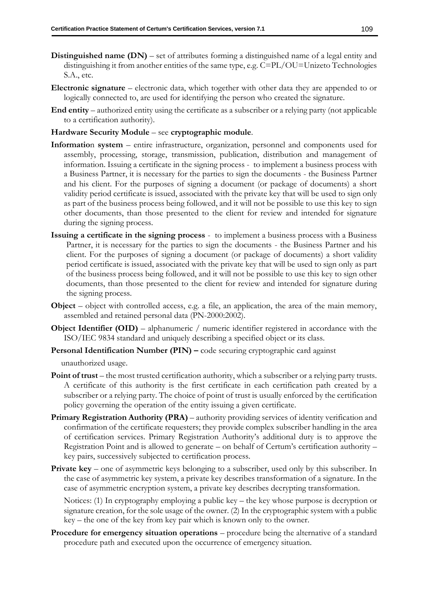- **Distinguished name (DN)** set of attributes forming a distinguished name of a legal entity and distinguishing it from another entities of the same type, e.g. C=PL/OU=Unizeto Technologies S.A., etc.
- **Electronic signature** electronic data, which together with other data they are appended to or logically connected to, are used for identifying the person who created the signature.
- **End entity** authorized entity using the certificate as a subscriber or a relying party (not applicable to a certification authority).

#### **Hardware Security Module** – see **cryptographic module**.

- **Informatio**n **system** entire infrastructure, organization, personnel and components used for assembly, processing, storage, transmission, publication, distribution and management of information. Issuing a certificate in the signing process - to implement a business process with a Business Partner, it is necessary for the parties to sign the documents - the Business Partner and his client. For the purposes of signing a document (or package of documents) a short validity period certificate is issued, associated with the private key that will be used to sign only as part of the business process being followed, and it will not be possible to use this key to sign other documents, than those presented to the client for review and intended for signature during the signing process.
- **Issuing a certificate in the signing process** to implement a business process with a Business Partner, it is necessary for the parties to sign the documents - the Business Partner and his client. For the purposes of signing a document (or package of documents) a short validity period certificate is issued, associated with the private key that will be used to sign only as part of the business process being followed, and it will not be possible to use this key to sign other documents, than those presented to the client for review and intended for signature during the signing process.
- **Object** object with controlled access, e.g. a file, an application, the area of the main memory, assembled and retained personal data (PN-2000:2002).
- **Object Identifier (OID)** alphanumeric / numeric identifier registered in accordance with the ISO/IEC 9834 standard and uniquely describing a specified object or its class.
- **Personal Identification Number (PIN) –** code securing cryptographic card against

unauthorized usage.

- **Point of trust** the most trusted certification authority, which a subscriber or a relying party trusts. A certificate of this authority is the first certificate in each certification path created by a subscriber or a relying party. The choice of point of trust is usually enforced by the certification policy governing the operation of the entity issuing a given certificate.
- **Primary Registration Authority (PRA)** authority providing services of identity verification and confirmation of the certificate requesters; they provide complex subscriber handling in the area of certification services. Primary Registration Authority's additional duty is to approve the Registration Point and is allowed to generate – on behalf of Certum's certification authority – key pairs, successively subjected to certification process.
- **Private key** one of asymmetric keys belonging to a subscriber, used only by this subscriber. In the case of asymmetric key system, a private key describes transformation of a signature. In the case of asymmetric encryption system, a private key describes decrypting transformation.

Notices: (1) In cryptography employing a public key – the key whose purpose is decryption or signature creation, for the sole usage of the owner. (2) In the cryptographic system with a public key – the one of the key from key pair which is known only to the owner.

**Procedure for emergency situation operations** – procedure being the alternative of a standard procedure path and executed upon the occurrence of emergency situation.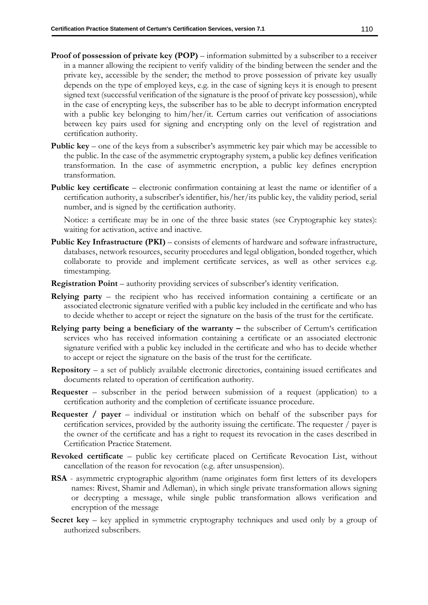- **Proof of possession of private key (POP)** information submitted by a subscriber to a receiver in a manner allowing the recipient to verify validity of the binding between the sender and the private key, accessible by the sender; the method to prove possession of private key usually depends on the type of employed keys, e.g. in the case of signing keys it is enough to present signed text (successful verification of the signature is the proof of private key possession), while in the case of encrypting keys, the subscriber has to be able to decrypt information encrypted with a public key belonging to him/her/it. Certum carries out verification of associations between key pairs used for signing and encrypting only on the level of registration and certification authority.
- **Public key** one of the keys from a subscriber's asymmetric key pair which may be accessible to the public. In the case of the asymmetric cryptography system, a public key defines verification transformation. In the case of asymmetric encryption, a public key defines encryption transformation.
- **Public key certificate** electronic confirmation containing at least the name or identifier of a certification authority, a subscriber's identifier, his/her/its public key, the validity period, serial number, and is signed by the certification authority.

Notice: a certificate may be in one of the three basic states (see Cryptographic key states): waiting for activation, active and inactive.

- Public Key Infrastructure (PKI) consists of elements of hardware and software infrastructure, databases, network resources, security procedures and legal obligation, bonded together, which collaborate to provide and implement certificate services, as well as other services e.g. timestamping.
- **Registration Point** authority providing services of subscriber's identity verification.
- **Relying party** the recipient who has received information containing a certificate or an associated electronic signature verified with a public key included in the certificate and who has to decide whether to accept or reject the signature on the basis of the trust for the certificate.
- **Relying party being a beneficiary of the warranty the subscriber of Certum's certification** services who has received information containing a certificate or an associated electronic signature verified with a public key included in the certificate and who has to decide whether to accept or reject the signature on the basis of the trust for the certificate.
- **Repository**  a set of publicly available electronic directories, containing issued certificates and documents related to operation of certification authority.
- **Requester** subscriber in the period between submission of a request (application) to a certification authority and the completion of certificate issuance procedure.
- **Requester / payer** individual or institution which on behalf of the subscriber pays for certification services, provided by the authority issuing the certificate. The requester / payer is the owner of the certificate and has a right to request its revocation in the cases described in Certification Practice Statement.
- **Revoked certificate** public key certificate placed on Certificate Revocation List, without cancellation of the reason for revocation (e.g. after unsuspension).
- **RSA**  asymmetric cryptographic algorithm (name originates form first letters of its developers names: Rivest, Shamir and Adleman), in which single private transformation allows signing or decrypting a message, while single public transformation allows verification and encryption of the message
- **Secret key** key applied in symmetric cryptography techniques and used only by a group of authorized subscribers.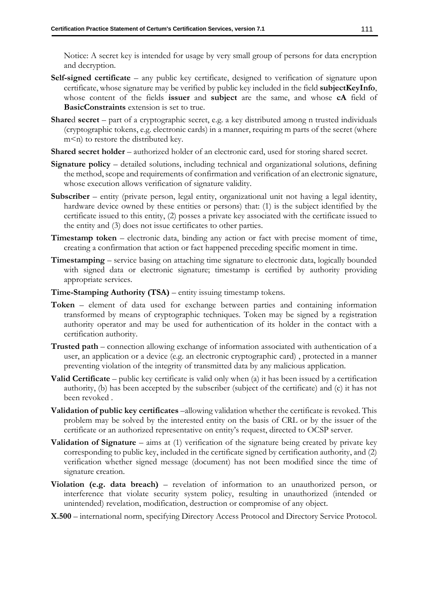Notice: A secret key is intended for usage by very small group of persons for data encryption and decryption.

- **Self-signed certificate** any public key certificate, designed to verification of signature upon certificate, whose signature may be verified by public key included in the field **subjectKeyInfo**, whose content of the fields **issuer** and **subject** are the same, and whose **cA** field of **BasicConstraints** extension is set to true.
- **Share**d **secret** part of a cryptographic secret, e.g. a key distributed among n trusted individuals (cryptographic tokens, e.g. electronic cards) in a manner, requiring m parts of the secret (where m<n) to restore the distributed key.
- **Shared secret holder** authorized holder of an electronic card, used for storing shared secret.
- **Signature policy** detailed solutions, including technical and organizational solutions, defining the method, scope and requirements of confirmation and verification of an electronic signature, whose execution allows verification of signature validity.
- **Subscriber**  entity (private person, legal entity, organizational unit not having a legal identity, hardware device owned by these entities or persons) that: (1) is the subject identified by the certificate issued to this entity, (2) posses a private key associated with the certificate issued to the entity and (3) does not issue certificates to other parties.
- **Timestamp token** electronic data, binding any action or fact with precise moment of time, creating a confirmation that action or fact happened preceding specific moment in time.
- **Timestamping**  service basing on attaching time signature to electronic data, logically bounded with signed data or electronic signature; timestamp is certified by authority providing appropriate services.
- **Time-Stamping Authority (TSA)** entity issuing timestamp tokens.
- **Token** element of data used for exchange between parties and containing information transformed by means of cryptographic techniques. Token may be signed by a registration authority operator and may be used for authentication of its holder in the contact with a certification authority.
- **Trusted path** connection allowing exchange of information associated with authentication of a user, an application or a device (e.g. an electronic cryptographic card) , protected in a manner preventing violation of the integrity of transmitted data by any malicious application.
- **Valid Certificate** public key certificate is valid only when (a) it has been issued by a certification authority, (b) has been accepted by the subscriber (subject of the certificate) and (c) it has not been revoked .
- **Validation of public key certificates** –allowing validation whether the certificate is revoked. This problem may be solved by the interested entity on the basis of CRL or by the issuer of the certificate or an authorized representative on entity's request, directed to OCSP server.
- **Validation of Signature** aims at (1) verification of the signature being created by private key corresponding to public key, included in the certificate signed by certification authority, and (2) verification whether signed message (document) has not been modified since the time of signature creation.
- **Violation (e.g. data breach)** revelation of information to an unauthorized person, or interference that violate security system policy, resulting in unauthorized (intended or unintended) revelation, modification, destruction or compromise of any object.
- **X.500**  international norm, specifying Directory Access Protocol and Directory Service Protocol.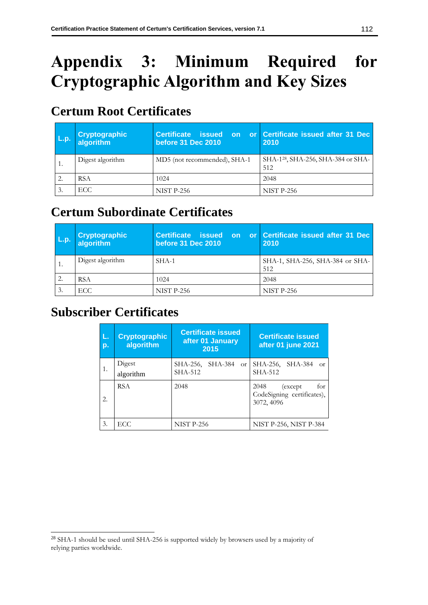# **Appendix 3: Minimum Required for Cryptographic Algorithm and Key Sizes**

# **Certum Root Certificates**

| L.p. | Cryptographic<br>  algorithm | Certificate issued<br><b>on</b><br><b>before 31 Dec 2010</b> | or Certificate issued after 31 Dec<br>2010            |
|------|------------------------------|--------------------------------------------------------------|-------------------------------------------------------|
|      | Digest algorithm             | MD5 (not recommended), SHA-1                                 | SHA-1 <sup>28</sup> , SHA-256, SHA-384 or SHA-<br>512 |
|      | <b>RSA</b>                   | 1024                                                         | 2048                                                  |
|      | ECC                          | <b>NIST P-256</b>                                            | <b>NIST P-256</b>                                     |

# **Certum Subordinate Certificates**

| L.p. | <b>Cryptographic</b><br>algorithm | Certificate issued<br>on.<br><b>before 31 Dec 2010</b> | or Certificate issued after 31 Dec<br>2010 |
|------|-----------------------------------|--------------------------------------------------------|--------------------------------------------|
|      | Digest algorithm                  | SHA-1                                                  | SHA-1, SHA-256, SHA-384 or SHA-<br>512     |
| 2.   | <b>RSA</b>                        | 1024                                                   | 2048                                       |
| 3.   | ECC.                              | <b>NIST P-256</b>                                      | <b>NIST P-256</b>                          |

# **Subscriber Certificates**

| L.<br>p. | <b>Cryptographic</b><br>algorithm | <b>Certificate issued</b><br>after 01 January<br>2015 | <b>Certificate issued</b><br>after 01 june 2021                     |
|----------|-----------------------------------|-------------------------------------------------------|---------------------------------------------------------------------|
| 1.       | Digest<br>algorithm               | SHA-256, SHA-384 or<br>SHA-512                        | SHA-256, SHA-384<br>$\alpha$ <sup>r</sup><br>SHA-512                |
| 2.       | <b>RSA</b>                        | 2048                                                  | for<br>2048<br>(except)<br>CodeSigning certificates),<br>3072, 4096 |
| 3.       | ECC.                              | <b>NIST P-256</b>                                     | NIST P-256, NIST P-384                                              |

<sup>28</sup> SHA-1 should be used until SHA-256 is supported widely by browsers used by a majority of relying parties worldwide.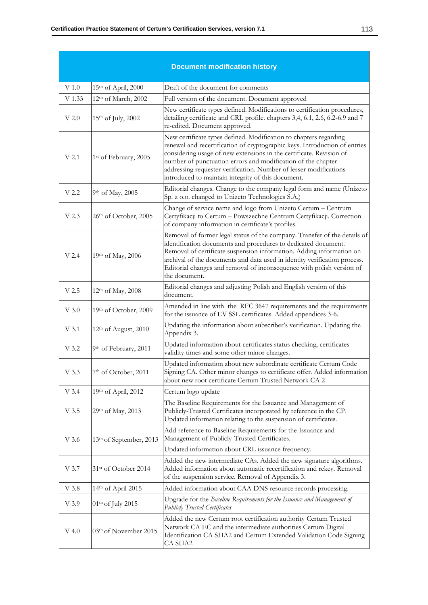| <b>Document modification history</b> |                                   |                                                                                                                                                                                                                                                                                                                                                                                                                   |
|--------------------------------------|-----------------------------------|-------------------------------------------------------------------------------------------------------------------------------------------------------------------------------------------------------------------------------------------------------------------------------------------------------------------------------------------------------------------------------------------------------------------|
| V 1.0                                | 15th of April, 2000               | Draft of the document for comments                                                                                                                                                                                                                                                                                                                                                                                |
| V 1.33                               | 12th of March, 2002               | Full version of the document. Document approved                                                                                                                                                                                                                                                                                                                                                                   |
| $V$ 2.0                              | 15 <sup>th</sup> of July, 2002    | New certificate types defined. Modifications to certification procedures,<br>detailing certificate and CRL profile. chapters 3,4, 6.1, 2.6, 6.2-6.9 and 7<br>re-edited. Document approved.                                                                                                                                                                                                                        |
| V <sub>2.1</sub>                     | 1 <sup>st</sup> of February, 2005 | New certificate types defined. Modification to chapters regarding<br>renewal and recertification of cryptographic keys. Introduction of entries<br>considering usage of new extensions in the certificate. Revision of<br>number of punctuation errors and modification of the chapter<br>addressing requester verification. Number of lesser modifications<br>introduced to maintain integrity of this document. |
| V 2.2                                | 9th of May, 2005                  | Editorial changes. Change to the company legal form and name (Unizeto<br>Sp. z o.o. changed to Unizeto Technologies S.A,)                                                                                                                                                                                                                                                                                         |
| V <sub>2.3</sub>                     | 26th of October, 2005             | Change of service name and logo from Unizeto Certum - Centrum<br>Certyfikacji to Certum - Powszechne Centrum Certyfikacji. Correction<br>of company information in certificate's profiles.                                                                                                                                                                                                                        |
| $V$ 2.4                              | 19th of May, 2006                 | Removal of former legal status of the company. Transfer of the details of<br>identification documents and procedures to dedicated document.<br>Removal of certificate suspension information. Adding information on<br>archival of the documents and data used in identity verification process.<br>Editorial changes and removal of inconsequence with polish version of<br>the document.                        |
| V <sub>2.5</sub>                     | 12 <sup>th</sup> of May, 2008     | Editorial changes and adjusting Polish and English version of this<br>document.                                                                                                                                                                                                                                                                                                                                   |
| $V$ 3.0                              | 19th of October, 2009             | Amended in line with the RFC 3647 requirements and the requirements<br>for the issuance of EV SSL certificates. Added appendices 3-6.                                                                                                                                                                                                                                                                             |
| V 3.1                                | 12 <sup>th</sup> of August, 2010  | Updating the information about subscriber's verification. Updating the<br>Appendix 3.                                                                                                                                                                                                                                                                                                                             |
| V 3.2                                | 9th of February, 2011             | Updated information about certificates status checking, certificates<br>validity times and some other minor changes.                                                                                                                                                                                                                                                                                              |
| V 3.3                                | 7 <sup>th</sup> of October, 2011  | Updated information about new subordinate certificate Certum Code<br>Signing CA. Other minor changes to certificate offer. Added information<br>about new root certificate Certum Trusted Network CA 2                                                                                                                                                                                                            |
| $V$ 3.4                              | 19th of April, 2012               | Certum logo update                                                                                                                                                                                                                                                                                                                                                                                                |
| V 3.5                                | 29th of May, 2013                 | The Baseline Requirements for the Issuance and Management of<br>Publicly-Trusted Certificates incorporated by reference in the CP.<br>Updated information relating to the suspension of certificates.                                                                                                                                                                                                             |
| V 3.6                                | 13th of September, 2013           | Add reference to Baseline Requirements for the Issuance and<br>Management of Publicly-Trusted Certificates.<br>Updated information about CRL issuance frequency.                                                                                                                                                                                                                                                  |
| V 3.7                                | 31st of October 2014              | Added the new intermediate CAs. Added the new signature algorithms.<br>Added information about automatic recertification and rekey. Removal<br>of the suspension service. Removal of Appendix 3.                                                                                                                                                                                                                  |
| V 3.8                                | 14th of April 2015                | Added information about CAA DNS resource records processing.                                                                                                                                                                                                                                                                                                                                                      |
| V 3.9                                | 01 <sup>th</sup> of July 2015     | Upgrade for the Baseline Requirements for the Issuance and Management of<br><b>Publicly-Trusted Certificates</b>                                                                                                                                                                                                                                                                                                  |
| $V$ 4.0                              | 03th of November 2015             | Added the new Certum root certification authority Certum Trusted<br>Network CA EC and the intermediate authorities Certum Digital<br>Identification CA SHA2 and Certum Extended Validation Code Signing<br>CA SHA2                                                                                                                                                                                                |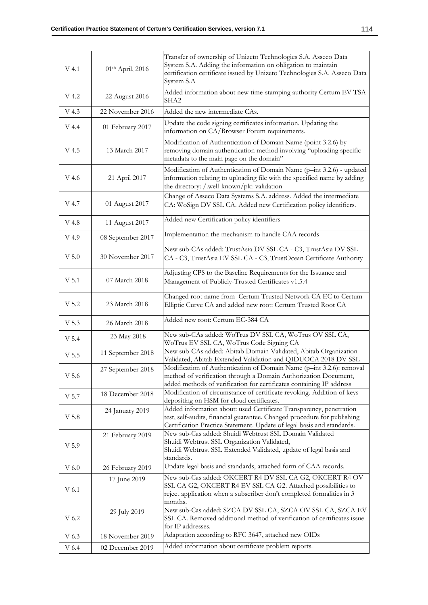| V 4.1            | 01 <sup>th</sup> April, 2016 | Transfer of ownership of Unizeto Technologies S.A. Asseco Data<br>System S.A. Adding the information on obligation to maintain<br>certification certificate issued by Unizeto Technologies S.A. Asseco Data<br>System S.A |
|------------------|------------------------------|---------------------------------------------------------------------------------------------------------------------------------------------------------------------------------------------------------------------------|
| V 4.2            | 22 August 2016               | Added information about new time-stamping authority Certum EV TSA<br>SHA <sub>2</sub>                                                                                                                                     |
| V 4.3            | 22 November 2016             | Added the new intermediate CAs.                                                                                                                                                                                           |
| V 4.4            | 01 February 2017             | Update the code signing certificates information. Updating the<br>information on CA/Browser Forum requirements.                                                                                                           |
| V 4.5            | 13 March 2017                | Modification of Authentication of Domain Name (point 3.2.6) by<br>removing domain authentication method involving "uploading specific<br>metadata to the main page on the domain"                                         |
| V 4.6            | 21 April 2017                | Modification of Authentication of Domain Name (p-int 3.2.6) - updated<br>information relating to uploading file with the specified name by adding<br>the directory: /.well-known/pki-validation                           |
| V 4.7            | 01 August 2017               | Change of Asseco Data Systems S.A. address. Added the intermediate<br>CA: WoSign DV SSL CA. Added new Certification policy identifiers.                                                                                   |
| V 4.8            | 11 August 2017               | Added new Certification policy identifiers                                                                                                                                                                                |
| V 4.9            | 08 September 2017            | Implementation the mechanism to handle CAA records                                                                                                                                                                        |
| $V$ 5.0          | 30 November 2017             | New sub-CAs added: TrustAsia DV SSL CA - C3, TrustAsia OV SSL<br>CA - C3, TrustAsia EV SSL CA - C3, TrustOcean Certificate Authority                                                                                      |
| V <sub>5.1</sub> | 07 March 2018                | Adjusting CPS to the Baseline Requirements for the Issuance and<br>Management of Publicly-Trusted Certificates v1.5.4                                                                                                     |
| V 5.2            | 23 March 2018                | Changed root name from Certum Trusted Network CA EC to Certum<br>Elliptic Curve CA and added new root: Certum Trusted Root CA                                                                                             |
| V 5.3            | 26 March 2018                | Added new root: Certum EC-384 CA                                                                                                                                                                                          |
| V 5.4            | 23 May 2018                  | New sub-CAs added: WoTrus DV SSL CA, WoTrus OV SSL CA,<br>WoTrus EV SSL CA, WoTrus Code Signing CA                                                                                                                        |
| V 5.5            | 11 September 2018            | New sub-CAs added: Abitab Domain Validated, Abitab Organization<br>Validated, Abitab Extended Validation and QIDUOCA 2018 DV SSL                                                                                          |
| V <sub>5.6</sub> | 27 September 2018            | Modification of Authentication of Domain Name (p-int 3.2.6): removal<br>method of verification through a Domain Authorization Document,<br>added methods of verification for certificates containing IP address           |
| V 5.7            | 18 December 2018             | Modification of circumstance of certificate revoking. Addition of keys<br>depositing on HSM for cloud certificates.                                                                                                       |
| V 5.8            | 24 January 2019              | Added information about: used Certificate Transparency, penetration<br>test, self-audits, financial guarantee. Changed procedure for publishing<br>Certification Practice Statement. Update of legal basis and standards. |
| V 5.9            | 21 February 2019             | New sub-Cas added: Shuidi Webtrust SSL Domain Validated<br>Shuidi Webtrust SSL Organization Validated,<br>Shuidi Webtrust SSL Extended Validated, update of legal basis and<br>standards.                                 |
| V 6.0            | 26 February 2019             | Update legal basis and standards, attached form of CAA records.                                                                                                                                                           |
| $V$ 6.1          | 17 June 2019                 | New sub-Cas added: OKCERT R4 DV SSL CA G2, OKCERT R4 OV<br>SSL CA G2, OKCERT R4 EV SSL CA G2. Attached possibilities to<br>reject application when a subscriber don't completed formalities in 3<br>months.               |
| V 6.2            | 29 July 2019                 | New sub-Cas added: SZCA DV SSL CA, SZCA OV SSL CA, SZCA EV<br>SSL CA. Removed additional method of verification of certificates issue<br>for IP addresses.                                                                |
| V 6.3            | 18 November 2019             | Adaptation according to RFC 3647, attached new OIDs                                                                                                                                                                       |
| V 6.4            | 02 December 2019             | Added information about certificate problem reports.                                                                                                                                                                      |